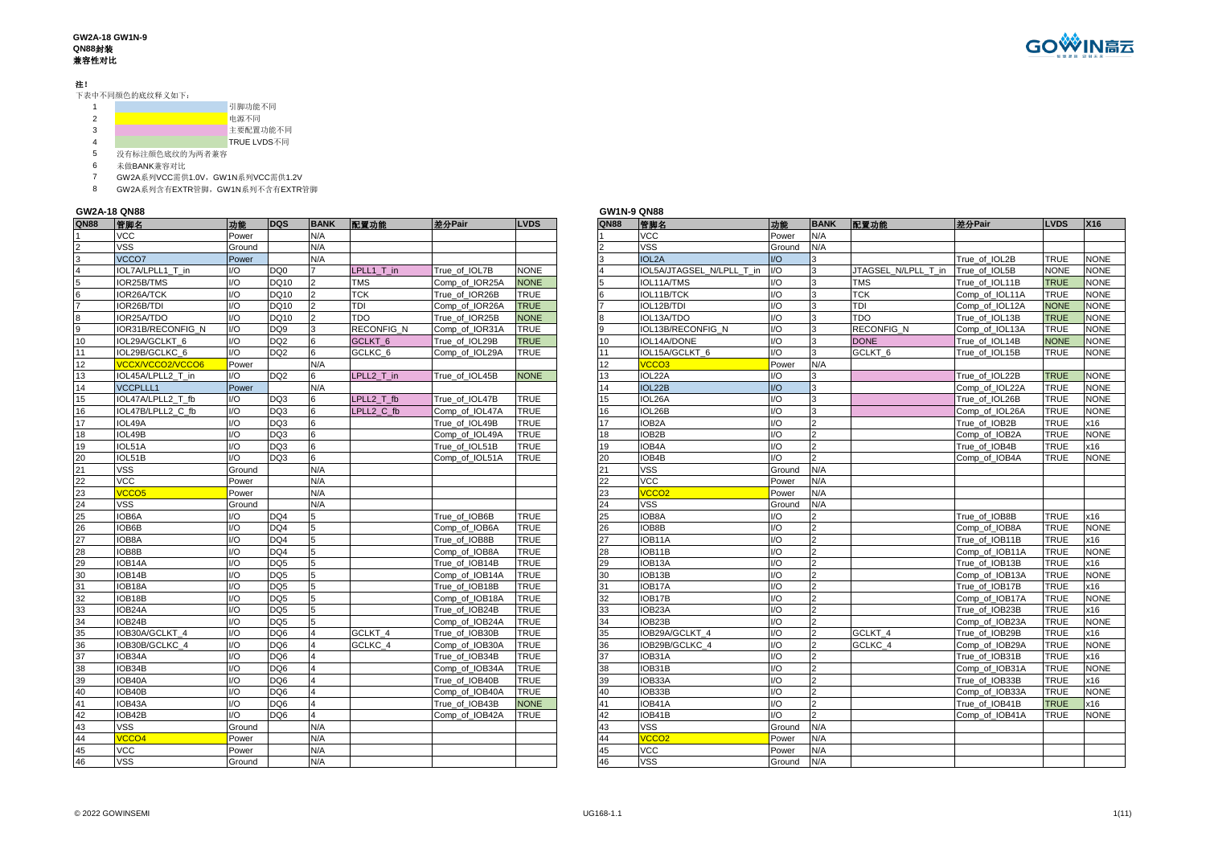#### **GW2A-18 GW1N-9 QN88**封装 兼容性对比

### 注!

下表中不同颜色的底纹释义如下:

|   |                                                                                    | 引脚功能不同      |
|---|------------------------------------------------------------------------------------|-------------|
|   |                                                                                    | 电源不同        |
| 3 |                                                                                    | 主要配置功能不同    |
|   |                                                                                    | TRUE LVDS不同 |
|   | And walked from A.A. (2008). And walked A.A. (2012). And walked a later advanced a |             |

没有标注颜色底纹的为两者兼容

未做BANK兼容对比

GW2A系列VCC需供1.0V,GW1N系列VCC需供1.2V

GW2A系列含有EXTR管脚,GW1N系列不含有EXTR管脚

### **GW2A-18 QN88**

| <b>QN88</b>    | 管脚名               | 功能     | <b>DQS</b>      | <b>BANK</b>    | 配置功能               | 差分Pair         | <b>LVDS</b> | <b>QN88</b> | 管脚名                       | 功能                      | <b>BA</b>      |
|----------------|-------------------|--------|-----------------|----------------|--------------------|----------------|-------------|-------------|---------------------------|-------------------------|----------------|
|                | VCC               | Power  |                 | N/A            |                    |                |             |             | <b>VCC</b>                | Power                   | N/A            |
| $\overline{2}$ | <b>VSS</b>        | Ground |                 | N/A            |                    |                |             |             | <b>VSS</b>                | Ground                  | N/A            |
| 3              | VCCO7             | Power  |                 | N/A            |                    |                |             | 3           | IOL <sub>2</sub> A        | UQ                      | 3              |
| $\overline{4}$ | IOL7A/LPLL1 T in  | $U$    | DQ <sub>0</sub> |                | LPLL1 T in         | True of IOL7B  | <b>NONE</b> |             | IOL5A/JTAGSEL N/LPLL T in | $1/O$                   | 3              |
| $\overline{5}$ | IOR25B/TMS        | I/O    | DQ10            | $\overline{2}$ | <b>TMS</b>         | Comp of IOR25A | <b>NONE</b> | 5           | IOL11A/TMS                | $\mathsf{U}\mathsf{O}$  | $\overline{3}$ |
| 6              | IOR26A/TCK        | 1/O    | DQ10            | $\overline{2}$ | <b>TCK</b>         | True_of_IOR26B | <b>TRUE</b> | 6           | IOL11B/TCK                | $\mathsf{I}/\mathsf{O}$ | 3              |
| $\overline{7}$ | IOR26B/TDI        | 1/O    | DQ10            | $\overline{2}$ | <b>TDI</b>         | Comp_of_IOR26A | <b>TRUE</b> |             | IOL12B/TDI                | 1/O                     | 3              |
| 8              | IOR25A/TDO        | 1/O    | DQ10            | $\overline{2}$ | <b>TDO</b>         | True of IOR25B | <b>NONE</b> | 8           | IOL13A/TDO                | $\mathsf{U}\mathsf{O}$  | 3              |
| 9              | IOR31B/RECONFIG N | $U$    | DQ <sub>9</sub> | 3              | RECONFIG_N         | Comp_of_IOR31A | <b>TRUE</b> |             | IOL13B/RECONFIG N         | 1/O                     | 3              |
| 10             | IOL29A/GCLKT 6    | 1/O    | DQ <sub>2</sub> | 6              | GCLKT <sub>6</sub> | True of IOL29B | <b>TRUE</b> | 10          | IOL14A/DONE               | $\overline{1/O}$        | 3              |
| 11             | IOL29B/GCLKC 6    | $IVO$  | DQ <sub>2</sub> | 6              | GCLKC <sub>6</sub> | Comp of IOL29A | <b>TRUE</b> | 11          | IOL15A/GCLKT 6            | $\mathsf{I}/\mathsf{O}$ | 3              |
| 12             | VCCX/VCCO2/VCCO6  | Power  |                 | N/A            |                    |                |             | 12          | VCCO <sub>3</sub>         | Power                   | N/A            |
| 13             | IOL45A/LPLL2_T_in | $U$    | DQ <sub>2</sub> | 6              | LPLL2_T_in         | True of IOL45B | <b>NONE</b> | 13          | IOL22A                    | 1/O                     | 3              |
| 14             | <b>VCCPLLL1</b>   | Power  |                 | N/A            |                    |                |             | 14          | IOL22B                    | $UO$                    | 3              |
| 15             | IOL47A/LPLL2 T fb | $U$    | DQ3             | 6              | LPLL2 T fb         | True of IOL47B | <b>TRUE</b> | 15          | IOL26A                    | $\overline{1/O}$        | 3              |
| 16             | IOL47B/LPLL2 C fb | 1/O    | DQ3             | 6              | LPLL2 C fb         | Comp of IOL47A | <b>TRUE</b> | 16          | IOL26B                    | I/O                     | 3              |
| 17             | IOL49A            | $U$    | DQ3             | 6              |                    | True of IOL49B | <b>TRUE</b> | 17          | IOB <sub>2</sub> A        | 1/O                     | $\overline{2}$ |
| 18             | IOL49B            | 1/O    | DQ3             | 6              |                    | Comp_of_IOL49A | <b>TRUE</b> | 18          | IOB2B                     | $\mathsf{U}\mathsf{O}$  | $\overline{2}$ |
| 19             | IOL51A            | I/O    | DQ3             | 6              |                    | True_of_IOL51B | <b>TRUE</b> | 19          | IOB4A                     | $\mathsf{U}\mathsf{O}$  | $\overline{a}$ |
| 20             | IOL51B            | 1/O    | DQ3             | 6              |                    | Comp of IOL51A | <b>TRUE</b> | 20          | IOB4B                     | 1/O                     | $\overline{2}$ |
| 21             | <b>VSS</b>        | Ground |                 | N/A            |                    |                |             | 21          | <b>VSS</b>                | Ground                  | N/A            |
| 22             | <b>VCC</b>        | Power  |                 | N/A            |                    |                |             | 22          | <b>VCC</b>                | Power                   | N/A            |
| 23             | VCCO <sub>5</sub> | Power  |                 | N/A            |                    |                |             | 23          | VCCO <sub>2</sub>         | Power                   | N/A            |
| 24             | <b>VSS</b>        | Ground |                 | N/A            |                    |                |             | 24          | <b>VSS</b>                | Ground                  | N/A            |
| 25             | IOB6A             | I/O    | DQ4             | 5              |                    | True of IOB6B  | <b>TRUE</b> | 25          | IOB8A                     | $\mathsf{I}/\mathsf{O}$ | $\overline{2}$ |
| 26             | IOB6B             | 1/O    | DO <sub>4</sub> | 5              |                    | Comp of IOB6A  | <b>TRUE</b> | 26          | IOB8B                     | $\mathsf{I}/\mathsf{O}$ | $\overline{2}$ |
| 27             | IOB8A             | 1/O    | DQ4             | 5              |                    | True of IOB8B  | <b>TRUE</b> | 27          | IOB11A                    | 1/O                     | $\overline{2}$ |
| 28             | IOB8B             | 1/O    | DQ4             | 5              |                    | Comp of IOB8A  | <b>TRUE</b> | 28          | IOB11B                    | 1/O                     | $\overline{2}$ |
| 29             | IOB14A            | I/O    | DQ <sub>5</sub> | 5              |                    | True of IOB14B | <b>TRUE</b> | 29          | IOB13A                    | I/O                     | $\overline{2}$ |
| 30             | IOB14B            | I/O    | DQ <sub>5</sub> | 5              |                    | Comp of IOB14A | <b>TRUE</b> | 30          | IOB13B                    | 1/O                     | $\overline{2}$ |
| 31             | IOB18A            | 1/O    | DQ <sub>5</sub> | 5              |                    | True_of_IOB18B | <b>TRUE</b> | 31          | IOB17A                    | $\mathsf{I}/\mathsf{O}$ | $\overline{2}$ |
| 32             | IOB18B            | 1/O    | DQ <sub>5</sub> | 5              |                    | Comp_of_IOB18A | <b>TRUE</b> | 32          | IOB17B                    | 1/O                     | $\overline{2}$ |
| 33             | IOB24A            | 1/O    | DQ <sub>5</sub> | 5              |                    | True of IOB24B | <b>TRUE</b> | 33          | IOB23A                    | 1/O                     | $\overline{2}$ |
| 34             | IOB24B            | I/O    | DQ <sub>5</sub> | 5              |                    | Comp_of_IOB24A | <b>TRUE</b> | 34          | IOB23B                    | 1/O                     | $\overline{a}$ |
| 35             | IOB30A/GCLKT 4    | 1/O    | DQ <sub>6</sub> | 4              | GCLKT 4            | True of IOB30B | <b>TRUE</b> | 35          | IOB29A/GCLKT 4            | 1/O                     | $\overline{2}$ |
| 36             | IOB30B/GCLKC_4    | $U$    | DQ6             | 4              | GCLKC 4            | Comp_of_IOB30A | TRUE        | 36          | IOB29B/GCLKC_4            | $\mathsf{I}/\mathsf{O}$ | $\overline{2}$ |
| 37             | IOB34A            | 1/O    | DQ <sub>6</sub> | $\Delta$       |                    | True of IOB34B | <b>TRUE</b> | 37          | IOB31A                    | $\mathsf{IO}$           | $\overline{2}$ |
| 38             | IOB34B            | 1/O    | DQ <sub>6</sub> | 4              |                    | Comp of IOB34A | <b>TRUE</b> | 38          | IOB31B                    | $1/O$                   | $\overline{2}$ |
| 39             | IOB40A            | 1/O    | DQ <sub>6</sub> | 4              |                    | True_of_IOB40B | <b>TRUE</b> | 39          | IOB33A                    | $\mathsf{U}\mathsf{O}$  | $\overline{2}$ |
| 40             | IOB40B            | $U$    | DQ <sub>6</sub> | 4              |                    | Comp_of_IOB40A | <b>TRUE</b> | 40          | IOB33B                    | $1/O$                   | $\overline{2}$ |
| 41             | IOB43A            | $U$    | DQ <sub>6</sub> | 4              |                    | True_of_IOB43B | <b>NONE</b> | 41          | IOB41A                    | 1/O                     | $\overline{2}$ |
| 42             | IOB42B            | 1/O    | DQ <sub>6</sub> | 4              |                    | Comp of IOB42A | <b>TRUE</b> | 42          | IOB41B                    | I/O                     | $\overline{2}$ |
| 43             | <b>VSS</b>        | Ground |                 | N/A            |                    |                |             | 43          | <b>VSS</b>                | Ground                  | N/A            |
| 44             | VCCO <sub>4</sub> | Power  |                 | N/A            |                    |                |             | 44          | VCCO <sub>2</sub>         | Power                   | N/A            |
| 45             | <b>VCC</b>        | Power  |                 | N/A            |                    |                |             | 45          | <b>VCC</b>                | Power                   | N/A            |
| 46             | <b>VSS</b>        | Ground |                 | N/A            |                    |                |             | 46          | <b>VSS</b>                | Ground                  | N/A            |

|      | GW2A-18 QN88        |        |                                    |             |                    |                |                            | <b>GW1N-9 QN88</b> |                           |                        |               |                     |                                  |             |            |
|------|---------------------|--------|------------------------------------|-------------|--------------------|----------------|----------------------------|--------------------|---------------------------|------------------------|---------------|---------------------|----------------------------------|-------------|------------|
| QN88 | 管脚名                 | 功能     | <b>DQS</b>                         | <b>BANK</b> | 配置功能               | 差分Pair         | <b>LVDS</b>                | <b>QN88</b>        | 管脚名                       | 功能                     | <b>BANK</b>   | 配置功能                | 差分Pair                           | <b>LVDS</b> | <b>X16</b> |
|      | <b>VCC</b>          | Power  |                                    | N/A         |                    |                |                            |                    | <b>VCC</b>                | Power                  | N/A           |                     |                                  |             |            |
|      | VSS                 | Ground |                                    | N/A         |                    |                |                            |                    | <b>VSS</b>                | Ground                 | N/A           |                     |                                  |             |            |
|      | VCCO7               | Power  |                                    | N/A         |                    |                |                            |                    | IOL <sub>2</sub> A        | $U$                    | ٩             |                     | True of IOL2B                    | <b>TRUE</b> |            |
|      | IOL7A/LPLL1 T in    | I/O    | DQ0                                |             | LPLL1 T in         | True of IOL7B  | <b>NONE</b>                |                    | IOL5A/JTAGSEL N/LPLL T in | I/O                    | 3             | JTAGSEL N/LPLL T in | True of IOL5B                    | <b>NONE</b> |            |
|      | IOR25B/TMS          | I/O    | <b>DQ10</b>                        |             | <b>TMS</b>         | Comp_of_IOR25A | <b>NONE</b>                |                    | IOL11A/TMS                | $\mathsf{U}\mathsf{O}$ | $\mathbf{z}$  | <b>TMS</b>          | True of IOL11B                   | <b>TRUE</b> |            |
|      | <b>IOR26A/TCK</b>   | I/O    | <b>DQ10</b>                        |             | <b>TCK</b>         | True of IOR26B | <b>TRUE</b>                |                    | IOL11B/TCK                | $\mathsf{U}\mathsf{O}$ | $\mathbf{R}$  | <b>TCK</b>          | Comp of IOL11A                   | <b>TRUE</b> |            |
|      | <b>OR26B/TDI</b>    | I/O    | <b>DQ10</b>                        |             | TDI                | Comp of IOR26A | <b>TRUE</b>                |                    | IOL12B/TDI                | $\mathsf{U}\mathsf{O}$ |               | <b>TDI</b>          | Comp of IOL12A                   | <b>NONE</b> |            |
|      | IOR25A/TDO          | I/O    | <b>DQ10</b>                        |             | <b>TDO</b>         | True of IOR25B | <b>NONE</b>                |                    | IOL13A/TDO                | $\mathsf{U}\mathsf{O}$ |               | TDO                 | True of IOL13B                   | <b>TRUE</b> |            |
|      | IOR31B/RECONFIG N   | 1/O    | DQ9                                |             | RECONFIG N         | Comp_of_IOR31A | <b>TRUE</b>                |                    | IOL13B/RECONFIG N         | $\mathsf{U}\mathsf{O}$ | 3             | <b>RECONFIG N</b>   | Comp_of_IOL13A                   | <b>TRUE</b> |            |
|      | IOL29A/GCLKT 6      | I/O    | DQ <sub>2</sub>                    |             | GCLKT <sub>6</sub> | True_of_IOL29B | <b>TRUE</b>                | 10                 | IOL14A/DONE               | $\mathsf{U}\mathsf{O}$ | $\mathbf{z}$  | <b>DONE</b>         | True of IOL14B                   | <b>NONE</b> |            |
|      | IOL29B/GCLKC 6      | I/O    | DQ <sub>2</sub>                    |             | GCLKC <sub>6</sub> | Comp of IOL29A | <b>TRUE</b>                | 11                 | IOL15A/GCLKT 6            | $\mathsf{U}\mathsf{O}$ | R             | GCLKT <sub>6</sub>  | True of IOL15B                   | <b>TRUE</b> |            |
|      | /CCX/VCCO2/VCCO6    | Power  |                                    | N/A         |                    |                |                            | 12                 | VCCO <sub>3</sub>         | Power                  | N/A           |                     |                                  |             |            |
|      | IOL45A/LPLL2 T in   | I/O    | DQ <sub>2</sub>                    |             | LPLL2 T in         | True_of_IOL45B | <b>NONE</b>                | 13                 | IOL22A                    | I/O                    |               |                     | True of IOL22B                   | <b>TRUE</b> |            |
|      | <b>VCCPLLL1</b>     | Power  |                                    | N/A         |                    |                |                            | 14                 | IOL22B                    | $IVO$                  | 3             |                     | Comp of IOL22A                   | <b>TRUE</b> |            |
|      | IOL47A/LPLL2 T fb   | I/O    | DQ3                                |             | LPLL2 T fb         | True of IOL47B | <b>TRUE</b>                | 15                 | IOL26A                    | $\mathsf{U}\mathsf{O}$ |               |                     | True of IOL26B                   | <b>TRUE</b> |            |
|      | IOL47B/LPLL2 C fb   | 1/O    | DQ3                                |             | LPLL2 C fb         | Comp of IOL47A | <b>TRUE</b>                | 16                 | IOL26B                    | I/O                    |               |                     | Comp of IOL26A                   | <b>TRUE</b> |            |
|      | IOL49A              | I/O    | DQ3                                |             |                    | True of IOL49B | <b>TRUE</b>                | 17                 | IOB <sub>2</sub> A        | $U$                    |               |                     | True of IOB2B                    | <b>TRUE</b> |            |
|      | IOL49B              | I/O    | DQ3                                | 6           |                    | Comp_of_IOL49A | TRUE                       | 18                 | IOB2B                     | I/O                    |               |                     | Comp_of_IOB2A                    | TRUE        |            |
|      | IOL51A              | I/O    | DQ3                                | 6           |                    | True of IOL51B | <b>TRUE</b>                | 19                 | IOB4A                     | $IVO$                  | $\mathcal{P}$ |                     | True of IOB4B                    | <b>TRUE</b> |            |
|      | IOL51B              | I/O    | DQ3                                | 6           |                    | Comp of IOL51A | <b>TRUE</b>                | 20                 | IOB4B                     | U <sup>O</sup>         |               |                     | Comp of IOB4A                    | <b>TRUE</b> |            |
|      | VSS                 | Ground |                                    | N/A         |                    |                |                            | 21                 | <b>VSS</b>                | Ground                 | N/A           |                     |                                  |             |            |
|      | <b>VCC</b>          | Power  |                                    | N/A         |                    |                |                            | 22                 | <b>VCC</b>                | Power                  | N/A           |                     |                                  |             |            |
|      | <b>VCCO5</b>        | Power  |                                    | N/A         |                    |                |                            | 23                 | VCCO <sub>2</sub>         | Power                  | N/A           |                     |                                  |             |            |
|      | <b>VSS</b>          | Ground |                                    | N/A         |                    |                |                            | 24                 | <b>VSS</b>                | Ground                 | N/A           |                     |                                  |             |            |
|      | IOB6A               | I/O    | DQ4                                |             |                    | True_of_IOB6B  | <b>TRUE</b>                | 25                 | IOB8A                     | 1/O                    |               |                     | True of IOB8B                    | <b>TRUE</b> |            |
|      | IOB6B               | I/O    | DQ4                                |             |                    | Comp of IOB6A  | <b>TRUE</b>                | 26                 | IOB8B                     | I/O                    | $\mathcal{P}$ |                     | Comp of IOB8A                    | <b>TRUE</b> |            |
|      | IOB8A               | I/O    | DQ4                                |             |                    | True of IOB8B  | <b>TRUE</b>                | 27                 | IOB11A                    | I/O                    | $\mathcal{D}$ |                     | True of IOB11B                   | TRUE        |            |
|      | IOB8B               | I/O    | DQ4                                |             |                    |                | <b>TRUE</b>                | 28                 | IOB11B                    | I/O                    |               |                     |                                  | <b>TRUE</b> |            |
|      | IOB14A              | I/O    | DQ <sub>5</sub>                    |             |                    | Comp_of_IOB8A  | <b>TRUE</b>                | 29                 | IOB13A                    | I/O                    |               |                     | Comp_of_IOB11A<br>True of IOB13B | <b>TRUE</b> |            |
|      | IOB14B              | I/O    | DQ <sub>5</sub>                    | 5           |                    | True of IOB14B |                            | 30                 | IOB13B                    | 1/O                    |               |                     |                                  | <b>TRUE</b> |            |
|      |                     | I/O    |                                    |             |                    | Comp of IOB14A | <b>TRUE</b>                |                    |                           | I/O                    | $\mathcal{P}$ |                     | Comp of IOB13A                   | <b>TRUE</b> |            |
|      | IOB18A<br>IOB18B    | I/O    | DQ <sub>5</sub><br>DQ <sub>5</sub> |             |                    | True of IOB18B | <b>TRUE</b><br><b>TRUE</b> | 31<br>32           | IOB17A<br>IOB17B          | $U$                    | $\mathcal{L}$ |                     | True of IOB17B<br>Comp of IOB17A | <b>TRUE</b> |            |
|      | IOB <sub>24</sub> A | I/O    | DQ <sub>5</sub>                    |             |                    | Comp_of_IOB18A |                            | 33                 | IOB23A                    | $\mathsf{U}\mathsf{O}$ |               |                     |                                  | <b>TRUE</b> |            |
|      |                     |        |                                    |             |                    | True of IOB24B | <b>TRUE</b>                |                    |                           |                        |               |                     | True of IOB23B                   |             |            |
|      | IOB24B              | I/O    | DQ <sub>5</sub>                    |             |                    | Comp of IOB24A | TRUE                       | 34                 | IOB23B                    | $\mathsf{U}\mathsf{O}$ |               |                     | Comp_of_IOB23A                   | <b>TRUE</b> |            |
|      | IOB30A/GCLKT 4      | I/O    | DQ <sub>6</sub>                    |             | GCLKT <sub>4</sub> | True of IOB30B | <b>TRUE</b>                | 35                 | IOB29A/GCLKT 4            | $\mathsf{U}\mathsf{O}$ | $\mathcal{P}$ | GCLKT <sub>4</sub>  | True of IOB29B                   | <b>TRUE</b> |            |
|      | IOB30B/GCLKC 4      | I/O    | DQ6                                |             | GCLKC 4            | Comp_of_IOB30A | <b>TRUE</b>                | 36                 | IOB29B/GCLKC 4            | I/O                    |               | GCLKC 4             | Comp_of_IOB29A                   | <b>TRUE</b> |            |
|      | IOB34A              | I/O    | DQ <sub>6</sub>                    |             |                    | True of IOB34B | <b>TRUE</b>                | 37                 | IOB31A                    | $\mathsf{U}\mathsf{O}$ |               |                     | True of IOB31B                   | <b>TRUE</b> |            |
|      | IOB34B              | I/O    | DQ <sub>6</sub>                    |             |                    | Comp of IOB34A | TRUE                       | 38                 | IOB31B                    | $\mathsf{U}\mathsf{O}$ |               |                     | Comp of IOB31A                   | <b>TRUE</b> |            |
|      | IOB40A              | I/O    | DQ <sub>6</sub>                    |             |                    | True of IOB40B | TRUE                       | 39                 | IOB33A                    | I/O                    |               |                     | True of IOB33B                   | TRUE        |            |
|      | IOB40B              | I/O    | DQ <sub>6</sub>                    |             |                    | Comp of IOB40A | TRUE                       | 40                 | IOB33B                    | $\mathsf{U}\mathsf{O}$ |               |                     | Comp_of_IOB33A                   | <b>TRUE</b> |            |
|      | IOB43A              | I/O    | DQ <sub>6</sub>                    |             |                    | True_of_IOB43B | <b>NONE</b>                | 41                 | IOB41A                    | $IVO$                  | $\mathcal{P}$ |                     | True_of_IOB41B                   | <b>TRUE</b> |            |
|      | IOB42B              | I/O    | DQ <sub>6</sub>                    |             |                    | Comp of IOB42A | <b>TRUE</b>                | 42                 | IOB41B                    | $\mathsf{U}\mathsf{O}$ | $\mathcal{L}$ |                     | Comp of IOB41A                   | <b>TRUE</b> |            |
|      | <b>VSS</b>          | Ground |                                    | N/A         |                    |                |                            | 43                 | <b>VSS</b>                | Ground                 | N/A           |                     |                                  |             |            |
|      | /CCO4               | Power  |                                    | N/A         |                    |                |                            | 44                 | VCCO <sub>2</sub>         | Power                  | N/A           |                     |                                  |             |            |
| 45   | VCC.                | Power  |                                    | N/A         |                    |                |                            | 45                 | VCC.                      | Power                  | N/A           |                     |                                  |             |            |

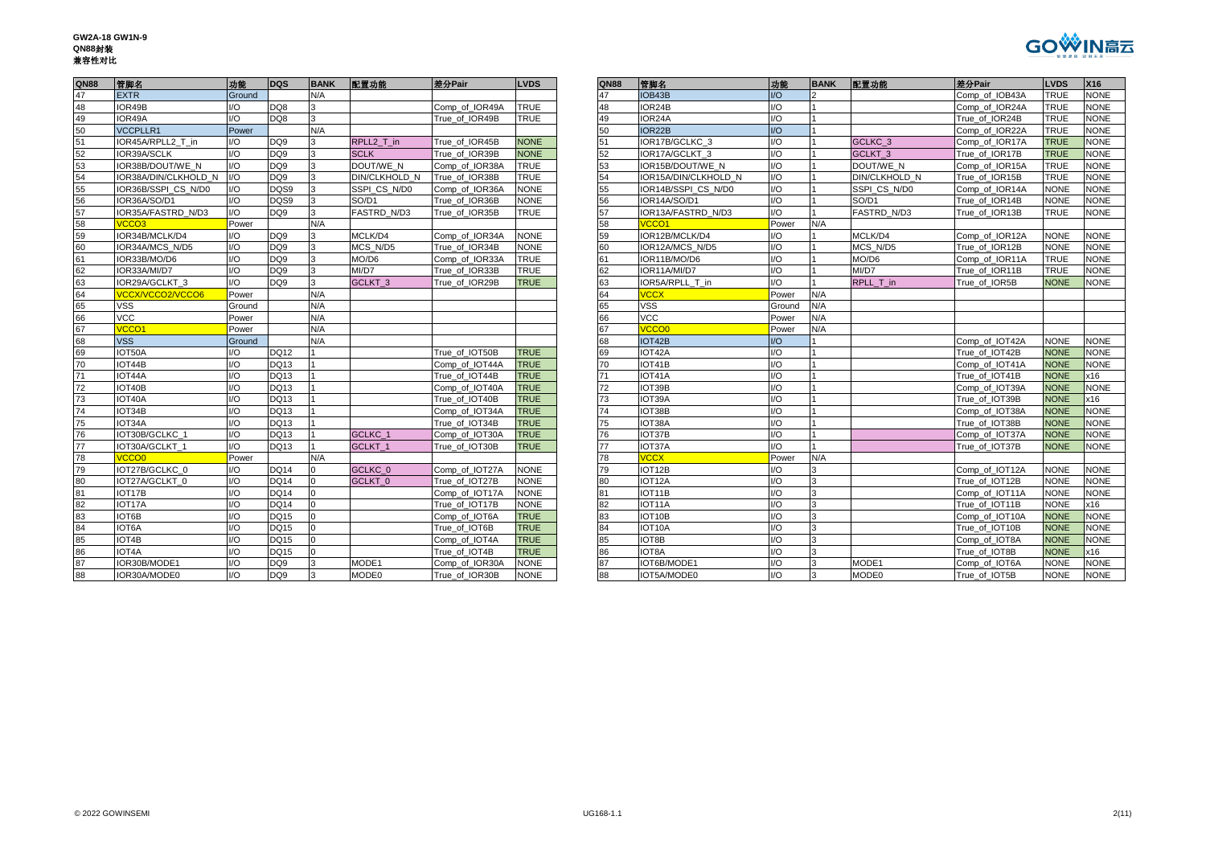**GW2A-18 GW1N-9 QN88**封装 兼容性对比



| <b>QN88</b>     | 管脚名                     | 功能                     | <b>DQS</b>      | <b>BANK</b> | 配置功能                 | 差分Pair         | <b>LVDS</b> | <b>QN88</b> | 管脚名                  | 功能                     | <b>BANK</b> | 配置功能               | 差分Pair         | <b>LVDS</b> | <b>X16</b>  |
|-----------------|-------------------------|------------------------|-----------------|-------------|----------------------|----------------|-------------|-------------|----------------------|------------------------|-------------|--------------------|----------------|-------------|-------------|
| 47              | <b>EXTR</b>             | Ground                 |                 | N/A         |                      |                |             | 47          | IOB43B               | UQ                     |             |                    | Comp of IOB43A | <b>TRUE</b> | <b>NONE</b> |
| 48              | IOR49B                  | I/O                    | DQ8             | વ           |                      | Comp of IOR49A | <b>TRUE</b> | 48          | IOR24B               | UO                     |             |                    | Comp_of_IOR24A | <b>TRUE</b> | <b>NONE</b> |
| 49              | IOR49A                  | I/O                    | DQ8             |             |                      | True of IOR49B | <b>TRUE</b> | 49          | IOR24A               | I/O                    |             |                    | True of IOR24B | <b>TRUE</b> | <b>NONE</b> |
| 50              | <b>VCCPLLR1</b>         | Power                  |                 | N/A         |                      |                |             | 50          | IOR22B               | $UO$                   |             |                    | Comp of IOR22A | <b>TRUE</b> | <b>NONE</b> |
| 51              | IOR45A/RPLL2 T in       | I/O                    | DQ <sub>9</sub> | 3           | RPLL2 T in           | True of IOR45B | <b>NONE</b> | 51          | IOR17B/GCLKC 3       | I/O                    |             | GCLKC 3            | Comp of IOR17A | <b>TRUE</b> | <b>NONE</b> |
| $\frac{52}{53}$ | IOR39A/SCLK             | I/O                    | DQ <sub>9</sub> |             | <b>SCLK</b>          | True of IOR39B | <b>NONE</b> | 52          | IOR17A/GCLKT 3       | I/O                    |             | GCLKT <sub>3</sub> | True of IOR17B | <b>TRUE</b> | <b>NONE</b> |
|                 | IOR38B/DOUT/WE N        | I/O                    | DQ9             |             | DOUT/WE N            | Comp of IOR38A | <b>TRUE</b> | 53          | IOR15B/DOUT/WE N     | I/O                    |             | DOUT/WE N          | Comp of IOR15A | <b>TRUE</b> | <b>NONE</b> |
| 54              | IOR38A/DIN/CLKHOLD N    | I/O                    | DQ <sub>9</sub> |             | <b>DIN/CLKHOLD_N</b> | True of IOR38B | <b>TRUE</b> | 54          | IOR15A/DIN/CLKHOLD N | $\mathsf{U}\mathsf{O}$ |             | DIN/CLKHOLD N      | True of IOR15B | <b>TRUE</b> | <b>NONE</b> |
| 55              | IOR36B/SSPI CS N/D0     | I/O                    | DQS9            |             | SSPI CS N/D0         | Comp of IOR36A | <b>NONE</b> | 55          | IOR14B/SSPI CS N/D0  | $\mathsf{U}\mathsf{O}$ |             | SSPI CS N/D0       | Comp of IOR14A | <b>NONE</b> | <b>NONE</b> |
| 56              | IOR36A/SO/D1            | I/O                    | DQS9            |             | SO/D1                | True of IOR36B | <b>NONE</b> | 56          | IOR14A/SO/D1         | I/O                    |             | SO/D1              | True of IOR14B | <b>NONE</b> | <b>NONE</b> |
| 57              | IOR35A/FASTRD N/D3      | I/O                    | DQ <sub>9</sub> |             | <b>FASTRD N/D3</b>   | True of IOR35B | <b>TRUE</b> | 57          | IOR13A/FASTRD N/D3   | I/O                    |             | FASTRD N/D3        | True of IOR13B | <b>TRUE</b> | <b>NONE</b> |
| 58              | <b>VCCO3</b>            | Power                  |                 | N/A         |                      |                |             | 58          | VCCO <sub>1</sub>    | Power                  | N/A         |                    |                |             |             |
| 59              | IOR34B/MCLK/D4          | I/O                    | DQ <sub>9</sub> |             | MCLK/D4              | Comp of IOR34A | <b>NONE</b> | 59          | IOR12B/MCLK/D4       | I/O                    |             | MCLK/D4            | Comp of IOR12A | <b>NONE</b> | <b>NONE</b> |
| 60              | IOR34A/MCS N/D5         | I/O                    | DQ <sub>9</sub> |             | MCS N/D5             | True of IOR34B | <b>NONE</b> | 60          | IOR12A/MCS N/D5      | U                      |             | MCS N/D5           | True of IOR12B | <b>NONE</b> | <b>NONE</b> |
| 61              | IOR33B/MO/D6            | I/O                    | DQ9             |             | MO/D6                | Comp of IOR33A | <b>TRUE</b> | 61          | IOR11B/MO/D6         | I/O                    |             | MO/D6              | Comp of IOR11A | <b>TRUE</b> | <b>NONE</b> |
| 62              | IOR33A/MI/D7            | I/O                    | DQ <sub>9</sub> |             | MI/D7                | True of IOR33B | <b>TRUE</b> | 62          | IOR11A/MI/D7         | I/O                    |             | MI/D7              | True of IOR11B | <b>TRUE</b> | <b>NONE</b> |
| 63              | IOR29A/GCLKT 3          | I/O                    | DQ <sub>9</sub> |             | GCLKT <sub>3</sub>   | True of IOR29B | <b>TRUE</b> | 63          | IOR5A/RPLL T in      | I/O                    |             | RPLL T in          | True of IOR5B  | <b>NONE</b> | <b>NONE</b> |
| 64              | <b>VCCX/VCCO2/VCCO6</b> | Power                  |                 | N/A         |                      |                |             | 64          | <b>VCCX</b>          | Power                  | N/A         |                    |                |             |             |
| 65              | <b>VSS</b>              | Ground                 |                 | N/A         |                      |                |             | 65          | <b>VSS</b>           | Ground                 | N/A         |                    |                |             |             |
| 66              | <b>VCC</b>              | Power                  |                 | N/A         |                      |                |             | 66          | <b>VCC</b>           | Power                  | N/A         |                    |                |             |             |
| 67              | VCCO <sub>1</sub>       | Power                  |                 | N/A         |                      |                |             | 67          | VCCO <sub>0</sub>    | Power                  | N/A         |                    |                |             |             |
| 68              | <b>VSS</b>              | Ground                 |                 | N/A         |                      |                |             | 68          | IOT42B               | $\overline{U}$         |             |                    | Comp of IOT42A | <b>NONE</b> | <b>NONE</b> |
| 69              | IOT50A                  | I/O                    | <b>DQ12</b>     |             |                      | True of IOT50B | <b>TRUE</b> | 69          | IOT42A               | I/O                    |             |                    | True of IOT42B | <b>NONE</b> | <b>NONE</b> |
| 70              | IOT44B                  | I/O                    | <b>DQ13</b>     |             |                      | Comp of IOT44A | <b>TRUE</b> | 70          | IOT41B               | I/O                    |             |                    | Comp of IOT41A | <b>NONE</b> | <b>NONE</b> |
| 71              | IOT44A                  | I/O                    | DQ13            |             |                      | True_of_IOT44B | <b>TRUE</b> | 71          | IOT41A               | I/O                    |             |                    | True_of_IOT41B | <b>NONE</b> | x16         |
| 72              | IOT40B                  | I/O                    | <b>DQ13</b>     |             |                      | Comp of IOT40A | <b>TRUE</b> | 72          | IOT39B               | I/O                    |             |                    | Comp of IOT39A | <b>NONE</b> | <b>NONE</b> |
| 73              | IOT40A                  | I/O                    | DQ13            |             |                      | True of IOT40B | <b>TRUE</b> | 73          | IOT39A               | I/O                    |             |                    | True of IOT39B | <b>NONE</b> | <b>x16</b>  |
| 74              | IOT34B                  | I/O                    | <b>DQ13</b>     |             |                      | Comp of IOT34A | <b>TRUE</b> | 74          | IOT38B               | I/O                    |             |                    | Comp of IOT38A | <b>NONE</b> | NONE        |
| 75              | IOT34A                  | I/O                    | DQ13            |             |                      | True_of_IOT34B | <b>TRUE</b> | 75          | IOT38A               | I/O                    |             |                    | True_of_IOT38B | <b>NONE</b> | NONE        |
| 76              | IOT30B/GCLKC 1          | I/O                    | <b>DQ13</b>     |             | GCLKC 1              | Comp_of_IOT30A | <b>TRUE</b> | 76          | IOT37B               | I/O                    |             |                    | Comp_of_IOT37A | <b>NONE</b> | <b>NONE</b> |
| 77              | IOT30A/GCLKT 1          | I/O                    | <b>DQ13</b>     |             | GCLKT <sub>1</sub>   | True of IOT30B | <b>TRUE</b> | 77          | IOT37A               | I/O                    |             |                    | True of IOT37B | <b>NONE</b> | <b>NONE</b> |
| 78              | <b>VCCO0</b>            | Power                  |                 | N/A         |                      |                |             | 78          | <b>VCCX</b>          | Power                  | N/A         |                    |                |             |             |
| 79              | IOT27B/GCLKC 0          | I/O                    | <b>DQ14</b>     |             | GCLKC 0              | Comp of IOT27A | <b>NONE</b> | 79          | IOT12B               | I/O                    |             |                    | Comp of IOT12A | <b>NONE</b> | <b>NONE</b> |
| 80              | IOT27A/GCLKT 0          | I/O                    | <b>DQ14</b>     |             | GCLKT 0              | True of IOT27B | <b>NONE</b> | 80          | IOT <sub>12</sub> A  | I/O                    |             |                    | True of IOT12B | <b>NONE</b> | <b>NONE</b> |
| 81              | IOT17B                  | I/O                    | <b>DQ14</b>     |             |                      | Comp_of_IOT17A | <b>NONE</b> |             | IOT11B               | I/O                    |             |                    | Comp_of_IOT11A | <b>NONE</b> | <b>NONE</b> |
| 82              | IOT17A                  | I/O                    | <b>DQ14</b>     |             |                      | True of IOT17B | <b>NONE</b> | 82          | IOT11A               | I/O                    |             |                    | True of IOT11B | <b>NONE</b> | x16         |
| 83              | IOT6B                   | I/O                    | <b>DQ15</b>     |             |                      | Comp of IOT6A  | <b>TRUE</b> | 83          | IOT10B               | I/O                    |             |                    | Comp of IOT10A | <b>NONE</b> | <b>NONE</b> |
| 84              | IOT6A                   | I/O                    | <b>DQ15</b>     |             |                      | True of IOT6B  | <b>TRUE</b> | 84          | IOT10A               | I/O                    | 3           |                    | True_of_IOT10B | <b>NONE</b> | NONE        |
| 85              | IOT4B                   | I/O                    | <b>DQ15</b>     |             |                      | Comp_of_IOT4A  | <b>TRUE</b> | 85          | IOT8B                | I/O                    |             |                    | Comp_of_IOT8A  | <b>NONE</b> | NONE        |
| 86              | IOT4A                   | $\mathsf{U}\mathsf{O}$ | <b>DQ15</b>     |             |                      | True_of_IOT4B  | <b>TRUE</b> | 86          | IOT8A                | $U$ O                  | વ           |                    | True_of_IOT8B  | <b>NONE</b> | <b>x16</b>  |
| 87              | IOR30B/MODE1            | I/O                    | DQ <sub>9</sub> |             | MODE1                | Comp of IOR30A | <b>NONE</b> | 87          | IOT6B/MODE1          | I/O                    |             | MODE1              | Comp of IOT6A  | <b>NONE</b> | <b>NONE</b> |
| 88              | IOR30A/MODE0            | I/O                    | DQ <sub>9</sub> |             | MODE0                | True of IOR30B | <b>NONE</b> | 88          | IOT5A/MODE0          | I/O                    |             | MODE0              | True of IOT5B  | <b>NONE</b> | <b>NONE</b> |

| QN88 | 管脚名                       | 功能                      | <b>DQS</b>      | <b>BANK</b>  | 配置功能               | 差分Pair         | <b>LVDS</b> |
|------|---------------------------|-------------------------|-----------------|--------------|--------------------|----------------|-------------|
| 47   | <b>EXTR</b>               | <b>Ground</b>           |                 | N/A          |                    |                |             |
| 48   | IOR49B                    | I/O                     | DQ8             |              |                    | Comp of IOR49A | <b>TRUE</b> |
| 49   | IOR49A                    | I/O                     | DQ8             | 3            |                    | True_of_IOR49B | <b>TRUE</b> |
| 50   | <b>VCCPLLR1</b>           | Power                   |                 | N/A          |                    |                |             |
| 51   | IOR45A/RPLL2 T in         | I/O                     | DQ <sub>9</sub> |              | RPLL2 T in         | True of IOR45B | <b>NONE</b> |
| 52   | IOR39A/SCLK               | I/O                     | DQ <sub>9</sub> |              | <b>SCLK</b>        | True of IOR39B | <b>NONE</b> |
| 53   | IOR38B/DOUT/WE N          | I/O                     | DQ <sub>9</sub> |              | DOUT/WE N          | Comp of IOR38A | <b>TRUE</b> |
| 54   | IOR38A/DIN/CLKHOLD N      | $U$                     | DQ <sub>9</sub> |              | DIN/CLKHOLD N      | True of IOR38B | <b>TRUE</b> |
| 55   | IOR36B/SSPI CS N/D0       | $\mathsf{I}/\mathsf{O}$ | DQS9            |              | SSPI CS N/D0       | Comp of IOR36A | <b>NONE</b> |
| 56   | IOR36A/SO/D1              | I/O                     | DQS9            |              | SO/D1              | True_of_IOR36B | <b>NONE</b> |
| 57   | <b>IOR35A/FASTRD N/D3</b> | I/O                     | DQ <sub>9</sub> |              | FASTRD N/D3        | True of IOR35B | <b>TRUE</b> |
| 58   | /CCO <sub>3</sub>         | Power                   |                 | N/A          |                    |                |             |
| 59   | IOR34B/MCLK/D4            | I/O                     | DQ <sub>9</sub> |              | MCLK/D4            | Comp of IOR34A | <b>NONE</b> |
| 60   | IOR34A/MCS N/D5           | $\mathsf{I}/\mathsf{O}$ | DQ <sub>9</sub> |              | MCS N/D5           | True of IOR34B | <b>NONE</b> |
| 61   | IOR33B/MO/D6              | I/O                     | DQ <sub>9</sub> |              | MO/D6              | Comp of IOR33A | <b>TRUE</b> |
| 62   | IOR33A/MI/D7              | I/O                     | DQ <sub>9</sub> | 3            | MI/D7              | True of IOR33B | <b>TRUE</b> |
| 63   | IOR29A/GCLKT 3            | I/O                     | DO <sub>9</sub> | $\mathbf{r}$ | GCLKT <sub>3</sub> | True of IOR29B | <b>TRUE</b> |
| 64   | <b>VCCX/VCCO2/VCCO6</b>   | Power                   |                 | N/A          |                    |                |             |
| 65   | VSS                       | Ground                  |                 | N/A          |                    |                |             |
| 66   | VCC                       | Power                   |                 | N/A          |                    |                |             |
| 67   | <b>VCCO1</b>              | Power                   |                 | N/A          |                    |                |             |
| 68   | <b>VSS</b>                | Ground                  |                 | N/A          |                    |                |             |
| 69   | IOT50A                    | I/O                     | DQ12            |              |                    | True of IOT50B | <b>TRUE</b> |
| 70   | IOT44B                    | I/O                     | DQ13            |              |                    | Comp of IOT44A | <b>TRUE</b> |
| 71   | IOT44A                    | I/O                     | <b>DQ13</b>     |              |                    | True of IOT44B | <b>TRUE</b> |
| 72   | IOT40B                    | I/O                     | <b>DQ13</b>     |              |                    | Comp of IOT40A | <b>TRUE</b> |
| 73   | IOT40A                    | 1/O                     | <b>DQ13</b>     |              |                    | True of IOT40B | <b>TRUE</b> |
| 74   | IOT34B                    | I/O                     | <b>DQ13</b>     |              |                    | Comp of IOT34A | <b>TRUE</b> |
| 75   | IOT34A                    | I/O                     | DQ13            |              |                    | True of IOT34B | <b>TRUE</b> |
| 76   | IOT30B/GCLKC ·            | I/O                     | <b>DQ13</b>     |              | GCLKC 1            | Comp of IOT30A | <b>TRUE</b> |
| 77   | IOT30A/GCLKT 1            | 1/O                     | DQ13            |              | GCLKT <sub>1</sub> | True of IOT30B | <b>TRUE</b> |
| 78   | <b>VCCO0</b>              | Power                   |                 | N/A          |                    |                |             |
| 79   | IOT27B/GCLKC 0            | 1/O                     | <b>DQ14</b>     |              | GCLKC <sub>0</sub> | Comp of IOT27A | <b>NONE</b> |
| 80   | IOT27A/GCLKT 0            | I/O                     | <b>DQ14</b>     |              | GCLKT <sub>0</sub> | True of IOT27B | <b>NONE</b> |
| 81   | IOT17B                    | $\mathsf{I}/\mathsf{O}$ | <b>DQ14</b>     | $\Omega$     |                    | Comp of IOT17A | <b>NONE</b> |
| 82   | IOT17A                    | I/O                     | <b>DQ14</b>     |              |                    | True of IOT17B | <b>NONE</b> |
| 83   | IOT6B                     | I/O                     | <b>DQ15</b>     |              |                    | Comp_of_IOT6A  | <b>TRUE</b> |
| 84   | IOT6A                     | I/O                     | <b>DQ15</b>     |              |                    | True of IOT6B  | <b>TRUE</b> |
| 85   | IOT4B                     | I/O                     | <b>DQ15</b>     | $\Omega$     |                    | Comp of IOT4A  | <b>TRUE</b> |
| 86   | IOT4A                     | I/O                     | <b>DQ15</b>     |              |                    | True of IOT4B  | <b>TRUE</b> |
| 87   | IOR30B/MODE1              | I/O                     | DQ <sub>9</sub> |              | MODE1              | Comp of IOR30A | <b>NONE</b> |
| 88   | IOR30A/MODE0              | 1/O                     | <b>DO9</b>      |              | MODE0              | True of IOR30B | <b>NONE</b> |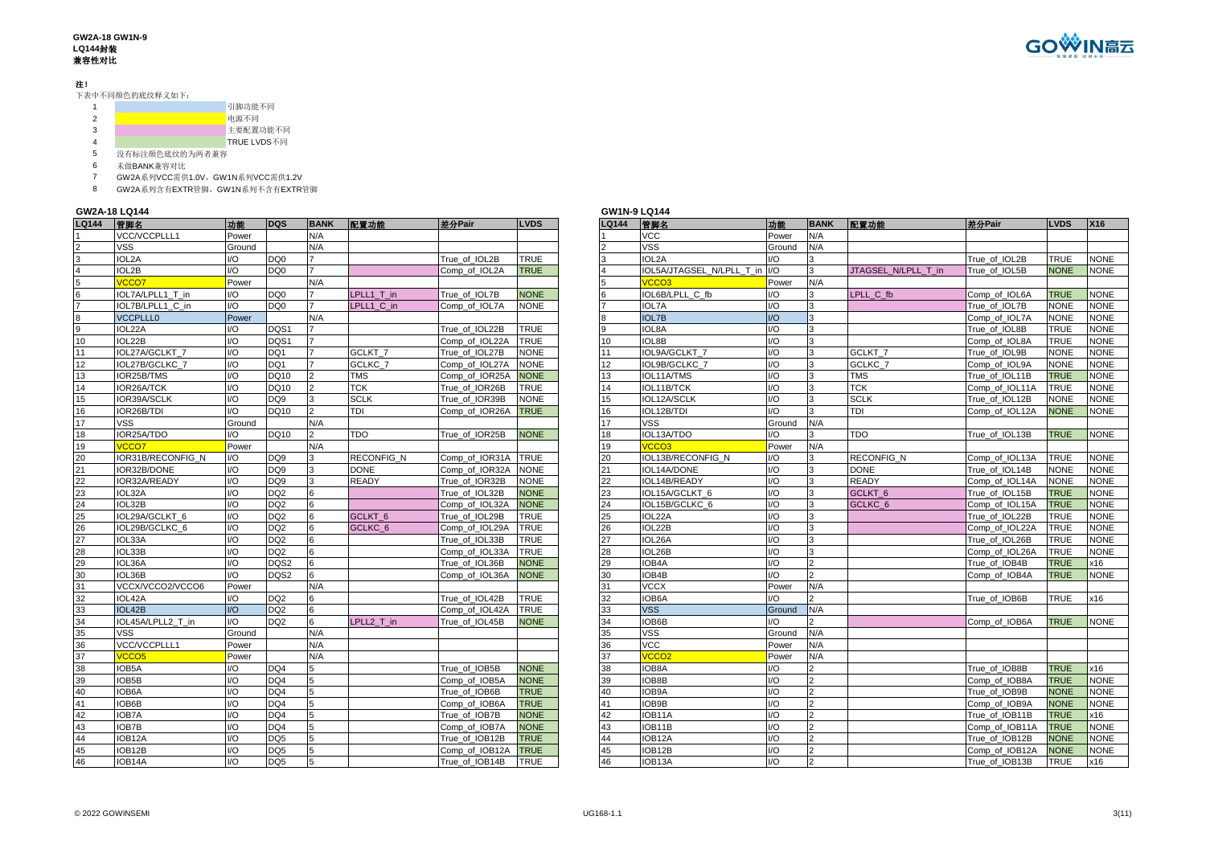#### **GW2A-18 GW1N-9 LQ144**封装 兼容性对比

### 注!

下表中不同颜色的底纹释义如下:

|   |   | 引脚功能不同      |
|---|---|-------------|
| 2 |   | 电源不同        |
| 3 |   | 主要配置功能不同    |
| 4 |   | TRUE LVDS不同 |
|   | . |             |

没有标注颜色底纹的为两者兼容

未做BANK兼容对比

GW2A系列VCC需供1.0V,GW1N系列VCC需供1.2V

GW2A系列含有EXTR管脚,GW1N系列不含有EXTR管脚

### **GW2A-18 LQ144**

| LQ144                     | 管脚名               | 功能     | <b>DQS</b>      | <b>BANK</b>    | 配置功能               | 差分Pair         | <b>LVDS</b> | LQ144 | 管脚名                           | 功能            | <b>BA</b>      |
|---------------------------|-------------------|--------|-----------------|----------------|--------------------|----------------|-------------|-------|-------------------------------|---------------|----------------|
|                           | VCC/VCCPLLL1      | Power  |                 | N/A            |                    |                |             |       | <b>VCC</b>                    | Power         | N/A            |
|                           | <b>VSS</b>        | Ground |                 | N/A            |                    |                |             |       | <b>VSS</b>                    | Ground        | N/A            |
| $\ensuremath{\mathsf{3}}$ | IOL2A             | I/O    | DQ0             | $\overline{7}$ |                    | True of IOL2B  | <b>TRUE</b> | 3     | IOL2A                         | 1/O           | 3              |
| $\overline{4}$            | IOL2B             | 1/O    | DO <sub>0</sub> | 7              |                    | Comp of IOL2A  | <b>TRUE</b> |       | IOL5A/JTAGSEL N/LPLL T in I/O |               | 3              |
| $\overline{5}$            | <b>VCCO7</b>      | Power  |                 | N/A            |                    |                |             | 5     | VCCO <sub>3</sub>             | Power         | N/A            |
| $6\phantom{a}$            | IOL7A/LPLL1 T in  | I/O    | DQ <sub>0</sub> | $\overline{7}$ | LPLL1 T in         | True of IOL7B  | <b>NONE</b> |       | IOL6B/LPLL C fb               | I/O           | 3              |
| 7                         | IOL7B/LPLL1 C in  | I/O    | DQ <sub>0</sub> |                | LPLL1 C in         | Comp_of_IOL7A  | <b>NONE</b> |       | <b>IOL7A</b>                  | I/O           | 3              |
| 8                         | <b>VCCPLLL0</b>   | Power  |                 | N/A            |                    |                |             | 8     | <b>IOL7B</b>                  | $1/O$         | 3              |
| $\overline{9}$            | IOL22A            | I/O    | DQS1            | 7              |                    | True of IOL22B | TRUE        | 9     | IOL8A                         | 1/O           | 3              |
| 10                        | IOL22B            | 1/O    | DQS1            |                |                    | Comp of IOL22A | <b>TRUE</b> | 10    | IOL8B                         | $\mathsf{IO}$ | 3              |
| 11                        | IOL27A/GCLKT 7    | 1/O    | DQ1             | $\overline{7}$ | GCLKT <sub>7</sub> | True of IOL27B | <b>NONE</b> | 11    | IOL9A/GCLKT 7                 | $\mathsf{IO}$ | $\overline{3}$ |
| 12                        | IOL27B/GCLKC 7    | I/O    | DQ1             |                | GCLKC 7            | Comp_of_IOL27A | <b>NONE</b> | 12    | IOL9B/GCLKC 7                 | I/O           | 3              |
| 13                        | IOR25B/TMS        | I/O    | DQ10            | $\overline{2}$ | <b>TMS</b>         | Comp_of_IOR25A | <b>NONE</b> | 13    | IOL11A/TMS                    | $1/O$         | 3              |
| 14                        | IOR26A/TCK        | I/O    | DQ10            | $\overline{2}$ | <b>TCK</b>         | True of IOR26B | <b>TRUE</b> | 14    | IOL11B/TCK                    | 1/O           | 3              |
| 15                        | IOR39A/SCLK       | I/O    | DQ <sub>9</sub> | 3              | <b>SCLK</b>        | True of IOR39B | <b>NONE</b> | 15    | IOL12A/SCLK                   | I/O           | 3              |
| 16                        | IOR26B/TDI        | 1/O    | DQ10            | $\overline{2}$ | <b>TDI</b>         | Comp of IOR26A | <b>TRUE</b> | 16    | IOL12B/TDI                    | I/O           | 3              |
| 17                        | <b>VSS</b>        | Ground |                 | N/A            |                    |                |             | 17    | <b>VSS</b>                    | Ground        | N/A            |
| 18                        | IOR25A/TDO        | I/O    | DQ10            | $\overline{2}$ | <b>TDO</b>         | True_of_IOR25B | <b>NONE</b> | 18    | IOL13A/TDO                    | 1/O           | 3              |
| 19                        | <b>VCCO7</b>      | Power  |                 | N/A            |                    |                |             | 19    | VCCO <sub>3</sub>             | Power         | N/A            |
| 20                        | IOR31B/RECONFIG N | 1/O    | DQ <sub>9</sub> | 3              | <b>RECONFIG N</b>  | Comp of IOR31A | <b>TRUE</b> | 20    | IOL13B/RECONFIG N             | I/O           | 3              |
| 21                        | IOR32B/DONE       | 1/O    | DQ <sub>9</sub> | 3              | <b>DONE</b>        | Comp of IOR32A | <b>NONE</b> | 21    | IOL14A/DONE                   | I/O           | 3              |
| 22                        | IOR32A/READY      | 1/O    | DQ <sub>9</sub> | 3              | <b>READY</b>       | True_of_IOR32B | <b>NONE</b> | 22    | IOL14B/READY                  | $1/O$         | 3              |
| 23                        | IOL32A            | I/O    | DQ <sub>2</sub> | 6              |                    | True of IOL32B | <b>NONE</b> | 23    | IOL15A/GCLKT 6                | $1/O$         | 3              |
| 24                        | IOL32B            | I/O    | DQ <sub>2</sub> | 6              |                    | Comp_of_IOL32A | <b>NONE</b> | 24    | IOL15B/GCLKC 6                | 1/O           | 3              |
| 25                        | IOL29A/GCLKT 6    | I/O    | DQ <sub>2</sub> | 6              | GCLKT <sub>6</sub> | True of IOL29B | <b>TRUE</b> | 25    | IOL22A                        | I/O           | 3              |
| 26                        | IOL29B/GCLKC 6    | I/O    | DQ <sub>2</sub> | 6              | GCLKC <sub>6</sub> | Comp_of_IOL29A | <b>TRUE</b> | 26    | IOL22B                        | I/O           | 3              |
| 27                        | IOL33A            | I/O    | DQ <sub>2</sub> | 6              |                    | True_of_IOL33B | <b>TRUE</b> | 27    | IOL26A                        | 1/O           | 3              |
| 28                        | IOL33B            | I/O    | DQ <sub>2</sub> | 6              |                    | Comp_of_IOL33A | <b>TRUE</b> | 28    | IOL26B                        | $1/O$         | 3              |
| 29                        | IOL36A            | I/O    | DQS2            | 6              |                    | True of IOL36B | <b>NONE</b> | 29    | IOB4A                         | 1/O           | $\overline{2}$ |
| 30                        | IOL36B            | U      | DQS2            | 6              |                    | Comp of IOL36A | <b>NONE</b> | 30    | IOB4B                         | I/O           | $\overline{2}$ |
| 31                        | VCCX/VCCO2/VCCO6  | Power  |                 | N/A            |                    |                |             | 31    | <b>VCCX</b>                   | Power         | N/A            |
| 32                        | IOL42A            | I/O    | DQ <sub>2</sub> | 6              |                    | True_of_IOL42B | <b>TRUE</b> | 32    | IOB6A                         | 1/O           |                |
| 33                        | IOL42B            | UQ     | DQ <sub>2</sub> | 6              |                    | Comp of IOL42A | <b>TRUE</b> | 33    | <b>VSS</b>                    | Ground        | N/A            |
| 34                        | IOL45A/LPLL2 T in | I/O    | DO <sub>2</sub> | 6              | LPLL2 T in         | True of IOL45B | <b>NONE</b> | 34    | IOB6B                         | 1/O           | 2              |
| 35                        | <b>VSS</b>        | Ground |                 | N/A            |                    |                |             | 35    | <b>VSS</b>                    | Ground        | N/A            |
| 36                        | VCC/VCCPLLL1      | Power  |                 | N/A            |                    |                |             | 36    | <b>VCC</b>                    | Power         | N/A            |
| 37                        | <b>VCCO5</b>      | Power  |                 | N/A            |                    |                |             | 37    | VCCO <sub>2</sub>             | Power         | N/A            |
| 38                        | IOB5A             | I/O    | DQ4             | 5              |                    | True of IOB5B  | <b>NONE</b> | 38    | IOB8A                         | I/O           | $\overline{2}$ |
| 39                        | IOB5B             | I/O    | DQ4             | 5              |                    | Comp of IOB5A  | <b>NONE</b> | 39    | IOB8B                         | 1/O           | $\overline{a}$ |
| 40                        | IOB6A             | I/O    | DQ4             | 5              |                    | True of IOB6B  | <b>TRUE</b> | 40    | IOB9A                         | 1/O           | $\overline{c}$ |
| 41                        | IOB6B             | I/O    | DQ4             | 5              |                    | Comp_of_IOB6A  | <b>TRUE</b> | 41    | IOB9B                         | $\mathsf{IO}$ | $\overline{2}$ |
| 42                        | IOB7A             | I/O    | DQ4             | 5              |                    | True of IOB7B  | <b>NONE</b> | 42    | IOB11A                        | 1/O           | $\overline{c}$ |
| 43                        | IOB7B             | I/O    | DQ4             | 5              |                    | Comp of IOB7A  | <b>NONE</b> | 43    | IOB11B                        | 1/O           | $\overline{2}$ |
| 44                        | IOB12A            | I/O    | DQ <sub>5</sub> | 5              |                    | True of IOB12B | <b>TRUE</b> | 44    | IOB12A                        | I/O           | $\overline{2}$ |
| 45                        | IOB12B            | I/O    | DQ <sub>5</sub> | 5              |                    | Comp_of_IOB12A | <b>TRUE</b> | 45    | IOB12B                        | I/O           | $\overline{2}$ |
| 46                        | IOB14A            | 1/O    | DQ <sub>5</sub> | 5              |                    | True_of_IOB14B | <b>TRUE</b> | 46    | IOB13A                        | UQ            | $\overline{2}$ |

|              | GW2A-18 LQ144           |                |                 |             |                    |                |             | <b>GW1N-9 LQ144</b> |                               |                         |                |                     |                |             |             |
|--------------|-------------------------|----------------|-----------------|-------------|--------------------|----------------|-------------|---------------------|-------------------------------|-------------------------|----------------|---------------------|----------------|-------------|-------------|
| <b>LQ144</b> | 管脚名                     | 功能             | <b>DQS</b>      | <b>BANK</b> | 配置功能               | 差分Pair         | <b>LVDS</b> | <b>LQ144</b>        | 管脚名                           | 功能                      | <b>BANK</b>    | 配置功能                | 差分Pair         | <b>LVDS</b> | X16         |
|              | VCC/VCCPLLL1            | Power          |                 | N/A         |                    |                |             |                     | <b>VCC</b>                    | Power                   | N/A            |                     |                |             |             |
|              | VSS                     | Ground         |                 | N/A         |                    |                |             |                     | <b>VSS</b>                    | Ground                  | N/A            |                     |                |             |             |
|              | IOL2A                   | I/O            | DQ <sub>0</sub> |             |                    | True of IOL2B  | <b>TRUE</b> |                     | IOL2A                         | I/O                     | 3              |                     | True of IOL2B  | TRUE        | <b>NONE</b> |
|              | IOL2B                   | I/O            | DQ <sub>0</sub> |             |                    | Comp of IOL2A  | <b>TRUE</b> |                     | IOL5A/JTAGSEL N/LPLL T in I/O |                         | 3              | JTAGSEL N/LPLL T in | True of IOL5B  | <b>NONE</b> | <b>NONE</b> |
|              | <b>VCCO7</b>            | Power          |                 | N/A         |                    |                |             |                     | VCCO <sub>3</sub>             | Power                   | N/A            |                     |                |             |             |
|              | IOL7A/LPLL1 T in        | I/O            | DQ <sub>0</sub> |             | LPLL1 T in         | True of IOL7B  | <b>NONE</b> |                     | IOL6B/LPLL C fb               | I/O                     | 3              | LPLL C fb           | Comp_of_IOL6A  | <b>TRUE</b> | <b>NONE</b> |
|              | IOL7B/LPLL1 C in        | 1/O            | DQ0             |             | LPLL1_C_in         | Comp of IOL7A  | <b>NONE</b> |                     | <b>IOL7A</b>                  | I/O                     |                |                     | True of IOL7B  | <b>NONE</b> | <b>NONE</b> |
| 8            | <b>VCCPLLL0</b>         | Power          |                 | N/A         |                    |                |             |                     | <b>IOL7B</b>                  | $\mathsf{I}/\mathsf{O}$ | l R            |                     | Comp of IOL7A  | <b>NONE</b> | <b>NONE</b> |
| g            | IOL22A                  | I/O            | DQS1            |             |                    | True_of_IOL22B | <b>TRUE</b> |                     | <b>IOL8A</b>                  | I/O                     | $\mathbf{B}$   |                     | True of IOL8B  | TRUE        | <b>NONE</b> |
| 10           | IOL22B                  | I/O            | DQS1            |             |                    | Comp of IOL22A | <b>TRUE</b> | 10                  | IOL8B                         | I/O                     | <sup>3</sup>   |                     | Comp of IOL8A  | TRUE        | <b>NONE</b> |
| 11           | IOL27A/GCLKT 7          | I/O            | DQ1             |             | GCLKT <sub>7</sub> | True of IOL27B | <b>NONE</b> |                     | IOL9A/GCLKT 7                 | I/O                     |                | GCLKT <sub>7</sub>  | True of IOL9B  | <b>NONE</b> | <b>NONE</b> |
| 12           | OL27B/GCLKC 7           | I/O            | DQ1             |             | GCLKC 7            | Comp of IOL27A | <b>NONE</b> | 12                  | IOL9B/GCLKC 7                 | I/O                     |                | GCLKC 7             | Comp of IOL9A  | <b>NONE</b> | <b>NONE</b> |
| 13           | IOR25B/TMS              | I/O            | DQ10            |             | TMS                | Comp_of_IOR25A | <b>NONE</b> | 13                  | IOL11A/TMS                    | I/O                     |                | <b>TMS</b>          | True_of_IOL11B | <b>TRUE</b> | <b>NONE</b> |
| 14           | IOR26A/TCK              | I/O            | DQ10            |             | <b>TCK</b>         | True of IOR26B | <b>TRUE</b> | 14                  | IOL11B/TCK                    | I/O                     | 3              | <b>TCK</b>          | Comp of IOL11A | TRUE        | <b>NONE</b> |
| 15           | IOR39A/SCLK             | 1/O            | DQ9             |             | <b>SCLK</b>        | True of IOR39B | <b>NONE</b> | 15                  | IOL12A/SCLK                   | I/O                     | 3              | <b>SCLK</b>         | True of IOL12B | <b>NONE</b> | <b>NONE</b> |
| 16           | IOR26B/TDI              | 1/O            | DQ10            |             | TDI                | Comp_of_IOR26A | <b>TRUE</b> | 16                  | IOL12B/TDI                    | I/O                     | 3              | TDI                 | Comp of IOL12A | <b>VONE</b> | <b>NONE</b> |
| 17           | VSS                     | Ground         |                 | N/A         |                    |                |             | 17                  | <b>VSS</b>                    | Ground                  | N/A            |                     |                |             |             |
| 18           | IOR25A/TDO              | I/O            | DQ10            |             | <b>TDO</b>         | True of IOR25B | <b>NONE</b> | 18                  | IOL13A/TDO                    | I/O                     | 3              | <b>TDO</b>          | True of IOL13B | <b>TRUE</b> | <b>NONE</b> |
| 19           | /CCO7                   | Power          |                 | N/A         |                    |                |             | 19                  | <b>VCCO3</b>                  | Power                   | N/A            |                     |                |             |             |
| 20           | <b>OR31B/RECONFIG N</b> | I/O            | DQ <sub>9</sub> |             | <b>RECONFIG N</b>  | Comp of IOR31A | <b>TRUE</b> |                     | IOL13B/RECONFIG N             | I/O                     |                | <b>RECONFIG N</b>   | Comp of IOL13A | <b>TRUE</b> | <b>NONE</b> |
| 21           | IOR32B/DONE             | U              | DQ9             |             | <b>DONE</b>        | Comp of IOR32A | <b>NONE</b> |                     | IOL14A/DONE                   | I/O                     |                | <b>DONE</b>         | True of IOL14B | <b>NONE</b> | <b>NONE</b> |
| 22           | <b>OR32A/READY</b>      | I/O            | DQ9             |             | <b>READY</b>       | True of IOR32B | <b>NONE</b> |                     | IOL14B/READY                  | I/O                     |                | <b>READY</b>        | Comp of IOL14A | <b>NONE</b> | <b>NONE</b> |
| 23           | IOL32A                  | I/O            | DQ <sub>2</sub> |             |                    | True of IOL32B | <b>NONE</b> | 23                  | IOL15A/GCLKT 6                | I/O                     |                | GCLKT <sub>6</sub>  | True of IOL15B | <b>TRUE</b> | <b>NONE</b> |
| 24           | IOL32B                  | I/O            | DQ <sub>2</sub> |             |                    | Comp_of_IOL32A | <b>NONE</b> | 24                  | IOL15B/GCLKC 6                | I/O                     | 3              | GCLKC <sub>6</sub>  | Comp of IOL15A | <b>TRUE</b> | <b>NONE</b> |
| 25           | IOL29A/GCLKT 6          | 1/O            | DQ <sub>2</sub> |             | GCLKT <sub>6</sub> | True of IOL29B | <b>TRUE</b> | 25                  | IOL22A                        | 1/O                     | 3              |                     | True of IOL22B | <b>TRUE</b> | <b>NONE</b> |
| 26           | IOL29B/GCLKC 6          | 1/O            | DQ <sub>2</sub> |             | GCLKC <sub>6</sub> | Comp of IOL29A | <b>TRUE</b> | 26                  | IOL22B                        | $1/O$                   | 3              |                     | Comp of IOL22A | TRUE        | <b>NONE</b> |
| 27           | IOL33A                  | 1/O            | DQ <sub>2</sub> |             |                    | True of IOL33B | <b>TRUE</b> |                     | IOL26A                        | I/O                     | $\mathbf{B}$   |                     | True of IOL26B | TRUE        | <b>NONE</b> |
| 28           | IOL33B                  | 1/O            | DQ <sub>2</sub> |             |                    | Comp of IOL33A | <b>TRUE</b> | 28                  | IOL26B                        | $1/O$                   | 3              |                     | Comp of IOL26A | TRUE        | <b>NONE</b> |
| 29           | IOL36A                  | 1/O            | DQS2            |             |                    | True of IOL36B | <b>NONE</b> | 29                  | IOB4A                         | I/O                     | $\overline{2}$ |                     | True of IOB4B  | <b>TRUE</b> | x16         |
| 30           | IOL36B                  | 1/O            | DQS2            |             |                    | Comp of IOL36A | <b>NONE</b> | 30                  | IOB4B                         | I/O                     |                |                     | Comp of IOB4A  | <b>TRUE</b> | <b>NONE</b> |
| 31           | VCCX/VCCO2/VCCO6        | Power          |                 | N/A         |                    |                |             |                     | <b>VCCX</b>                   | Power                   | N/A            |                     |                |             |             |
| 32           | IOL42A                  | I/O            | DQ <sub>2</sub> |             |                    | True of IOL42B | TRUE        | 32                  | IOB6A                         | VO                      |                |                     | True of IOB6B  | TRUE        | x16         |
| 33           | IOL42B                  | $\overline{O}$ | DQ <sub>2</sub> |             |                    | Comp of IOL42A | <b>TRUE</b> | 33                  | <b>VSS</b>                    | Ground                  | IN/A           |                     |                |             |             |
| 34           | IOL45A/LPLL2 T in       | U <sup>O</sup> | DQ <sub>2</sub> |             | LPLL2 T in         | True of IOL45B | <b>NONE</b> | 34                  | IOB6B                         | $\overline{O}$          |                |                     | Comp of IOB6A  | <b>TRUE</b> | <b>NONE</b> |
| 35           | VSS                     | Ground         |                 | N/A         |                    |                |             | 35                  | <b>VSS</b>                    | Ground                  | N/A            |                     |                |             |             |
| 36           | VCC/VCCPLLL1            | Power          |                 | N/A         |                    |                |             | 36                  | <b>VCC</b>                    | Power                   | N/A            |                     |                |             |             |
| 37           | VCCO <sub>5</sub>       | Power          |                 | N/A         |                    |                |             | 37                  | VCCO <sub>2</sub>             | Power                   | N/A            |                     |                |             |             |
| 38           | IOB5A                   | I/O            | DQ4             |             |                    | True of IOB5B  | <b>NONE</b> | 38                  | IOB8A                         | I/O                     |                |                     | True of IOB8B  | <b>TRUE</b> | x16         |
| 39           | IOB5B                   | 1/O            | DQ4             |             |                    | Comp of IOB5A  | <b>NONE</b> | 39                  | IOB8B                         | $1/O$                   | $\overline{2}$ |                     | Comp of IOB8A  | <b>TRUE</b> | <b>NONE</b> |
| 40           | IOB6A                   | 1/O            | DQ4             |             |                    | True of IOB6B  | <b>TRUE</b> | 40                  | IOB9A                         | I/O                     | $\overline{2}$ |                     | True of IOB9B  | <b>NONE</b> | <b>NONE</b> |
| 41           | IOB6B                   | U              | DQ4             |             |                    | Comp of IOB6A  | <b>TRUE</b> | 41                  | IOB9B                         | $\mathsf{IO}$           |                |                     | Comp of IOB9A  | <b>NONE</b> | <b>NONE</b> |
| 42           | <b>IOB7A</b>            | I/O            | DQ4             |             |                    | True of IOB7B  | <b>NONE</b> | 42                  | IOB11A                        | I/O                     |                |                     | True of IOB11B | <b>TRUE</b> | x16         |
| 43           | IOB7B                   | I/O            | DQ4             |             |                    | Comp of IOB7A  | <b>NONE</b> | 43                  | IOB11B                        | I/O                     |                |                     | Comp of IOB11A | <b>TRUE</b> | <b>NONE</b> |
| 44           | IOB12A                  | I/O            | DQ5             |             |                    | True of IOB12B | <b>TRUE</b> | 44                  | IOB12A                        | I/O                     | $\overline{2}$ |                     | True of IOB12B | <b>NONE</b> | <b>NONE</b> |
| 45           | IOB12B                  | I/O            | DQ5             |             |                    | Comp of IOB12A | <b>TRUE</b> | 45                  | IOB12B                        | I/O                     | $\overline{2}$ |                     | Comp_of_IOB12A | <b>NONE</b> | <b>NONE</b> |
| 46           | IOB14A                  | 1/O            | DO <sub>5</sub> | 5           |                    | True of IOB14B | <b>TRUE</b> | 46                  | IOB13A                        | $1/O$                   | $\overline{2}$ |                     | True of IOB13B | TRUE        | x16         |

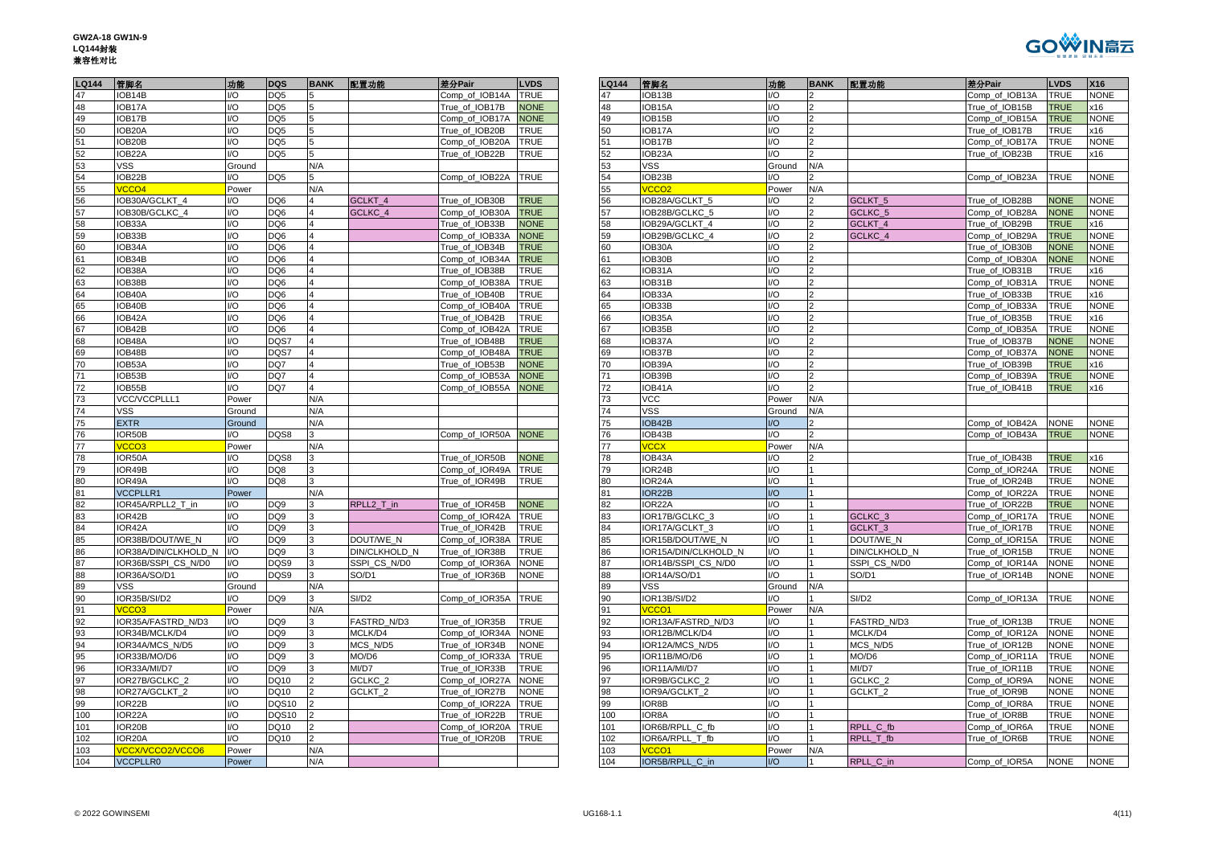| GW2A-18 GW1N-9 |
|----------------|
| LQ144封装        |
| 兼容性对比          |



| LQ144           | 管脚名                  | 功能         | <b>DQS</b>      | <b>BANK</b>             | 配置功能               | 差分Pair         | <b>LVDS</b>         | LQ144      | 管脚名                               | 功能             | <b>BA</b>      |
|-----------------|----------------------|------------|-----------------|-------------------------|--------------------|----------------|---------------------|------------|-----------------------------------|----------------|----------------|
| 47              | IOB14B               | 1/O        | DQ <sub>5</sub> | 5                       |                    | Comp_of_IOB14A | <b>TRUE</b>         | 47         | IOB13B                            | I/O            | $\overline{2}$ |
| 48              | IOB17A               | 1/O        | DQ <sub>5</sub> | 5                       |                    | True of IOB17B | <b>NONE</b>         | 48         | IOB15A                            | 1/O            | $\overline{2}$ |
| 49              | IOB17B               | I/O        | DQ <sub>5</sub> | 5                       |                    | Comp_of_IOB17A | <b>NONE</b>         | 49         | IOB15B                            | I/O            | $\overline{2}$ |
|                 | IOB20A               | I/O        | DQ5             | 5                       |                    | True_of_IOB20B | <b>TRUE</b>         | 50         | IOB17A                            | I/O            | $\overline{2}$ |
| $\frac{50}{51}$ | IOB20B               | 1/O        | DQ <sub>5</sub> | 5                       |                    | Comp of IOB20A | <b>TRUE</b>         | 51         | IOB17B                            | I/O            |                |
| 52              | IOB22A               | 1/O        | DQ5             | 5                       |                    | True_of_IOB22B | <b>TRUE</b>         | 52         | IOB <sub>23</sub> A               | I/O            | $\overline{2}$ |
| 53              | <b>VSS</b>           | Ground     |                 | N/A                     |                    |                |                     | 53         | VSS                               | Ground         | N/A            |
| 54              | IOB22B               | 1/O        | DQ <sub>5</sub> | 5                       |                    | Comp of IOB22A | <b>TRUE</b>         | 54         | IOB23B                            | I/O            |                |
| 55              | VCCO <sub>4</sub>    | Power      |                 | N/A                     |                    |                |                     | 55         | VCCO <sub>2</sub>                 | Power          | N/A            |
| 56              | IOB30A/GCLKT_4       | I/O        | DQ6             | 4                       | GCLKT_4            | True_of_IOB30B | <b>TRUE</b>         | 56         | IOB28A/GCLKT_5                    | I/O            |                |
| 57              | IOB30B/GCLKC 4       | I/O        | DQ6             | 4                       | GCLKC 4            | Comp_of_IOB30A | <b>TRUE</b>         | 57         | IOB28B/GCLKC_5                    | I/O            | $\overline{2}$ |
| 58              | IOB33A               | I/O        | DQ6             | $\overline{4}$          |                    | True_of_IOB33B | <b>NONE</b>         | 58         | IOB29A/GCLKT 4                    | I/O            | $\overline{2}$ |
| 59              | IOB33B               | I/O        | DQ6             | $\overline{\mathbf{A}}$ |                    | Comp_of_IOB33A | <b>NONE</b>         | 59         | IOB29B/GCLKC_4                    | I/O            | $\overline{c}$ |
| 60              | IOB34A               | I/O        | DQ6             | 4                       |                    | True of IOB34B | <b>TRUE</b>         | 60         | IOB30A                            | I/O            | $\overline{2}$ |
| 61              | IOB34B               | 1/O        | DQ <sub>6</sub> |                         |                    | Comp of IOB34A | <b>TRUE</b>         | 61         | IOB30B                            | 1/O            | $\overline{2}$ |
| 62              | IOB38A               | 1/O        | DQ <sub>6</sub> | $\overline{4}$          |                    | True of IOB38B | <b>TRUE</b>         | 62         | IOB31A                            | I/O            | $\overline{c}$ |
| 63              |                      | 1/O        | DQ <sub>6</sub> | $\overline{4}$          |                    |                | <b>TRUE</b>         | 63         |                                   | I/O            | $\overline{2}$ |
|                 | IOB38B               |            |                 | $\overline{4}$          |                    | Comp_of_IOB38A |                     |            | IOB31B                            |                |                |
| 64              | IOB40A               | 1/O        | DQ6             |                         |                    | True_of_IOB40B | <b>TRUE</b>         | 64         | IOB33A                            | I/O            | $\overline{2}$ |
| 65              | IOB40B               | 1/O        | DQ <sub>6</sub> | 4                       |                    | Comp of IOB40A | <b>TRUE</b>         | 65         | IOB33B                            | 1/O            | 2              |
| 66              | IOB42A               | I/O        | DQ6             | $\overline{4}$          |                    | True_of_IOB42B | <b>TRUE</b>         | 66         | IOB35A                            | I/O            | $\overline{2}$ |
| 67              | IOB42B               | I/O        | DQ6             | $\overline{4}$          |                    | Comp_of_IOB42A | <b>TRUE</b>         | 67         | IOB35B                            | I/O            | $\overline{2}$ |
| 68              | IOB48A               | 1/O        | DQS7            |                         |                    | True of IOB48B | <b>TRUE</b>         | 68         | IOB37A                            | 1/O            | $\overline{2}$ |
| 69              | IOB48B               | I/O        | DQS7            | $\overline{4}$          |                    | Comp_of_IOB48A | <b>TRUE</b>         | 69         | IOB37B                            | I/O            | $\overline{c}$ |
| 70              | IOB53A               | 1/O        | DQ7             | $\overline{\mathbf{4}}$ |                    | True_of_IOB53B | <b>NONE</b>         | 70         | IOB39A                            | I/O            | $\overline{2}$ |
| 71              | IOB53B               | 1/O        | DQ7             | $\overline{4}$          |                    | Comp_of_IOB53A | <b>NONE</b>         | 71         | IOB39B                            | I/O            | $\overline{2}$ |
| 72              | IOB55B               | 1/O        | DQ7             | 4                       |                    | Comp_of_IOB55A | <b>NONE</b>         | 72         | IOB41A                            | 1/O            | $\overline{2}$ |
| 73              | VCC/VCCPLLL1         | Power      |                 | N/A                     |                    |                |                     | 73         | <b>VCC</b>                        | Power          | N/A            |
| 74              | <b>VSS</b>           | Ground     |                 | N/A                     |                    |                |                     | 74         | <b>VSS</b>                        | Ground         | N/A            |
| 75              | <b>EXTR</b>          | Ground     |                 | N/A                     |                    |                |                     | 75         | IOB42B                            | $\overline{U}$ | $\overline{2}$ |
| 76              | IOR50B               | I/O        | DQS8            | 3                       |                    | Comp_of_IOR50A | <b>NONE</b>         | 76         | IOB43B                            | I/O            | 2              |
| 77              | VCCO <sub>3</sub>    | Power      |                 | N/A                     |                    |                |                     | 77         | <b>VCCX</b>                       | Power          | N/A            |
| 78              | IOR50A               | 1/O        | DQS8            | 3                       |                    | True of IOR50B | <b>NONE</b>         | 78         | IOB43A                            | I/O            | $\overline{2}$ |
| 79              | OR49B                | 1/O        | DQ8             | 3                       |                    | Comp_of_IOR49A | <b>TRUE</b>         | 79         | IOR24B                            | I/O            |                |
| 80              | IOR49A               | 1/O        | DQ8             | 3                       |                    | True of IOR49B | <b>TRUE</b>         | 80         | IOR24A                            | I/O            |                |
| 81              | <b>VCCPLLR1</b>      | Power      |                 | N/A                     |                    |                |                     | 81         | IOR22B                            | $\mathsf{IO}$  |                |
| 82              | IOR45A/RPLL2 T in    | 1/O        | DQ <sub>9</sub> | 3                       | RPLL2 T in         | True of IOR45B | <b>NONE</b>         | 82         | IOR22A                            | I/O            | 1              |
| 83              | IOR42B               | I/O        | DQ <sub>9</sub> | 3                       |                    | Comp_of_IOR42A | <b>TRUE</b>         | 83         | IOR17B/GCLKC_3                    | I/O            |                |
| 84              | IOR42A               | I/O        | DQ <sub>9</sub> | 3                       |                    | True_of_IOR42B | <b>TRUE</b>         | 84         | IOR17A/GCLKT_3                    | I/O            | $\overline{1}$ |
| 85              | IOR38B/DOUT/WE N     | 1/O        | DQ <sub>9</sub> | 3                       | DOUT/WE N          | Comp of IOR38A | <b>TRUE</b>         | 85         | IOR15B/DOUT/WE N                  | I/O            |                |
| 86              | IOR38A/DIN/CLKHOLD N | I/O        | DQ <sub>9</sub> |                         | DIN/CLKHOLD N      | True_of_IOR38B | <b>TRUE</b>         | 86         | IOR15A/DIN/CLKHOLD_N              | I/O            |                |
| 87              | IOR36B/SSPI CS N/D0  | 1/O        | DQS9            | 3                       | SSPI CS N/D0       | Comp of IOR36A | <b>NONE</b>         | 87         | IOR14B/SSPI CS N/D0               | I/O            | 1              |
| 88              | IOR36A/SO/D1         | 1/O        | DQS9            | 3                       | SO/D1              | True of IOR36B | <b>NONE</b>         | 88         | IOR14A/SO/D1                      | I/O            |                |
| 89              | <b>VSS</b>           | Ground     |                 | N/A                     |                    |                |                     | 89         | <b>VSS</b>                        | Ground         | N/A            |
| 90              | IOR35B/SI/D2         | I/O        | DQ <sub>9</sub> | 3                       | SI/D <sub>2</sub>  | Comp_of_IOR35A | <b>TRUE</b>         | 90         | IOR13B/SI/D2                      | I/O            |                |
| 91              | VCCO <sub>3</sub>    | Power      |                 | N/A                     |                    |                |                     | 91         | VCCO <sub>1</sub>                 | Power          | N/A            |
| 92              | IOR35A/FASTRD N/D3   | 1/O        | DQ <sub>9</sub> | 3                       | FASTRD N/D3        | True of IOR35B | <b>TRUE</b>         | 92         | IOR13A/FASTRD N/D3                | I/O            |                |
| 93              | IOR34B/MCLK/D4       | I/O        | DQ <sub>9</sub> |                         | MCLK/D4            | Comp_of_IOR34A | <b>NONE</b>         | 93         | IOR12B/MCLK/D4                    | I/O            |                |
| 94              | IOR34A/MCS N/D5      | I/O        | DQ <sub>9</sub> | 3                       | MCS N/D5           | True of IOR34B | <b>NONE</b>         | 94         | IOR12A/MCS N/D5                   | I/O            |                |
| 95              | IOR33B/MO/D6         | 1/O        | DQ <sub>9</sub> | 3                       | MO/D6              | Comp_of_IOR33A | <b>TRUE</b>         | 95         | IOR11B/MO/D6                      | I/O            |                |
| 96              | IOR33A/MI/D7         | 1/O        | DQ <sub>9</sub> | 3                       | MI/D7              | True_of_IOR33B | <b>TRUE</b>         | 96         | IOR11A/MI/D7                      | I/O            |                |
| 97              | IOR27B/GCLKC_2       | 1/O        | DQ10            | $\overline{2}$          | GCLKC <sub>2</sub> | Comp_of_IOR27A | <b>NONE</b>         | 97         | IOR9B/GCLKC_2                     | I/O            |                |
| 98              | IOR27A/GCLKT_2       | 1/O        | DQ10            | $\overline{2}$          | GCLKT_2            | True_of_IOR27B | <b>NONE</b>         | 98         | IOR9A/GCLKT_2                     | 1/O            |                |
| 99              | IOR22B               | 1/O        | <b>DQS10</b>    | $\overline{2}$          |                    |                | TRUE                | 99         | IOR8B                             | 1/O            |                |
|                 |                      | I/O        | <b>DQS10</b>    | $\overline{2}$          |                    | Comp_of_IOR22A | <b>TRUE</b>         |            | IOR8A                             | I/O            |                |
| 100             | IOR22A               |            |                 |                         |                    | True_of_IOR22B |                     | 100        |                                   |                |                |
| 101             | IOR20B               | 1/O<br>1/O | DQ10            | $\overline{2}$          |                    | Comp of IOR20A | <b>TRUE</b><br>TRUE | 101<br>102 | IOR6B/RPLL C fb                   | I/O<br>1/O     |                |
| 102             | IOR20A               |            | DQ10            |                         |                    | True of IOR20B |                     |            | IOR6A/RPLL T fb                   |                |                |
| 103<br>$\sim$   | VCCX/VCCO2/VCCO6     | Power      |                 | N/A                     |                    |                |                     | 103        | VCCO <sub>1</sub><br>0.0050001001 | Power          | N/A            |

| <b>LQ144</b>    | 管脚名                      | 功能     | DQS             | <b>BANK</b>             | 配置功能               | 差分Pair         | <b>LVDS</b> | LQ144 | 管脚名                      | 功能             | <b>BANK</b> | 配置功能               | 差分Pair         | <b>LVDS</b> | X <sub>16</sub> |
|-----------------|--------------------------|--------|-----------------|-------------------------|--------------------|----------------|-------------|-------|--------------------------|----------------|-------------|--------------------|----------------|-------------|-----------------|
| 47              | IOB14B                   | I/O    | DQ5             | 15                      |                    | Comp of IOB14A | TRUE        | 47    | IOB13B                   | I/O            |             |                    | Comp of IOB13A | <b>TRUE</b> | <b>NONE</b>     |
| 48              | IOB <sub>17</sub> A      | I/O    | DQ <sub>5</sub> | 5                       |                    | True of IOB17B | <b>NONE</b> | 48    | IOB <sub>15</sub> A      | I/O            |             |                    | True of IOB15B | <b>TRUE</b> | x16             |
| 49              | IOB17B                   | I/O    | DQ5             | 5                       |                    | Comp_of_IOB17A | <b>NONE</b> | 49    | IOB15B                   | I/O            |             |                    | Comp_of_IOB15A | <b>TRUE</b> | <b>NONE</b>     |
| 50              | <b>OB20A</b>             | I/O    | DQ5             | 5                       |                    | True of IOB20B | <b>TRUE</b> | 50    | IOB <sub>17</sub> A      | I/O            |             |                    | True of IOB17B | TRUE        | x16             |
| 51              | IOB20B                   | I/O    | DQ5             | 5                       |                    | Comp of IOB20A | <b>TRUE</b> | 51    | IOB17B                   | I/O            |             |                    | Comp_of_IOB17A | <b>TRUE</b> | <b>NONE</b>     |
| 52              | <b>IOB22A</b>            | UQ     | DQ5             | 5                       |                    | True of IOB22B | TRUE        | 52    | IOB <sub>23</sub> A      | I/O            |             |                    | True of IOB23B | <b>TRUE</b> | x16             |
| 53<br>54        | VSS                      | Ground |                 | N/A                     |                    |                |             | 53    | VSS                      | Ground         | N/A         |                    |                |             |                 |
|                 | <b>OB22B</b>             | I/O    | DQ <sub>5</sub> | 15                      |                    | Comp of IOB22A | <b>TRUE</b> | 54    | IOB23B                   | I/O            |             |                    | Comp of IOB23A | <b>TRUE</b> | <b>NONE</b>     |
| 55              | /CCO <sub>4</sub>        | Power  |                 | N/A                     |                    |                |             | 55    | CCO <sub>2</sub>         | Power          | N/A         |                    |                |             |                 |
| 56              | OB30A/GCLKT_4            | I/O    | DQ6             |                         | GCLKT_4            | True_of_IOB30B | <b>TRUE</b> | 56    | IOB28A/GCLKT_5           | I/O            |             | GCLKT <sub>5</sub> | True_of_IOB28B | <b>NONE</b> | <b>VONE</b>     |
| 57              | IOB30B/GCLKC 4           | I/O    | DQ <sub>6</sub> | $\overline{4}$          | GCLKC 4            | Comp of IOB30A | <b>TRUE</b> | 57    | IOB28B/GCLKC 5           | I/O            |             | GCLKC <sub>5</sub> | Comp of IOB28A | <b>NONE</b> | <b>NONE</b>     |
| 58              | IOB33A                   | I/O    | DQ6             | $\overline{A}$          |                    | True_of_IOB33B | <b>NONE</b> | 58    | IOB29A/GCLKT 4           | I/O            |             | GCLKT 4            | True_of_IOB29B | <b>TRUE</b> | x16             |
| 59              | IOB33B                   | I/O    | DQ6             |                         |                    | Comp_of_IOB33A | <b>VONE</b> | 59    | IOB29B/GCLKC 4           | I/O            |             | GCLKC_4            | Comp of IOB29A | <b>TRUE</b> | <b>NONE</b>     |
| 60              | IOB34A                   | I/O    | DQ6             |                         |                    | True_of_IOB34B | <b>TRUE</b> | 60    | IOB30A                   | I/O            |             |                    | True_of_IOB30B | <b>NONE</b> | <b>VONE</b>     |
| 61              | IOB34B                   | I/O    | DQ6             |                         |                    | Comp of IOB34A | <b>TRUE</b> | 61    | IOB30B                   | I/O            |             |                    | Comp of IOB30A | <b>NONE</b> | <b>NONE</b>     |
| 62              | IOB38A                   | I/O    | DQ6             |                         |                    | True_of_IOB38B | <b>FRUE</b> | 62    | IOB31A                   | I/O            |             |                    | True_of_IOB31B | TRUE        | x16             |
| 63              | IOB38B                   | I/O    | DQ6             |                         |                    | Comp of IOB38A | <b>RUE</b>  | 63    | IOB31B                   | I/O            |             |                    | Comp of IOB31A | TRUE        | <b>NONE</b>     |
| 64              | IOB40A                   | I/O    | DQ6             | $\overline{4}$          |                    | True of IOB40B | <b>TRUE</b> | 64    | IOB33A                   | I/O            |             |                    | True of IOB33B | <b>TRUE</b> | x16             |
| 65              | <b>OB40B</b>             | I/O    | DQ6             |                         |                    | Comp of IOB40A | <b>TRUE</b> | 65    | IOB33B                   | I/O            |             |                    | Comp of IOB33A | <b>TRUE</b> | <b>NONE</b>     |
| 66              | IOB42A                   | I/O    | DQ6             | $\overline{4}$          |                    | True of IOB42B | <b>TRUE</b> | 66    | IOB35A                   | I/O            |             |                    | True of IOB35B | <b>TRUE</b> | x16             |
| 67              | IOB42B                   | I/O    | DQ <sub>6</sub> |                         |                    | Comp of IOB42A | <b>TRUE</b> | 67    | IOB35B                   | I/O            |             |                    | Comp of IOB35A | <b>TRUE</b> | <b>NONE</b>     |
| 68              | IOB48A                   | I/O    | DQS7            | $\overline{4}$          |                    | True_of_IOB48B | <b>TRUE</b> | 68    | IOB37A                   | I/O            |             |                    | True_of_IOB37B | <b>NONE</b> | <b>NONE</b>     |
| 69              | OB48B                    | I/O    | DQS7            |                         |                    | Comp_of_IOB48A | <b>TRUE</b> | 69    | IOB37B                   | I/O            |             |                    | Comp_of_IOB37A | <b>NONE</b> | <b>NONE</b>     |
| 70              | IOB53A                   | 1/O    | DQ7             | $\overline{4}$          |                    | True_of_IOB53B | <b>NONE</b> | 70    | IOB39A                   | I/O            |             |                    | True_of_IOB39B | <b>TRUE</b> | x16             |
| 71              | IOB53B                   | I/O    | DQ7             | $\overline{4}$          |                    | Comp_of_IOB53A | <b>NONE</b> | 71    | IOB39B                   | I/O            |             |                    | Comp_of_IOB39A | <b>TRUE</b> | <b>NONE</b>     |
| 72              | IOB55B                   | 1/O    | DQ7             | $\overline{4}$          |                    | Comp_of_IOB55A | <b>NONE</b> | 72    | IOB41A                   | I/O            |             |                    | True_of_IOB41B | <b>TRUE</b> | x16             |
| 73              | VCC/VCCPLLL1             | Power  |                 | N/A                     |                    |                |             | 73    | VCC                      | Power          | N/A         |                    |                |             |                 |
| 74              | VSS                      | Ground |                 | N/A                     |                    |                |             | 74    | <b>VSS</b>               | Ground         | N/A         |                    |                |             |                 |
| $\overline{75}$ | <b>EXTR</b>              | Ground |                 | N/A                     |                    |                |             | 75    | IOB42B                   | I/O            |             |                    | Comp_of_IOB42A | <b>NONE</b> | <b>NONE</b>     |
| 76              | IOR50B                   | I/O    | DQS8            | $\overline{\mathbf{z}}$ |                    | Comp of IOR50A | <b>NONE</b> | 76    | IOB43B                   | I/O            |             |                    | Comp of IOB43A | <b>TRUE</b> | <b>NONE</b>     |
| 77              | /CCO <sub>3</sub>        | Power  |                 | N/A                     |                    |                |             | 77    | <b>CCX</b>               | Power          | N/A         |                    |                |             |                 |
| 78              | <b>IOR50A</b>            | I/O    | DQS8            |                         |                    | True of IOR50B | <b>NONE</b> | 78    | IOB43A                   | I/O            |             |                    | True of IOB43B | <b>TRUE</b> | (16)            |
| 79              | <b>IOR49B</b>            | I/O    | DQ8             | 3                       |                    | Comp of IOR49A | <b>TRUE</b> | 79    | IOR24B                   | I/O            |             |                    | Comp of IOR24A | <b>TRUE</b> | <b>NONE</b>     |
| 80              | <b>IOR49A</b>            | 1/O    | DQ8             | 3                       |                    | True of IOR49B | TRUE        | 80    | IOR <sub>24</sub> A      | I/O            |             |                    | True of IOR24B | TRUE        | <b>NONE</b>     |
| 81              | <b>VCCPLLR1</b>          | Power  |                 | N/A                     |                    |                |             | 81    | IOR22B                   | I/O            |             |                    | Comp_of_IOR22A | <b>TRUE</b> | <b>NONE</b>     |
| 82              | OR45A/RPLL2 T in         | I/O    | DQ <sub>9</sub> |                         | RPLL2 T in         | True_of_IOR45B | <b>NONE</b> | 82    | IOR <sub>22</sub> A      | I/O            |             |                    | True of IOR22B | <b>TRUE</b> | <b>NONE</b>     |
| 83              | IOR42B                   | I/O    | DQ9             | 3                       |                    | Comp of IOR42A | TRUE        | 83    | IOR17B/GCLKC 3           | I/O            |             | GCLKC <sub>3</sub> | Comp_of_IOR17A | <b>TRUE</b> | <b>NONE</b>     |
| 84              | <b>IOR42A</b>            | I/O    | DQ9             | 3                       |                    | True of IOR42B | <b>TRUE</b> | 84    | OR17A/GCLKT_3            | I/O            |             | GCLKT <sub>3</sub> | True_of_IOR17B | TRUE        | <b>NONE</b>     |
| 85              | IOR38B/DOUT/WE N         | 1/O    | DQ9             | 3                       | DOUT/WE N          | Comp of IOR38A | <b>TRUE</b> | 85    | IOR15B/DOUT/WE N         | I/O            |             | DOUT/WE N          | Comp_of_IOR15A | <b>TRUE</b> | <b>NONE</b>     |
| 86              | IOR38A/DIN/CLKHOLD_N     | I/O    | DQ9             |                         | DIN/CLKHOLD_N      | True_of_IOR38B | TRUE        | 86    | IOR15A/DIN/CLKHOLD_N     | I/O            |             | DIN/CLKHOLD_N      | True_of_IOR15B | TRUE        | <b>NONE</b>     |
| 87              | IOR36B/SSPI CS N/D0      | 1/O    | DQS9            | $\mathbf{B}$            | SSPI CS N/D0       | Comp_of_IOR36A | <b>NONE</b> | 87    | IOR14B/SSPI_CS_N/D0      | I/O            |             | SSPI CS N/D0       | Comp_of_IOR14A | <b>NONE</b> | <b>NONE</b>     |
| 88              | IOR36A/SO/D1             | I/O    | DQS9            | I٩                      | SO/D1              | True_of_IOR36B | NONE        | 88    | IOR14A/SO/D1             | I/O            |             | SO/D1              | True_of_IOR14B | <b>NONE</b> | <b>NONE</b>     |
| 89              | VSS                      | Ground |                 | N/A                     |                    |                |             | 89    | <b>VSS</b>               | Ground         | N/A         |                    |                |             |                 |
| 90              | IOR35B/SI/D2             | I/O    | DQ9             | 3                       | SI/D <sub>2</sub>  | Comp_of_IOR35A | <b>TRUE</b> | 90    | IOR13B/SI/D2             | I/O            |             | SI/D <sub>2</sub>  | Comp_of_IOR13A | <b>TRUE</b> | <b>NONE</b>     |
| 91              | /CCO <sub>3</sub>        | Power  |                 | N/A                     |                    |                |             | 91    | /CCO <sub>1</sub>        | Power          | N/A         |                    |                |             |                 |
| 92              | <b>OR35A/FASTRD N/D3</b> | I/O    | DQ9             | 13                      | FASTRD N/D3        | True of IOR35B | <b>TRUE</b> | 92    | IOR13A/FASTRD N/D3       | I/O            |             | FASTRD N/D3        | True of IOR13B | <b>TRUE</b> | <b>NONE</b>     |
| 93              | OR34B/MCLK/D4            | I/O    | DQ <sub>9</sub> |                         | MCLK/D4            | Comp of IOR34A | <b>NONE</b> | 93    | IOR12B/MCLK/D4           | I/O            |             | MCLK/D4            | Comp of IOR12A | <b>NONE</b> | <b>NONE</b>     |
| 94              | IOR34A/MCS_N/D5          | I/O    | DQ9             |                         | MCS_N/D5           | True_of_IOR34B | <b>NONE</b> | 94    | IOR12A/MCS_N/D5          | I/O            |             | MCS_N/D5           | True_of_IOR12B | <b>NONE</b> | <b>NONE</b>     |
| 95              | IOR33B/MO/D6             | I/O    | DQ9             | 3                       | MO/D6              | Comp of IOR33A | <b>TRUE</b> | 95    | IOR11B/MO/D6             | I/O            |             | MO/D6              | Comp of IOR11A | TRUE        | <b>NONE</b>     |
| 96              | IOR33A/MI/D7             | I/O    | DQ9             | 3                       | MI/D7              | True of IOR33B | <b>RUE</b>  | 96    | IOR11A/MI/D7             | I/O            |             | MI/D7              | True of IOR11B | TRUE        | <b>NONE</b>     |
| 97              | OR27B/GCLKC_2            | I/O    | DQ10            |                         | GCLKC <sub>2</sub> | Comp_of_IOR27A | <b>VONE</b> | 97    | IOR9B/GCLKC <sub>2</sub> | I/O            |             | GCLKC <sub>2</sub> | Comp_of_IOR9A  | <b>NONE</b> | <b>NONE</b>     |
| 98              | IOR27A/GCLKT 2           | I/O    | DQ10            |                         | GCLKT <sub>2</sub> | True_of_IOR27B | <b>NONE</b> | 98    | IOR9A/GCLKT 2            | I/O            |             | GCLKT <sub>2</sub> | True_of_IOR9B  | <b>NONE</b> | <b>NONE</b>     |
| 99              | IOR22B                   | I/O    | <b>DQS10</b>    |                         |                    | Comp_of_IOR22A | <b>TRUE</b> | 99    | IOR8B                    | I/O            |             |                    | Comp_of_IOR8A  | <b>TRUE</b> | <b>NONE</b>     |
| 100             | IOR22A                   | I/O    | <b>DQS10</b>    |                         |                    | True of IOR22B | <b>TRUE</b> | 100   | IOR8A                    | I/O            |             |                    | True of IOR8B  | TRUE        | <b>NONE</b>     |
| 101             | <b>IOR20B</b>            | I/O    | DQ10            |                         |                    | Comp_of_IOR20A | <b>TRUE</b> | 101   | IOR6B/RPLL_C_fb          | I/O            |             | RPLL C fb          | Comp_of_IOR6A  | TRUE        | <b>NONE</b>     |
| 102             | <b>IOR20A</b>            | 1/O    | DQ10            | $\overline{2}$          |                    | True of IOR20B | TRUE        | 102   | IOR6A/RPLL T fb          | I/O            |             | RPLL T fb          | True_of_IOR6B  | TRUE        | <b>NONE</b>     |
| 103             | /CCX/VCCO2/VCCO6         | Power  |                 | N/A                     |                    |                |             | 103   | /CCO1                    | Power          | N/A         |                    |                |             |                 |
| 104             | <b>VCCPLLR0</b>          | Power  |                 | N/A                     |                    |                |             | 104   | IOR5B/RPLL_C_in          | $\overline{U}$ |             | RPLL C in          | Comp of IOR5A  | <b>NONE</b> | <b>NONE</b>     |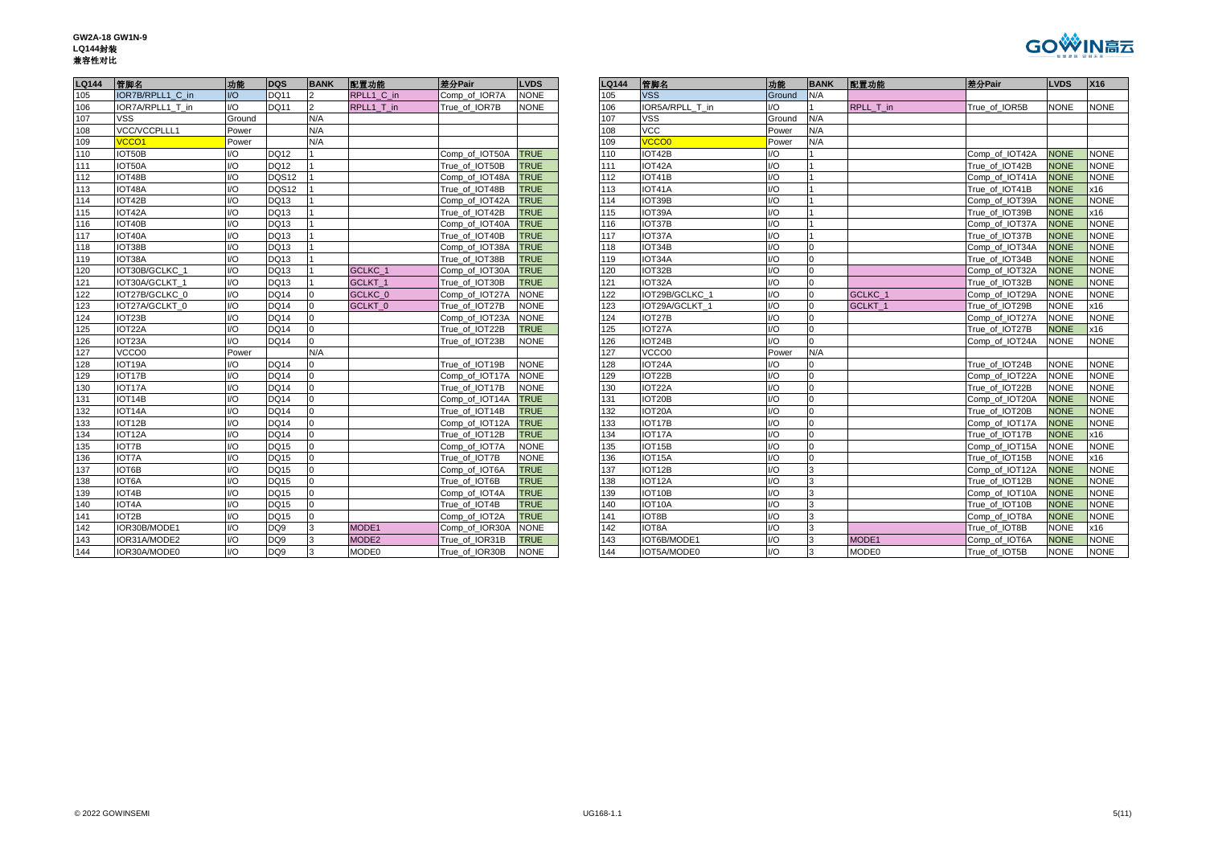| GW2A-18 GW1N-9 |
|----------------|
| LQ144封装        |
| 兼容性对比          |



| LQ144 | 管脚名                 | 功能     | <b>DQS</b>      | <b>BANK</b>    | 配置功能               | 差分Pair         | <b>LVDS</b> | <b>LQ144</b> | 管脚名             | 功能                          | BA             |
|-------|---------------------|--------|-----------------|----------------|--------------------|----------------|-------------|--------------|-----------------|-----------------------------|----------------|
| 105   | IOR7B/RPLL1_C in    | $IVO$  | <b>DQ11</b>     | $\overline{2}$ | RPLL1 C in         | Comp of IOR7A  | <b>NONE</b> | 105          | <b>VSS</b>      | Ground                      | IN/A           |
| 106   | IOR7A/RPLL1 T in    | 1/O    | <b>DQ11</b>     | $\overline{2}$ | RPLL1 T in         | True of IOR7B  | <b>NONE</b> | 106          | IOR5A/RPLL T in | $\overline{U}$              |                |
| 107   | <b>VSS</b>          | Ground |                 | N/A            |                    |                |             | 107          | <b>VSS</b>      | Ground                      | N/A            |
| 108   | VCC/VCCPLLL1        | Power  |                 | N/A            |                    |                |             | 108          | <b>VCC</b>      | Power                       | N/A            |
| 109   | VCCO <sub>1</sub>   | Power  |                 | N/A            |                    |                |             | 109          | <b>VCCO0</b>    | Power                       | N/A            |
| 110   | IOT50B              | 1/O    | <b>DQ12</b>     |                |                    | Comp of IOT50A | <b>TRUE</b> | 110          | IOT42B          | $\overline{1}/\overline{O}$ |                |
| 111   | IOT50A              | 1/O    | <b>DQ12</b>     | l 1            |                    | True_of_IOT50B | <b>TRUE</b> | 111          | IOT42A          | $\mathsf{IO}$               |                |
| 112   | IOT48B              | 1/O    | <b>DQS12</b>    |                |                    | Comp_of_IOT48A | <b>TRUE</b> | 112          | IOT41B          | $\mathsf{IO}$               |                |
| 113   | IOT48A              | 1/O    | DQS12           |                |                    | True of IOT48B | <b>TRUE</b> | 113          | IOT41A          | $\overline{1/O}$            |                |
| 114   | IOT42B              | 1/O    | DQ13            |                |                    | Comp of IOT42A | <b>TRUE</b> | 114          | IOT39B          | $\mathsf{IO}$               |                |
| 115   | IOT42A              | 1/O    | DQ13            |                |                    | True_of_IOT42B | <b>TRUE</b> | 115          | IOT39A          | $\mathsf{IO}$               |                |
| 116   | IOT40B              | 1/O    | <b>DQ13</b>     |                |                    | Comp_of_IOT40A | <b>TRUE</b> | 116          | IOT37B          | $\overline{1/O}$            |                |
| 117   | IOT40A              | 1/O    | <b>DQ13</b>     | <b>11</b>      |                    | True of IOT40B | <b>TRUE</b> | 117          | IOT37A          | $\mathsf{IO}$               |                |
| 118   | IOT38B              | 1/O    | <b>DQ13</b>     |                |                    | Comp of IOT38A | <b>TRUE</b> | 118          | IOT34B          | $\mathsf{IO}$               | $\Omega$       |
| 119   | IOT38A              | 1/O    | <b>DQ13</b>     | $\overline{1}$ |                    | True of IOT38B | <b>TRUE</b> | 119          | IOT34A          | $\mathsf{IO}$               | $\Omega$       |
| 120   | IOT30B/GCLKC 1      | 1/O    | DQ13            | 11             | GCLKC 1            | Comp of IOT30A | <b>TRUE</b> | 120          | IOT32B          | $\mathsf{IO}$               | 0              |
| 121   | IOT30A/GCLKT_1      | 1/O    | DQ13            | 11             | GCLKT <sub>1</sub> | True_of_IOT30B | <b>TRUE</b> | 121          | IOT32A          | $\mathsf{IO}$               | $\mathbf 0$    |
| 122   | IOT27B/GCLKC 0      | 1/O    | <b>DQ14</b>     | 0              | GCLKC 0            | Comp_of_IOT27A | <b>NONE</b> | 122          | IOT29B/GCLKC 1  | $\overline{1/O}$            | $\mathbf 0$    |
| 123   | IOT27A/GCLKT 0      | 1/O    | <b>DQ14</b>     | $\Omega$       | GCLKT <sub>0</sub> | True of IOT27B | <b>NONE</b> | 123          | IOT29A/GCLKT 1  | $\mathsf{IO}$               | $\mathbf 0$    |
| 124   | IOT <sub>23</sub> B | 1/O    | <b>DQ14</b>     | 0              |                    | Comp_of_IOT23A | <b>NONE</b> | 124          | IOT27B          | $\mathsf{IO}$               | $\overline{0}$ |
| 125   | IOT22A              | 1/O    | <b>DQ14</b>     | $\overline{0}$ |                    | True of IOT22B | <b>TRUE</b> | 125          | IOT27A          | $\overline{1/O}$            | $\overline{0}$ |
| 126   | IOT23A              | 1/O    | <b>DQ14</b>     | $\overline{0}$ |                    | True of IOT23B | <b>NONE</b> | 126          | IOT24B          | 1/O                         | $\overline{0}$ |
| 127   | VCCO0               | Power  |                 | N/A            |                    |                |             | 127          | VCCO0           | Power                       | N/A            |
| 128   | IOT19A              | 1/O    | <b>DQ14</b>     | $\Omega$       |                    | True of IOT19B | <b>NONE</b> | 128          | IOT24A          | 1/O                         | $\Omega$       |
| 129   | IOT17B              | 1/O    | <b>DQ14</b>     | 0              |                    | Comp of IOT17A | <b>NONE</b> | 129          | IOT22B          | $\mathsf{IO}$               | $\overline{0}$ |
| 130   | IOT17A              | 1/O    | <b>DQ14</b>     | 0              |                    | True of IOT17B | <b>NONE</b> | 130          | IOT22A          | $\mathsf{IO}$               | $\mathbf{0}$   |
| 131   | IOT14B              | 1/O    | <b>DQ14</b>     | $\Omega$       |                    | Comp_of_IOT14A | <b>TRUE</b> | 131          | IOT20B          | $\mathsf{IO}$               | $\mathbf{0}$   |
| 132   | IOT14A              | 1/O    | <b>DQ14</b>     | 0              |                    | True of IOT14B | <b>TRUE</b> | 132          | IOT20A          | $\mathsf{IO}$               | $\overline{0}$ |
| 133   | IOT12B              | 1/O    | <b>DQ14</b>     | $\overline{0}$ |                    | Comp_of_IOT12A | <b>TRUE</b> | 133          | IOT17B          | 1/O                         | $\mathbf 0$    |
| 134   | IOT12A              | 1/O    | <b>DQ14</b>     | 0              |                    | True of IOT12B | <b>TRUE</b> | 134          | IOT17A          | $\overline{1/O}$            | $\overline{0}$ |
| 135   | IOT7B               | 1/O    | <b>DQ15</b>     | 0              |                    | Comp of IOT7A  | <b>NONE</b> | 135          | IOT15B          | $\mathsf{IO}$               | $\mathbf 0$    |
| 136   | <b>IOT7A</b>        | 1/O    | <b>DQ15</b>     | $\Omega$       |                    | True_of_IOT7B  | <b>NONE</b> | 136          | IOT15A          | $\mathsf{IO}$               | $\mathbf{0}$   |
| 137   | IOT6B               | 1/O    | <b>DQ15</b>     | 0              |                    | Comp_of_IOT6A  | <b>TRUE</b> | 137          | IOT12B          | $\mathsf{IO}$               | 3              |
| 138   | IOT6A               | 1/O    | <b>DQ15</b>     | lo             |                    | True_of_IOT6B  | <b>TRUE</b> | 138          | IOT12A          | 1/O                         | 3              |
| 139   | IOT4B               | 1/O    | <b>DQ15</b>     | $\overline{0}$ |                    | Comp_of_IOT4A  | <b>TRUE</b> | 139          | IOT10B          | $\overline{1/O}$            | 3              |
| 140   | IOT4A               | 1/O    | <b>DQ15</b>     | $\Omega$       |                    | True of IOT4B  | <b>TRUE</b> | 140          | IOT10A          | 1/O                         | 3              |
| 141   | IOT2B               | 1/O    | <b>DQ15</b>     | l0             |                    | Comp of IOT2A  | <b>TRUE</b> | 141          | IOT8B           | 1/O                         | 3              |
| 142   | IOR30B/MODE1        | 1/O    | DQ <sub>9</sub> | 3              | MODE1              | Comp of IOR30A | <b>NONE</b> | 142          | IOT8A           | $\mathsf{IO}$               | 3              |
| 143   | IOR31A/MODE2        | 1/O    | DQ <sub>9</sub> | 3              | MODE <sub>2</sub>  | True of IOR31B | <b>TRUE</b> | 143          | IOT6B/MODE1     | $\mathsf{IO}$               | 3              |
| 144   | IOR30A/MODE0        | 1/O    | DQ <sub>9</sub> | 3              | MODE0              | True of IOR30B | <b>NONE</b> | 144          | IOT5A/MODE0     | $1/\Omega$                  | 3              |

| <b>LQ144</b> | 管脚名                 | 功能     | <b>DQS</b>      | <b>BANK</b> | 配置功能               | 差分Pair         | <b>LVDS</b> |
|--------------|---------------------|--------|-----------------|-------------|--------------------|----------------|-------------|
| 105          | IOR7B/RPLL1 C in    | $IVO$  | <b>DQ11</b>     |             | RPLL1_C_in         | Comp of IOR7A  | <b>NONE</b> |
| 106          | IOR7A/RPLL1 T in    | I/O    | <b>DQ11</b>     |             | RPLL1 T in         | True of IOR7B  | <b>NONE</b> |
| 107          | VSS.                | Ground |                 | N/A         |                    |                |             |
| 108          | VCC/VCCPLLL1        | Power  |                 | N/A         |                    |                |             |
| 109          | /CCO1               | Power  |                 | N/A         |                    |                |             |
| 110          | IOT50B              | I/O    | <b>DQ12</b>     |             |                    | Comp of IOT50A | <b>TRUE</b> |
| 111          | IOT50A              | 1/O    | <b>DQ12</b>     |             |                    | True of IOT50B | <b>TRUE</b> |
| 112          | IOT48B              | 1/O    | DQS12           |             |                    | Comp of IOT48A | <b>TRUE</b> |
| 113          | IOT48A              | 1/O    | DQS12           |             |                    | True of IOT48B | <b>TRUE</b> |
| 114          | IOT42B              | 1/O    | <b>DQ13</b>     |             |                    | Comp of IOT42A | <b>TRUE</b> |
| 115          | IOT42A              | 1/O    | <b>DQ13</b>     |             |                    | True of IOT42B | <b>TRUE</b> |
| 116          | IOT40B              | I/O    | <b>DQ13</b>     |             |                    | Comp of IOT40A | <b>TRUE</b> |
| 117          | IOT40A              | 1/O    | <b>DQ13</b>     |             |                    | True of IOT40B | <b>TRUE</b> |
| 118          | IOT38B              | 1/O    | <b>DQ13</b>     |             |                    | Comp of IOT38A | <b>TRUE</b> |
| 119          | IOT38A              | U      | <b>DQ13</b>     |             |                    | True of IOT38B | <b>TRUE</b> |
| 120          | IOT30B/GCLKC 1      | 1/O    | <b>DQ13</b>     |             | GCLKC 1            | Comp of IOT30A | <b>TRUE</b> |
| 121          | IOT30A/GCLKT_1      | I/O    | <b>DQ13</b>     |             | GCLKT <sub>1</sub> | True of IOT30B | <b>TRUE</b> |
| 122          | IOT27B/GCLKC 0      | 1/O    | <b>DQ14</b>     |             | GCLKC <sub>0</sub> | Comp of IOT27A | <b>NONE</b> |
| 123          | IOT27A/GCLKT 0      | 1/O    | <b>DQ14</b>     |             | GCLKT <sub>0</sub> | True of IOT27B | <b>NONE</b> |
| 124          | IOT23B              | 1/O    | <b>DQ14</b>     |             |                    | Comp of IOT23A | <b>NONE</b> |
| 125          | IOT <sub>22</sub> A | I/O    | <b>DQ14</b>     |             |                    | True of IOT22B | <b>TRUE</b> |
| 126          | IOT <sub>23</sub> A | 1/O    | <b>DQ14</b>     |             |                    | True of IOT23B | <b>NONE</b> |
| 127          | VCCO <sub>0</sub>   | Power  |                 | N/A         |                    |                |             |
| 128          | IOT <sub>19</sub> A | 1/O    | <b>DQ14</b>     |             |                    | True of IOT19B | <b>NONE</b> |
| 129          | IOT17B              | 1/O    | <b>DQ14</b>     |             |                    | Comp of IOT17A | <b>NONE</b> |
| 130          | IOT17A              | I/O    | <b>DQ14</b>     |             |                    | True of IOT17B | <b>NONE</b> |
| 131          | IOT14B              | U      | <b>DQ14</b>     |             |                    | Comp of IOT14A | <b>TRUE</b> |
| 132          | IOT14A              | 1/O    | <b>DQ14</b>     |             |                    | True of IOT14B | <b>TRUE</b> |
| 133          | IOT12B              | 1/O    | <b>DQ14</b>     |             |                    | Comp of IOT12A | <b>TRUE</b> |
| 134          | IOT <sub>12</sub> A | 1/O    | <b>DQ14</b>     |             |                    | True of IOT12B | <b>TRUE</b> |
| 135          | <b>IOT7B</b>        | I/O    | <b>DQ15</b>     |             |                    | Comp_of_IOT7A  | <b>NONE</b> |
| 136          | <b>IOT7A</b>        | I/O    | <b>DQ15</b>     |             |                    | True of IOT7B  | <b>NONE</b> |
| 137          | IOT6B               | U      | <b>DQ15</b>     |             |                    | Comp of IOT6A  | <b>TRUE</b> |
| 138          | IOT6A               | I/O    | <b>DQ15</b>     |             |                    | True of IOT6B  | <b>TRUE</b> |
| 139          | IOT4B               | 1/O    | <b>DQ15</b>     |             |                    | Comp of IOT4A  | <b>TRUE</b> |
| 140          | IOT4A               | U      | <b>DQ15</b>     |             |                    | True of IOT4B  | <b>TRUE</b> |
| 141          | IOT2B               | I/O    | <b>DQ15</b>     |             |                    | Comp of IOT2A  | <b>TRUE</b> |
| 142          | IOR30B/MODE1        | 1/O    | DQ <sub>9</sub> |             | MODE1              | Comp of IOR30A | <b>NONE</b> |
| 143          | IOR31A/MODE2        | 1/O    | DQ9             |             | MODE <sub>2</sub>  | True of IOR31B | <b>TRUE</b> |
| 144          | IOR30A/MODE0        | 1/O    | DQ9             | 3           | MODE0              | True of IOR30B | <b>NONE</b> |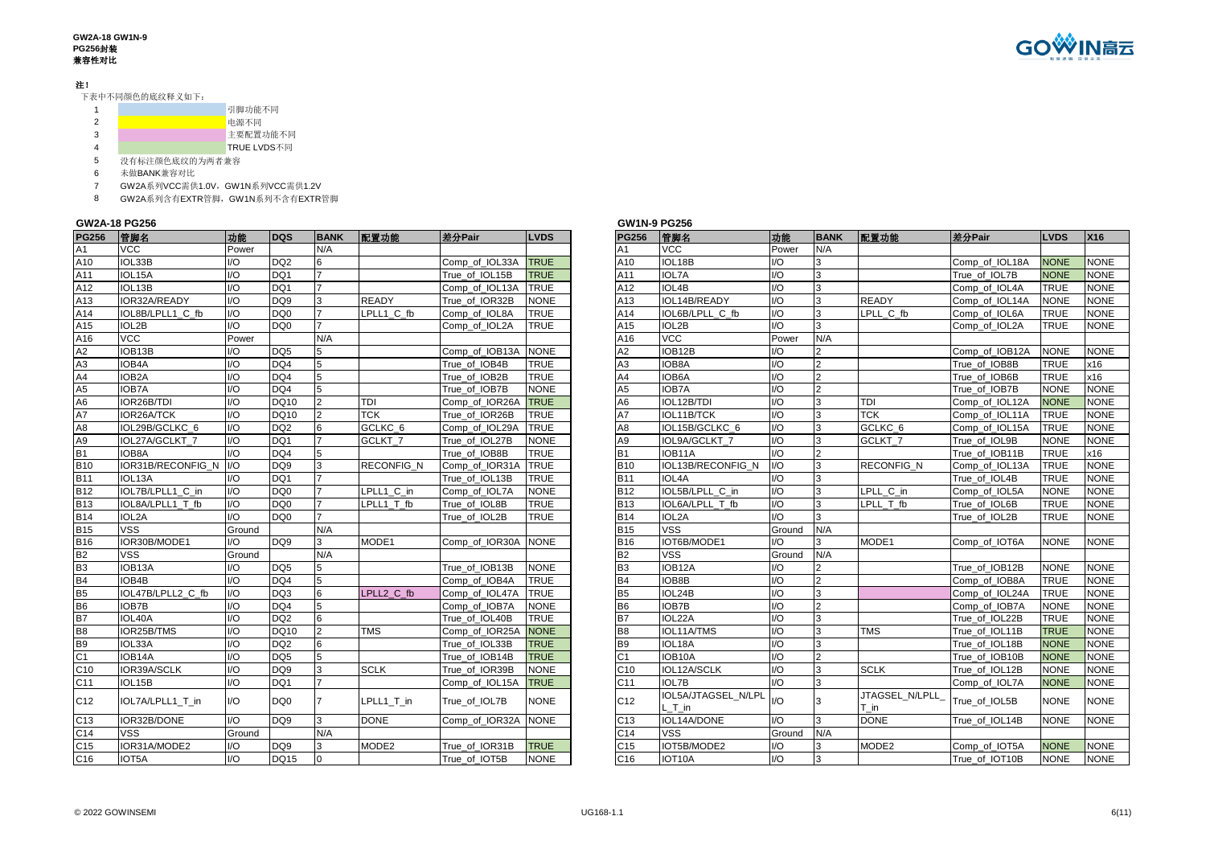#### **GW2A-18 GW1N-9 PG256**封装 兼容性对比

# 注!

下表中不同颜色的底纹释义如下:

|   | 引脚功能不同      |
|---|-------------|
|   | 电源不同        |
| з | 主要配置功能不同    |
|   | TRUE LVDS不同 |

5 没有标注颜色底纹的为两者兼容<br>6 未做BANK兼容对比

6 未做BANK兼容对比

7 GW2A系列VCC需供1.0V,GW1N系列VCC需供1.2V

8 GW2A系列含有EXTR管脚,GW1N系列不含有EXTR管脚

## **GW2A-18 PG256**

| A1<br><b>VCC</b><br>N/A<br><b>VCC</b><br>N/A<br>Power<br>Α1<br>Power<br>A10<br>I/O<br>IOL18B<br>IOL33B<br>DQ <sub>2</sub><br>Comp of IOL33A<br><b>TRUE</b><br>A10<br>Comp of IOL18A<br><b>NONE</b><br>I/O<br>3<br>$\mathsf{IO}$<br>DQ1<br><b>IOL7A</b><br>3<br><b>NONE</b><br>A11<br>IOL15A<br><b>TRUE</b><br>A11<br>I/O<br>True of IOL15B<br>True of IOL7B<br>A12<br>IOL13B<br>$IVO$<br>DQ1<br><b>TRUE</b><br>A12<br>IOL4B<br>3<br><b>TRUE</b><br>Comp of IOL13A<br>I/O<br>Comp of IOL4A<br>3<br>A13<br>IOR32A/READY<br>$\mathsf{U}\mathsf{O}$<br>DO <sub>9</sub><br><b>READY</b><br><b>NONE</b><br>IOL14B/READY<br><b>READY</b><br><b>NONE</b><br>True of IOR32B<br>A13<br>I/O<br>Comp_of_IOL14A<br>A14<br>IOL8B/LPLL1 C fb<br>$IVO$<br>DQ <sub>0</sub><br>LPLL1 C fb<br><b>TRUE</b><br>IOL6B/LPLL C fb<br>3<br>LPLL C fb<br><b>TRUE</b><br>Comp of IOL8A<br>A14<br>I/O<br>Comp_of_IOL6A<br>A15<br>$IVO$<br>DO <sub>0</sub><br><b>TRUE</b><br>$\mathcal{R}$<br><b>TRUE</b><br>IOL2B<br>A15<br>IOL2B<br>I/O<br>Comp_of_IOL2A<br>Comp_of_IOL2A<br>A16<br>$\overline{VCC}$<br><b>VCC</b><br>A16<br>Power<br>N/A<br>N/A<br>Power<br>A2<br>IOB13B<br>A2<br>IOB12B<br>$\mathsf{U}\mathsf{O}$<br>DQ <sub>5</sub><br><b>NONE</b><br>$\overline{2}$<br>Comp_of_IOB12A<br><b>NONE</b><br>Comp_of_IOB13A<br>I/O<br>5<br>A3<br>$\overline{2}$<br>A3<br>IOB4A<br>$IVO$<br>DQ4<br>5<br><b>TRUE</b><br>IOB8A<br><b>TRUE</b><br>True of IOB4B<br>I/O<br>True of IOB8B<br>A4<br>A4<br>$\overline{2}$<br>IOB <sub>2</sub> A<br>$IVO$<br>DO <sub>4</sub><br>5<br><b>TRUE</b><br>IOB6A<br>I/O<br>True_of_IOB6B<br><b>TRUE</b><br>True_of_IOB2B<br>A <sub>5</sub><br>A5<br><b>IOB7A</b><br>IOB7A<br>$U$<br>DQ4<br><b>NONE</b><br>I/O<br>$\overline{2}$<br>True of IOB7B<br><b>NONE</b><br>5<br>True of IOB7B<br>A <sub>6</sub><br>IOR26B/TDI<br>$IVO$<br>TDI<br><b>TRUE</b><br>A6<br>3<br><b>NONE</b><br><b>DQ10</b><br>Comp_of_IOR26A<br>IOL12B/TDI<br>I/O<br>TDI<br>Comp_of_IOL12A<br>A7<br><b>TCK</b><br>A7<br><b>TCK</b><br>IOR26A/TCK<br>I/O<br>DQ10<br><b>TRUE</b><br>IOL11B/TCK<br>3<br><b>TRUE</b><br>$\overline{2}$<br>True of IOR26B<br>I/O<br>Comp_of_IOL11A<br>A <sub>8</sub><br>$IVO$<br>DQ <sub>2</sub><br>GCLKC <sub>6</sub><br><b>TRUE</b><br>3<br>GCLKC <sub>6</sub><br><b>TRUE</b><br>IOL29B/GCLKC 6<br>Comp_of_IOL29A<br>A <sub>8</sub><br>IOL15B/GCLKC_6<br>I/O<br>Comp_of_IOL15A<br>6<br>A9<br>$IVO$<br>DQ1<br>3<br><b>NONE</b><br>GCLKT_7<br><b>NONE</b><br>A <sub>9</sub><br>I/O<br>GCLKT <sub>7</sub><br>IOL27A/GCLKT 7<br>True of IOL27B<br>IOL9A/GCLKT 7<br>True_of_IOL9B<br><b>B1</b><br>$\overline{2}$<br>$IVO$<br>DQ4<br><b>TRUE</b><br><b>TRUE</b><br>True of IOB8B<br><b>B1</b><br>I/O<br>True of IOB11B<br>IOB8A<br>5<br>IOB11A<br><b>B10</b><br><b>TRUE</b><br>3<br><b>TRUE</b><br>IOR31B/RECONFIG N I/O<br>DQ <sub>9</sub><br>IOL13B/RECONFIG_N<br>$UO$<br>RECONFIG_N<br>3<br><b>RECONFIG N</b><br>Comp of IOR31A<br><b>B10</b><br>Comp_of_IOL13A<br><b>B11</b><br>$IVO$<br><b>TRUE</b><br>3<br><b>TRUE</b><br>IOL <sub>13</sub> A<br>DQ1<br>True of IOL13B<br><b>B11</b><br>IOL4A<br>I/O<br>True_of_IOL4B<br><b>B12</b><br>$IVO$<br>DO <sub>0</sub><br>3<br><b>NONE</b><br>IOL7B/LPLL1 C in<br>LPLL1 C in<br><b>NONE</b><br><b>B12</b><br>IOL5B/LPLL C in<br>I/O<br>LPLL C in<br>Comp of IOL7A<br>Comp_of_IOL5A | <b>LVDS</b><br>X16 |
|---------------------------------------------------------------------------------------------------------------------------------------------------------------------------------------------------------------------------------------------------------------------------------------------------------------------------------------------------------------------------------------------------------------------------------------------------------------------------------------------------------------------------------------------------------------------------------------------------------------------------------------------------------------------------------------------------------------------------------------------------------------------------------------------------------------------------------------------------------------------------------------------------------------------------------------------------------------------------------------------------------------------------------------------------------------------------------------------------------------------------------------------------------------------------------------------------------------------------------------------------------------------------------------------------------------------------------------------------------------------------------------------------------------------------------------------------------------------------------------------------------------------------------------------------------------------------------------------------------------------------------------------------------------------------------------------------------------------------------------------------------------------------------------------------------------------------------------------------------------------------------------------------------------------------------------------------------------------------------------------------------------------------------------------------------------------------------------------------------------------------------------------------------------------------------------------------------------------------------------------------------------------------------------------------------------------------------------------------------------------------------------------------------------------------------------------------------------------------------------------------------------------------------------------------------------------------------------------------------------------------------------------------------------------------------------------------------------------------------------------------------------------------------------------------------------------------------------------------------------------------------------------------------------------------------------------------------------------------------------------------------------------------------------------------------------------------------------------------------------------------------------------------------------------------------------------------------------------------------------------------------------------------------------------------------------------------------|--------------------|
|                                                                                                                                                                                                                                                                                                                                                                                                                                                                                                                                                                                                                                                                                                                                                                                                                                                                                                                                                                                                                                                                                                                                                                                                                                                                                                                                                                                                                                                                                                                                                                                                                                                                                                                                                                                                                                                                                                                                                                                                                                                                                                                                                                                                                                                                                                                                                                                                                                                                                                                                                                                                                                                                                                                                                                                                                                                                                                                                                                                                                                                                                                                                                                                                                                                                                                                                 |                    |
|                                                                                                                                                                                                                                                                                                                                                                                                                                                                                                                                                                                                                                                                                                                                                                                                                                                                                                                                                                                                                                                                                                                                                                                                                                                                                                                                                                                                                                                                                                                                                                                                                                                                                                                                                                                                                                                                                                                                                                                                                                                                                                                                                                                                                                                                                                                                                                                                                                                                                                                                                                                                                                                                                                                                                                                                                                                                                                                                                                                                                                                                                                                                                                                                                                                                                                                                 | NO                 |
|                                                                                                                                                                                                                                                                                                                                                                                                                                                                                                                                                                                                                                                                                                                                                                                                                                                                                                                                                                                                                                                                                                                                                                                                                                                                                                                                                                                                                                                                                                                                                                                                                                                                                                                                                                                                                                                                                                                                                                                                                                                                                                                                                                                                                                                                                                                                                                                                                                                                                                                                                                                                                                                                                                                                                                                                                                                                                                                                                                                                                                                                                                                                                                                                                                                                                                                                 | <b>NO</b>          |
|                                                                                                                                                                                                                                                                                                                                                                                                                                                                                                                                                                                                                                                                                                                                                                                                                                                                                                                                                                                                                                                                                                                                                                                                                                                                                                                                                                                                                                                                                                                                                                                                                                                                                                                                                                                                                                                                                                                                                                                                                                                                                                                                                                                                                                                                                                                                                                                                                                                                                                                                                                                                                                                                                                                                                                                                                                                                                                                                                                                                                                                                                                                                                                                                                                                                                                                                 | <b>NO</b>          |
|                                                                                                                                                                                                                                                                                                                                                                                                                                                                                                                                                                                                                                                                                                                                                                                                                                                                                                                                                                                                                                                                                                                                                                                                                                                                                                                                                                                                                                                                                                                                                                                                                                                                                                                                                                                                                                                                                                                                                                                                                                                                                                                                                                                                                                                                                                                                                                                                                                                                                                                                                                                                                                                                                                                                                                                                                                                                                                                                                                                                                                                                                                                                                                                                                                                                                                                                 | <b>NO</b>          |
|                                                                                                                                                                                                                                                                                                                                                                                                                                                                                                                                                                                                                                                                                                                                                                                                                                                                                                                                                                                                                                                                                                                                                                                                                                                                                                                                                                                                                                                                                                                                                                                                                                                                                                                                                                                                                                                                                                                                                                                                                                                                                                                                                                                                                                                                                                                                                                                                                                                                                                                                                                                                                                                                                                                                                                                                                                                                                                                                                                                                                                                                                                                                                                                                                                                                                                                                 | <b>NO</b>          |
|                                                                                                                                                                                                                                                                                                                                                                                                                                                                                                                                                                                                                                                                                                                                                                                                                                                                                                                                                                                                                                                                                                                                                                                                                                                                                                                                                                                                                                                                                                                                                                                                                                                                                                                                                                                                                                                                                                                                                                                                                                                                                                                                                                                                                                                                                                                                                                                                                                                                                                                                                                                                                                                                                                                                                                                                                                                                                                                                                                                                                                                                                                                                                                                                                                                                                                                                 | <b>NO</b>          |
|                                                                                                                                                                                                                                                                                                                                                                                                                                                                                                                                                                                                                                                                                                                                                                                                                                                                                                                                                                                                                                                                                                                                                                                                                                                                                                                                                                                                                                                                                                                                                                                                                                                                                                                                                                                                                                                                                                                                                                                                                                                                                                                                                                                                                                                                                                                                                                                                                                                                                                                                                                                                                                                                                                                                                                                                                                                                                                                                                                                                                                                                                                                                                                                                                                                                                                                                 |                    |
|                                                                                                                                                                                                                                                                                                                                                                                                                                                                                                                                                                                                                                                                                                                                                                                                                                                                                                                                                                                                                                                                                                                                                                                                                                                                                                                                                                                                                                                                                                                                                                                                                                                                                                                                                                                                                                                                                                                                                                                                                                                                                                                                                                                                                                                                                                                                                                                                                                                                                                                                                                                                                                                                                                                                                                                                                                                                                                                                                                                                                                                                                                                                                                                                                                                                                                                                 | <b>NO</b>          |
|                                                                                                                                                                                                                                                                                                                                                                                                                                                                                                                                                                                                                                                                                                                                                                                                                                                                                                                                                                                                                                                                                                                                                                                                                                                                                                                                                                                                                                                                                                                                                                                                                                                                                                                                                                                                                                                                                                                                                                                                                                                                                                                                                                                                                                                                                                                                                                                                                                                                                                                                                                                                                                                                                                                                                                                                                                                                                                                                                                                                                                                                                                                                                                                                                                                                                                                                 | x16                |
|                                                                                                                                                                                                                                                                                                                                                                                                                                                                                                                                                                                                                                                                                                                                                                                                                                                                                                                                                                                                                                                                                                                                                                                                                                                                                                                                                                                                                                                                                                                                                                                                                                                                                                                                                                                                                                                                                                                                                                                                                                                                                                                                                                                                                                                                                                                                                                                                                                                                                                                                                                                                                                                                                                                                                                                                                                                                                                                                                                                                                                                                                                                                                                                                                                                                                                                                 | x16                |
|                                                                                                                                                                                                                                                                                                                                                                                                                                                                                                                                                                                                                                                                                                                                                                                                                                                                                                                                                                                                                                                                                                                                                                                                                                                                                                                                                                                                                                                                                                                                                                                                                                                                                                                                                                                                                                                                                                                                                                                                                                                                                                                                                                                                                                                                                                                                                                                                                                                                                                                                                                                                                                                                                                                                                                                                                                                                                                                                                                                                                                                                                                                                                                                                                                                                                                                                 | <b>NO</b>          |
|                                                                                                                                                                                                                                                                                                                                                                                                                                                                                                                                                                                                                                                                                                                                                                                                                                                                                                                                                                                                                                                                                                                                                                                                                                                                                                                                                                                                                                                                                                                                                                                                                                                                                                                                                                                                                                                                                                                                                                                                                                                                                                                                                                                                                                                                                                                                                                                                                                                                                                                                                                                                                                                                                                                                                                                                                                                                                                                                                                                                                                                                                                                                                                                                                                                                                                                                 | <b>NO</b>          |
|                                                                                                                                                                                                                                                                                                                                                                                                                                                                                                                                                                                                                                                                                                                                                                                                                                                                                                                                                                                                                                                                                                                                                                                                                                                                                                                                                                                                                                                                                                                                                                                                                                                                                                                                                                                                                                                                                                                                                                                                                                                                                                                                                                                                                                                                                                                                                                                                                                                                                                                                                                                                                                                                                                                                                                                                                                                                                                                                                                                                                                                                                                                                                                                                                                                                                                                                 | <b>NO</b>          |
|                                                                                                                                                                                                                                                                                                                                                                                                                                                                                                                                                                                                                                                                                                                                                                                                                                                                                                                                                                                                                                                                                                                                                                                                                                                                                                                                                                                                                                                                                                                                                                                                                                                                                                                                                                                                                                                                                                                                                                                                                                                                                                                                                                                                                                                                                                                                                                                                                                                                                                                                                                                                                                                                                                                                                                                                                                                                                                                                                                                                                                                                                                                                                                                                                                                                                                                                 | <b>NO</b>          |
|                                                                                                                                                                                                                                                                                                                                                                                                                                                                                                                                                                                                                                                                                                                                                                                                                                                                                                                                                                                                                                                                                                                                                                                                                                                                                                                                                                                                                                                                                                                                                                                                                                                                                                                                                                                                                                                                                                                                                                                                                                                                                                                                                                                                                                                                                                                                                                                                                                                                                                                                                                                                                                                                                                                                                                                                                                                                                                                                                                                                                                                                                                                                                                                                                                                                                                                                 | <b>NO</b>          |
|                                                                                                                                                                                                                                                                                                                                                                                                                                                                                                                                                                                                                                                                                                                                                                                                                                                                                                                                                                                                                                                                                                                                                                                                                                                                                                                                                                                                                                                                                                                                                                                                                                                                                                                                                                                                                                                                                                                                                                                                                                                                                                                                                                                                                                                                                                                                                                                                                                                                                                                                                                                                                                                                                                                                                                                                                                                                                                                                                                                                                                                                                                                                                                                                                                                                                                                                 | x16                |
|                                                                                                                                                                                                                                                                                                                                                                                                                                                                                                                                                                                                                                                                                                                                                                                                                                                                                                                                                                                                                                                                                                                                                                                                                                                                                                                                                                                                                                                                                                                                                                                                                                                                                                                                                                                                                                                                                                                                                                                                                                                                                                                                                                                                                                                                                                                                                                                                                                                                                                                                                                                                                                                                                                                                                                                                                                                                                                                                                                                                                                                                                                                                                                                                                                                                                                                                 | <b>NO</b>          |
|                                                                                                                                                                                                                                                                                                                                                                                                                                                                                                                                                                                                                                                                                                                                                                                                                                                                                                                                                                                                                                                                                                                                                                                                                                                                                                                                                                                                                                                                                                                                                                                                                                                                                                                                                                                                                                                                                                                                                                                                                                                                                                                                                                                                                                                                                                                                                                                                                                                                                                                                                                                                                                                                                                                                                                                                                                                                                                                                                                                                                                                                                                                                                                                                                                                                                                                                 | <b>NO</b>          |
|                                                                                                                                                                                                                                                                                                                                                                                                                                                                                                                                                                                                                                                                                                                                                                                                                                                                                                                                                                                                                                                                                                                                                                                                                                                                                                                                                                                                                                                                                                                                                                                                                                                                                                                                                                                                                                                                                                                                                                                                                                                                                                                                                                                                                                                                                                                                                                                                                                                                                                                                                                                                                                                                                                                                                                                                                                                                                                                                                                                                                                                                                                                                                                                                                                                                                                                                 | <b>NO</b>          |
| $IVO$<br>DQ <sub>0</sub><br>3<br><b>B13</b><br>IOL8A/LPLL1 T fb<br>LPLL1 T fb<br>True_of_IOL8B<br><b>TRUE</b><br><b>B13</b><br>IOL6A/LPLL T fb<br>I/O<br>LPLL T fb<br>True_of_IOL6B<br><b>TRUE</b>                                                                                                                                                                                                                                                                                                                                                                                                                                                                                                                                                                                                                                                                                                                                                                                                                                                                                                                                                                                                                                                                                                                                                                                                                                                                                                                                                                                                                                                                                                                                                                                                                                                                                                                                                                                                                                                                                                                                                                                                                                                                                                                                                                                                                                                                                                                                                                                                                                                                                                                                                                                                                                                                                                                                                                                                                                                                                                                                                                                                                                                                                                                              | <b>NO</b>          |
| <b>B14</b><br>$\mathsf{U}\mathsf{O}$<br>DQ <sub>0</sub><br><b>TRUE</b><br>IOL2A<br>3<br>IOL2A<br>True of IOL2B<br><b>B14</b><br>I/O<br>True of IOL2B<br><b>TRUE</b>                                                                                                                                                                                                                                                                                                                                                                                                                                                                                                                                                                                                                                                                                                                                                                                                                                                                                                                                                                                                                                                                                                                                                                                                                                                                                                                                                                                                                                                                                                                                                                                                                                                                                                                                                                                                                                                                                                                                                                                                                                                                                                                                                                                                                                                                                                                                                                                                                                                                                                                                                                                                                                                                                                                                                                                                                                                                                                                                                                                                                                                                                                                                                             | <b>NO</b>          |
| <b>VSS</b><br><b>B15</b><br><b>VSS</b><br>N/A<br>N/A<br>Ground<br><b>B15</b><br>Ground                                                                                                                                                                                                                                                                                                                                                                                                                                                                                                                                                                                                                                                                                                                                                                                                                                                                                                                                                                                                                                                                                                                                                                                                                                                                                                                                                                                                                                                                                                                                                                                                                                                                                                                                                                                                                                                                                                                                                                                                                                                                                                                                                                                                                                                                                                                                                                                                                                                                                                                                                                                                                                                                                                                                                                                                                                                                                                                                                                                                                                                                                                                                                                                                                                          |                    |
| <b>B16</b><br>IOR30B/MODE1<br>$U$<br>DQ <sub>9</sub><br>MODE1<br>IOT6B/MODE1<br>3<br>MODE1<br>Comp of IOR30A<br><b>NONE</b><br><b>B16</b><br>I/O<br>Comp_of_IOT6A<br><b>NONE</b><br>3                                                                                                                                                                                                                                                                                                                                                                                                                                                                                                                                                                                                                                                                                                                                                                                                                                                                                                                                                                                                                                                                                                                                                                                                                                                                                                                                                                                                                                                                                                                                                                                                                                                                                                                                                                                                                                                                                                                                                                                                                                                                                                                                                                                                                                                                                                                                                                                                                                                                                                                                                                                                                                                                                                                                                                                                                                                                                                                                                                                                                                                                                                                                           | <b>NO</b>          |
| B2<br><b>VSS</b><br><b>VSS</b><br>Ground<br>N/A<br>B <sub>2</sub><br>N/A<br>Ground                                                                                                                                                                                                                                                                                                                                                                                                                                                                                                                                                                                                                                                                                                                                                                                                                                                                                                                                                                                                                                                                                                                                                                                                                                                                                                                                                                                                                                                                                                                                                                                                                                                                                                                                                                                                                                                                                                                                                                                                                                                                                                                                                                                                                                                                                                                                                                                                                                                                                                                                                                                                                                                                                                                                                                                                                                                                                                                                                                                                                                                                                                                                                                                                                                              |                    |
| B <sub>3</sub><br>$IVO$<br><b>NONE</b><br>B <sub>3</sub><br>IOB12A<br>IOB13A<br>DQ <sub>5</sub><br>True of IOB13B<br>I/O<br>True of IOB12B<br><b>NONE</b><br>2                                                                                                                                                                                                                                                                                                                                                                                                                                                                                                                                                                                                                                                                                                                                                                                                                                                                                                                                                                                                                                                                                                                                                                                                                                                                                                                                                                                                                                                                                                                                                                                                                                                                                                                                                                                                                                                                                                                                                                                                                                                                                                                                                                                                                                                                                                                                                                                                                                                                                                                                                                                                                                                                                                                                                                                                                                                                                                                                                                                                                                                                                                                                                                  | <b>NO</b>          |
| <b>B4</b><br>$\overline{V}$<br>$\overline{2}$<br>DQ4<br><b>TRUE</b><br>B <sub>4</sub><br>IOB8B<br><b>TRUE</b><br>IOB4B<br>5<br>Comp_of_IOB4A<br>I/O<br>Comp_of_IOB8A                                                                                                                                                                                                                                                                                                                                                                                                                                                                                                                                                                                                                                                                                                                                                                                                                                                                                                                                                                                                                                                                                                                                                                                                                                                                                                                                                                                                                                                                                                                                                                                                                                                                                                                                                                                                                                                                                                                                                                                                                                                                                                                                                                                                                                                                                                                                                                                                                                                                                                                                                                                                                                                                                                                                                                                                                                                                                                                                                                                                                                                                                                                                                            | Ю                  |
| B <sub>5</sub><br>$IVO$<br><b>TRUE</b><br>3<br><b>TRUE</b><br>IOL47B/LPLL2 C fb<br>DO <sub>3</sub><br>LPLL2 C fb<br>B <sub>5</sub><br>IOL24B<br>I/O<br>Comp_of_IOL24A<br>6<br>Comp_of_IOL47A                                                                                                                                                                                                                                                                                                                                                                                                                                                                                                                                                                                                                                                                                                                                                                                                                                                                                                                                                                                                                                                                                                                                                                                                                                                                                                                                                                                                                                                                                                                                                                                                                                                                                                                                                                                                                                                                                                                                                                                                                                                                                                                                                                                                                                                                                                                                                                                                                                                                                                                                                                                                                                                                                                                                                                                                                                                                                                                                                                                                                                                                                                                                    | <b>NO</b>          |
| <b>B6</b><br>$IVO$<br>B <sub>6</sub><br>IOB7B<br>$\overline{2}$<br>IOB7B<br>DQ4<br>Comp_of_IOB7A<br><b>NONE</b><br>I/O<br>Comp_of_IOB7A<br><b>NONE</b>                                                                                                                                                                                                                                                                                                                                                                                                                                                                                                                                                                                                                                                                                                                                                                                                                                                                                                                                                                                                                                                                                                                                                                                                                                                                                                                                                                                                                                                                                                                                                                                                                                                                                                                                                                                                                                                                                                                                                                                                                                                                                                                                                                                                                                                                                                                                                                                                                                                                                                                                                                                                                                                                                                                                                                                                                                                                                                                                                                                                                                                                                                                                                                          | <b>NO</b>          |
| <b>B7</b><br>$IVO$<br>DQ <sub>2</sub><br><b>TRUE</b><br><b>B7</b><br>IOL22A<br>3<br><b>TRUE</b><br>True_of_IOL40B<br>I/O<br>True_of_IOL22B<br>IOL40A                                                                                                                                                                                                                                                                                                                                                                                                                                                                                                                                                                                                                                                                                                                                                                                                                                                                                                                                                                                                                                                                                                                                                                                                                                                                                                                                                                                                                                                                                                                                                                                                                                                                                                                                                                                                                                                                                                                                                                                                                                                                                                                                                                                                                                                                                                                                                                                                                                                                                                                                                                                                                                                                                                                                                                                                                                                                                                                                                                                                                                                                                                                                                                            | <b>NO</b>          |
| B <sub>8</sub><br>IOR25B/TMS<br>$IVO$<br><b>NONE</b><br>3<br><b>TRUE</b><br>DQ10<br>$\overline{2}$<br><b>TMS</b><br>B <sub>8</sub><br>IOL11A/TMS<br>I/O<br><b>TMS</b><br>Comp_of_IOR25A<br>True_of_IOL11B                                                                                                                                                                                                                                                                                                                                                                                                                                                                                                                                                                                                                                                                                                                                                                                                                                                                                                                                                                                                                                                                                                                                                                                                                                                                                                                                                                                                                                                                                                                                                                                                                                                                                                                                                                                                                                                                                                                                                                                                                                                                                                                                                                                                                                                                                                                                                                                                                                                                                                                                                                                                                                                                                                                                                                                                                                                                                                                                                                                                                                                                                                                       | NOI                |
| <b>B9</b><br>$\overline{10}$<br><b>NONE</b><br>DQ <sub>2</sub><br><b>TRUE</b><br>B <sub>9</sub><br>IOL18A<br>3<br>IOL33A<br>6<br>True of IOL33B<br>I/O<br>True of IOL18B                                                                                                                                                                                                                                                                                                                                                                                                                                                                                                                                                                                                                                                                                                                                                                                                                                                                                                                                                                                                                                                                                                                                                                                                                                                                                                                                                                                                                                                                                                                                                                                                                                                                                                                                                                                                                                                                                                                                                                                                                                                                                                                                                                                                                                                                                                                                                                                                                                                                                                                                                                                                                                                                                                                                                                                                                                                                                                                                                                                                                                                                                                                                                        | NO <sub>1</sub>    |
| C <sub>1</sub><br>$\overline{2}$<br>$IVO$<br>DQ <sub>5</sub><br><b>TRUE</b><br><b>NONE</b><br>IOB14A<br>5<br>C <sub>1</sub><br>IOB10A<br>I/O<br>True of IOB14B<br>True of IOB10B                                                                                                                                                                                                                                                                                                                                                                                                                                                                                                                                                                                                                                                                                                                                                                                                                                                                                                                                                                                                                                                                                                                                                                                                                                                                                                                                                                                                                                                                                                                                                                                                                                                                                                                                                                                                                                                                                                                                                                                                                                                                                                                                                                                                                                                                                                                                                                                                                                                                                                                                                                                                                                                                                                                                                                                                                                                                                                                                                                                                                                                                                                                                                | NO <sub>1</sub>    |
| IOR39A/SCLK<br>$IVO$<br>DQ <sub>9</sub><br><b>SCLK</b><br><b>NONE</b><br>C10<br>IOL12A/SCLK<br>3<br><b>NONE</b><br>C <sub>10</sub><br>3<br>True of IOR39B<br>I/O<br><b>SCLK</b><br>True_of_IOL12B                                                                                                                                                                                                                                                                                                                                                                                                                                                                                                                                                                                                                                                                                                                                                                                                                                                                                                                                                                                                                                                                                                                                                                                                                                                                                                                                                                                                                                                                                                                                                                                                                                                                                                                                                                                                                                                                                                                                                                                                                                                                                                                                                                                                                                                                                                                                                                                                                                                                                                                                                                                                                                                                                                                                                                                                                                                                                                                                                                                                                                                                                                                               | <b>NO</b>          |
| C11<br>$IVO$<br><b>TRUE</b><br><b>IOL7B</b><br>3<br>IOL15B<br>DQ1<br>C <sub>11</sub><br>I/O<br><b>NONE</b><br>Comp of IOL15A<br>Comp of IOL7A                                                                                                                                                                                                                                                                                                                                                                                                                                                                                                                                                                                                                                                                                                                                                                                                                                                                                                                                                                                                                                                                                                                                                                                                                                                                                                                                                                                                                                                                                                                                                                                                                                                                                                                                                                                                                                                                                                                                                                                                                                                                                                                                                                                                                                                                                                                                                                                                                                                                                                                                                                                                                                                                                                                                                                                                                                                                                                                                                                                                                                                                                                                                                                                   | NO <sub>1</sub>    |
| IOL5A/JTAGSEL_N/LPL<br>JTAGSEL N/LPLL<br>I/O<br>C12<br>IOL7A/LPLL1_T_in<br>$\mathsf{U}\mathsf{O}$<br>DQ <sub>0</sub><br>LPLL1 T in<br><b>NONE</b><br>C <sub>12</sub><br>True_of_IOL5B<br>NONE<br>True_of_IOL7B<br>$L$ T in<br>T in                                                                                                                                                                                                                                                                                                                                                                                                                                                                                                                                                                                                                                                                                                                                                                                                                                                                                                                                                                                                                                                                                                                                                                                                                                                                                                                                                                                                                                                                                                                                                                                                                                                                                                                                                                                                                                                                                                                                                                                                                                                                                                                                                                                                                                                                                                                                                                                                                                                                                                                                                                                                                                                                                                                                                                                                                                                                                                                                                                                                                                                                                              | <b>NO</b>          |
| IOR32B/DONE<br>$UO$<br><b>DONE</b><br><b>DONE</b><br>C <sub>13</sub><br>DQ <sub>9</sub><br>Comp of IOR32A<br><b>NONE</b><br>IOL14A/DONE<br>I/O<br>3<br>True of IOL14B<br><b>NONE</b><br>3<br>C <sub>13</sub>                                                                                                                                                                                                                                                                                                                                                                                                                                                                                                                                                                                                                                                                                                                                                                                                                                                                                                                                                                                                                                                                                                                                                                                                                                                                                                                                                                                                                                                                                                                                                                                                                                                                                                                                                                                                                                                                                                                                                                                                                                                                                                                                                                                                                                                                                                                                                                                                                                                                                                                                                                                                                                                                                                                                                                                                                                                                                                                                                                                                                                                                                                                    | <b>NO</b>          |
| N/A<br><b>VSS</b><br>N/A<br>C <sub>14</sub><br>VSS<br>C14<br>Ground<br>Ground                                                                                                                                                                                                                                                                                                                                                                                                                                                                                                                                                                                                                                                                                                                                                                                                                                                                                                                                                                                                                                                                                                                                                                                                                                                                                                                                                                                                                                                                                                                                                                                                                                                                                                                                                                                                                                                                                                                                                                                                                                                                                                                                                                                                                                                                                                                                                                                                                                                                                                                                                                                                                                                                                                                                                                                                                                                                                                                                                                                                                                                                                                                                                                                                                                                   |                    |
| C <sub>15</sub><br>IOR31A/MODE2<br>DQ <sub>9</sub><br><b>TRUE</b><br>IOT5B/MODE2<br>MODE <sub>2</sub><br><b>NONE</b><br>$\mathsf{U}\mathsf{O}$<br>MODE <sub>2</sub><br>True of IOR31B<br>C <sub>15</sub><br>Comp_of_IOT5A<br>I/O<br>3                                                                                                                                                                                                                                                                                                                                                                                                                                                                                                                                                                                                                                                                                                                                                                                                                                                                                                                                                                                                                                                                                                                                                                                                                                                                                                                                                                                                                                                                                                                                                                                                                                                                                                                                                                                                                                                                                                                                                                                                                                                                                                                                                                                                                                                                                                                                                                                                                                                                                                                                                                                                                                                                                                                                                                                                                                                                                                                                                                                                                                                                                           | <b>NO</b>          |
| C16<br>$IVO$<br>3<br><b>DQ15</b><br><b>NONE</b><br>I/O<br><b>NONE</b><br>IOT5A<br>True of IOT5B<br>C16<br>IOT10A<br>True of IOT10B                                                                                                                                                                                                                                                                                                                                                                                                                                                                                                                                                                                                                                                                                                                                                                                                                                                                                                                                                                                                                                                                                                                                                                                                                                                                                                                                                                                                                                                                                                                                                                                                                                                                                                                                                                                                                                                                                                                                                                                                                                                                                                                                                                                                                                                                                                                                                                                                                                                                                                                                                                                                                                                                                                                                                                                                                                                                                                                                                                                                                                                                                                                                                                                              | <b>NO</b>          |

| <b>PG256</b><br>功能<br><b>DQS</b><br><b>BANK</b><br>配置功能<br>差分Pair<br><b>LVDS</b><br>管脚名<br>功能<br><b>BANK</b><br>差分Pair<br>管脚名<br><b>PG256</b><br>配置功能<br><b>VCC</b><br><b>VCC</b><br>N/A<br>Α1<br>Power<br>N/A<br>Power<br>Α1<br>IOL33B<br>A10<br>IOL18B<br>A10<br>I/O<br>DQ <sub>2</sub><br>Comp of IOL33A<br><b>TRUE</b><br>I/O<br>Comp of IOL18A<br>6<br>3<br>I/O<br>IOL15A<br>DQ1<br>True of IOL15B<br><b>TRUE</b><br><b>IOL7A</b><br>I/O<br>3<br>True of IOL7B<br>A11<br>A11<br>IOL13B<br>I/O<br>IOL4B<br>3<br>A12<br>DQ1<br>Comp of IOL13A<br><b>TRUE</b><br>A12<br>I/O<br>Comp of IOL4A<br>I/O<br>DQ <sub>9</sub><br><b>READY</b><br>IOL14B/READY<br>I/O<br>3<br><b>READY</b><br>IOR32A/READY<br>3<br>True of IOR32B<br><b>NONE</b><br>A13<br>Comp of IOL14A<br>A13<br>$\mathsf{U}\mathsf{O}$<br>LPLL C fb<br>IOL8B/LPLL1 C fb<br>DQ <sub>0</sub><br>LPLL1 C fb<br>Comp of IOL8A<br><b>TRUE</b><br>A14<br>IOL6B/LPLL C fb<br>I/O<br>3<br>Comp of IOL6A<br>A14<br>I/O<br><b>TRUE</b><br>I/O<br>A15<br>IOL2B<br>DQ <sub>0</sub><br>Comp of IOL2A<br>A15<br>$\mathbf{3}$<br>Comp of IOL2A<br>IOL2B<br><b>VCC</b><br>N/A<br><b>VCC</b><br>N/A<br>A16<br>Power<br>A16<br>Power<br>I/O<br>DQ <sub>5</sub><br>IOB12B<br>I/O<br>А2<br>IOB13B<br>5<br>Comp of IOB13A<br><b>NONE</b><br>А2<br>2<br>Comp of IOB12A<br>$\mathsf{U}\mathsf{O}$<br>DQ4<br>5<br>$\mathsf{I}/\mathsf{O}$<br>$\overline{2}$<br>A3<br>IOB4A<br>True_of_IOB4B<br>TRUE<br>A3<br><b>IOB8A</b><br>True of IOB8B<br>5<br>$\overline{2}$<br>A4<br>IOB <sub>2</sub> A<br>I/O<br>DQ4<br>True of IOB2B<br><b>TRUE</b><br>IOB6A<br>I/O<br>A4<br>True_of_IOB6B<br>I/O<br>A5<br>IOB7A<br>DQ4<br>5<br>True_of_IOB7B<br><b>NONE</b><br>A5<br><b>IOB7A</b><br>I/O<br>$\overline{2}$<br>True_of_IOB7B<br>TDI<br>3<br>TDI<br>A6<br>IOR26B/TDI<br>I/O<br>DQ10<br>$\overline{2}$<br>Comp_of_IOR26A<br><b>TRUE</b><br>A6<br>IOL12B/TDI<br>I/O<br>Comp_of_IOL12A |             |             |
|------------------------------------------------------------------------------------------------------------------------------------------------------------------------------------------------------------------------------------------------------------------------------------------------------------------------------------------------------------------------------------------------------------------------------------------------------------------------------------------------------------------------------------------------------------------------------------------------------------------------------------------------------------------------------------------------------------------------------------------------------------------------------------------------------------------------------------------------------------------------------------------------------------------------------------------------------------------------------------------------------------------------------------------------------------------------------------------------------------------------------------------------------------------------------------------------------------------------------------------------------------------------------------------------------------------------------------------------------------------------------------------------------------------------------------------------------------------------------------------------------------------------------------------------------------------------------------------------------------------------------------------------------------------------------------------------------------------------------------------------------------------------------------------------------------------------------------------------------------------------------------------------------------------|-------------|-------------|
|                                                                                                                                                                                                                                                                                                                                                                                                                                                                                                                                                                                                                                                                                                                                                                                                                                                                                                                                                                                                                                                                                                                                                                                                                                                                                                                                                                                                                                                                                                                                                                                                                                                                                                                                                                                                                                                                                                                  | <b>LVDS</b> | <b>X16</b>  |
|                                                                                                                                                                                                                                                                                                                                                                                                                                                                                                                                                                                                                                                                                                                                                                                                                                                                                                                                                                                                                                                                                                                                                                                                                                                                                                                                                                                                                                                                                                                                                                                                                                                                                                                                                                                                                                                                                                                  |             |             |
|                                                                                                                                                                                                                                                                                                                                                                                                                                                                                                                                                                                                                                                                                                                                                                                                                                                                                                                                                                                                                                                                                                                                                                                                                                                                                                                                                                                                                                                                                                                                                                                                                                                                                                                                                                                                                                                                                                                  | <b>NONE</b> | <b>NONE</b> |
|                                                                                                                                                                                                                                                                                                                                                                                                                                                                                                                                                                                                                                                                                                                                                                                                                                                                                                                                                                                                                                                                                                                                                                                                                                                                                                                                                                                                                                                                                                                                                                                                                                                                                                                                                                                                                                                                                                                  | <b>NONE</b> | <b>NONE</b> |
|                                                                                                                                                                                                                                                                                                                                                                                                                                                                                                                                                                                                                                                                                                                                                                                                                                                                                                                                                                                                                                                                                                                                                                                                                                                                                                                                                                                                                                                                                                                                                                                                                                                                                                                                                                                                                                                                                                                  | TRUE        | NONE        |
|                                                                                                                                                                                                                                                                                                                                                                                                                                                                                                                                                                                                                                                                                                                                                                                                                                                                                                                                                                                                                                                                                                                                                                                                                                                                                                                                                                                                                                                                                                                                                                                                                                                                                                                                                                                                                                                                                                                  | <b>NONE</b> | NONE        |
|                                                                                                                                                                                                                                                                                                                                                                                                                                                                                                                                                                                                                                                                                                                                                                                                                                                                                                                                                                                                                                                                                                                                                                                                                                                                                                                                                                                                                                                                                                                                                                                                                                                                                                                                                                                                                                                                                                                  | <b>TRUE</b> | NONE        |
|                                                                                                                                                                                                                                                                                                                                                                                                                                                                                                                                                                                                                                                                                                                                                                                                                                                                                                                                                                                                                                                                                                                                                                                                                                                                                                                                                                                                                                                                                                                                                                                                                                                                                                                                                                                                                                                                                                                  | TRUE        | NONE        |
|                                                                                                                                                                                                                                                                                                                                                                                                                                                                                                                                                                                                                                                                                                                                                                                                                                                                                                                                                                                                                                                                                                                                                                                                                                                                                                                                                                                                                                                                                                                                                                                                                                                                                                                                                                                                                                                                                                                  |             |             |
|                                                                                                                                                                                                                                                                                                                                                                                                                                                                                                                                                                                                                                                                                                                                                                                                                                                                                                                                                                                                                                                                                                                                                                                                                                                                                                                                                                                                                                                                                                                                                                                                                                                                                                                                                                                                                                                                                                                  | <b>NONE</b> | NONE        |
|                                                                                                                                                                                                                                                                                                                                                                                                                                                                                                                                                                                                                                                                                                                                                                                                                                                                                                                                                                                                                                                                                                                                                                                                                                                                                                                                                                                                                                                                                                                                                                                                                                                                                                                                                                                                                                                                                                                  | TRUE        | x16         |
|                                                                                                                                                                                                                                                                                                                                                                                                                                                                                                                                                                                                                                                                                                                                                                                                                                                                                                                                                                                                                                                                                                                                                                                                                                                                                                                                                                                                                                                                                                                                                                                                                                                                                                                                                                                                                                                                                                                  | <b>TRUE</b> | x16         |
|                                                                                                                                                                                                                                                                                                                                                                                                                                                                                                                                                                                                                                                                                                                                                                                                                                                                                                                                                                                                                                                                                                                                                                                                                                                                                                                                                                                                                                                                                                                                                                                                                                                                                                                                                                                                                                                                                                                  | <b>NONE</b> | <b>NONE</b> |
|                                                                                                                                                                                                                                                                                                                                                                                                                                                                                                                                                                                                                                                                                                                                                                                                                                                                                                                                                                                                                                                                                                                                                                                                                                                                                                                                                                                                                                                                                                                                                                                                                                                                                                                                                                                                                                                                                                                  | <b>NONE</b> | <b>NONE</b> |
| <b>TCK</b><br>A7<br>IOR26A/TCK<br>DQ10<br><b>TCK</b><br><b>TRUE</b><br>I/O<br>I/O<br>True_of_IOR26B<br>A7<br>IOL11B/TCK<br>3<br>Comp_of_IOL11A<br>$\overline{2}$                                                                                                                                                                                                                                                                                                                                                                                                                                                                                                                                                                                                                                                                                                                                                                                                                                                                                                                                                                                                                                                                                                                                                                                                                                                                                                                                                                                                                                                                                                                                                                                                                                                                                                                                                 | <b>TRUE</b> | <b>NONE</b> |
| DQ <sub>2</sub><br><b>TRUE</b><br>I/O<br>3<br>GCLKC <sub>6</sub><br>A8<br>IOL29B/GCLKC 6<br>I/O<br>6<br>GCLKC <sub>6</sub><br>Comp of IOL29A<br>A8<br>IOL15B/GCLKC 6<br>Comp of IOL15A                                                                                                                                                                                                                                                                                                                                                                                                                                                                                                                                                                                                                                                                                                                                                                                                                                                                                                                                                                                                                                                                                                                                                                                                                                                                                                                                                                                                                                                                                                                                                                                                                                                                                                                           | <b>TRUE</b> | <b>NONE</b> |
| UQ<br>DQ1<br>GCLKT_7<br>I/O<br>3<br><b>GCLKT 7</b><br>А9<br>IOL27A/GCLKT 7<br>True_of_IOL27B<br><b>NONE</b><br>A9<br>IOL9A/GCLKT 7<br>True_of_IOL9B                                                                                                                                                                                                                                                                                                                                                                                                                                                                                                                                                                                                                                                                                                                                                                                                                                                                                                                                                                                                                                                                                                                                                                                                                                                                                                                                                                                                                                                                                                                                                                                                                                                                                                                                                              | <b>NONE</b> | <b>NONE</b> |
| UQ<br>DQ4<br>True of IOB8B<br><b>TRUE</b><br>I/O<br>$\overline{2}$<br>В1<br>IOB8A<br>5<br><b>B1</b><br>IOB <sub>11</sub> A<br>True of IOB11B                                                                                                                                                                                                                                                                                                                                                                                                                                                                                                                                                                                                                                                                                                                                                                                                                                                                                                                                                                                                                                                                                                                                                                                                                                                                                                                                                                                                                                                                                                                                                                                                                                                                                                                                                                     | <b>TRUE</b> | x16         |
| <b>B10</b><br>$U$<br>DQ <sub>9</sub><br>3<br><b>TRUE</b><br>$\mathsf{I}/\mathsf{O}$<br>RECONFIG_N<br>IOR31B/RECONFIG N<br><b>RECONFIG N</b><br>Comp_of_IOR31A<br><b>B10</b><br>IOL13B/RECONFIG N<br>3<br>Comp_of_IOL13A                                                                                                                                                                                                                                                                                                                                                                                                                                                                                                                                                                                                                                                                                                                                                                                                                                                                                                                                                                                                                                                                                                                                                                                                                                                                                                                                                                                                                                                                                                                                                                                                                                                                                          | TRUE        | <b>NONE</b> |
| 1/O<br>DQ1<br>17<br>True of IOL13B<br><b>TRUE</b><br>I/O<br>3<br>B11<br>IOL <sub>13</sub> A<br><b>B11</b><br><b>IOL4A</b><br>True of IOL4B                                                                                                                                                                                                                                                                                                                                                                                                                                                                                                                                                                                                                                                                                                                                                                                                                                                                                                                                                                                                                                                                                                                                                                                                                                                                                                                                                                                                                                                                                                                                                                                                                                                                                                                                                                       | TRUE        | <b>NONE</b> |
| 3<br>IOL7B/LPLL1 C in<br>$\mathsf{U}\mathsf{O}$<br>DQ <sub>0</sub><br>LPLL1 C in<br><b>NONE</b><br><b>B12</b><br>IOL5B/LPLL C in<br>I/O<br>LPLL C in<br>B12<br>Comp_of_IOL7A<br>Comp_of_IOL5A                                                                                                                                                                                                                                                                                                                                                                                                                                                                                                                                                                                                                                                                                                                                                                                                                                                                                                                                                                                                                                                                                                                                                                                                                                                                                                                                                                                                                                                                                                                                                                                                                                                                                                                    | <b>NONE</b> | <b>NONE</b> |
| 1/O<br>DQ <sub>0</sub><br>I/O<br>B13<br>IOL8A/LPLL1 T fb<br>17<br>LPLL1 T fb<br>True_of_IOL8B<br><b>TRUE</b><br><b>B13</b><br>IOL6A/LPLL T fb<br>3<br>LPLL T fb<br>True_of_IOL6B                                                                                                                                                                                                                                                                                                                                                                                                                                                                                                                                                                                                                                                                                                                                                                                                                                                                                                                                                                                                                                                                                                                                                                                                                                                                                                                                                                                                                                                                                                                                                                                                                                                                                                                                 | <b>TRUE</b> | NONE        |
| <b>B14</b><br>DQ <sub>0</sub><br>IOL <sub>2</sub> A<br>I/O<br><b>TRUE</b><br><b>B14</b><br>I/O<br>3<br>True of IOL2B<br>IOL2A<br>True of IOL2B                                                                                                                                                                                                                                                                                                                                                                                                                                                                                                                                                                                                                                                                                                                                                                                                                                                                                                                                                                                                                                                                                                                                                                                                                                                                                                                                                                                                                                                                                                                                                                                                                                                                                                                                                                   | TRUE        | <b>NONE</b> |
| <b>VSS</b><br><b>VSS</b><br>N/A<br><b>B15</b><br>N/A<br>Ground<br><b>B15</b><br>Ground                                                                                                                                                                                                                                                                                                                                                                                                                                                                                                                                                                                                                                                                                                                                                                                                                                                                                                                                                                                                                                                                                                                                                                                                                                                                                                                                                                                                                                                                                                                                                                                                                                                                                                                                                                                                                           |             |             |
| MODE1<br>IOT6B/MODE1<br>MODE1<br>B16<br>IOR30B/MODE1<br>I/O<br>DQ <sub>9</sub><br>3<br>Comp of IOR30A<br><b>NONE</b><br><b>B16</b><br>I/O<br>Comp_of_IOT6A<br>3                                                                                                                                                                                                                                                                                                                                                                                                                                                                                                                                                                                                                                                                                                                                                                                                                                                                                                                                                                                                                                                                                                                                                                                                                                                                                                                                                                                                                                                                                                                                                                                                                                                                                                                                                  | <b>NONE</b> | <b>NONE</b> |
| <b>VSS</b><br>N/A<br>B2<br>VSS<br>N/A<br>Ground<br><b>B2</b><br>Ground                                                                                                                                                                                                                                                                                                                                                                                                                                                                                                                                                                                                                                                                                                                                                                                                                                                                                                                                                                                                                                                                                                                                                                                                                                                                                                                                                                                                                                                                                                                                                                                                                                                                                                                                                                                                                                           |             |             |
| B3<br>IOB <sub>13</sub> A<br>I/O<br>DQ <sub>5</sub><br>5<br>True of IOB13B<br><b>NONE</b><br>B3<br>IOB <sub>12</sub> A<br>True of IOB12B<br>I/O                                                                                                                                                                                                                                                                                                                                                                                                                                                                                                                                                                                                                                                                                                                                                                                                                                                                                                                                                                                                                                                                                                                                                                                                                                                                                                                                                                                                                                                                                                                                                                                                                                                                                                                                                                  | <b>NONE</b> | <b>NONE</b> |
| B4<br>I/O<br>5<br>I/O<br>$\overline{2}$<br>IOB4B<br>DQ4<br>Comp of IOB4A<br><b>TRUE</b><br><b>B4</b><br>IOB8B<br>Comp of IOB8A                                                                                                                                                                                                                                                                                                                                                                                                                                                                                                                                                                                                                                                                                                                                                                                                                                                                                                                                                                                                                                                                                                                                                                                                                                                                                                                                                                                                                                                                                                                                                                                                                                                                                                                                                                                   | <b>TRUE</b> | <b>NONE</b> |
| B5<br>6<br>IOL24B<br>IOL47B/LPLL2 C fb<br>I/O<br>DQ3<br>LPLL2 C fb<br>Comp of IOL47A<br><b>TRUE</b><br>B <sub>5</sub><br>I/O<br>3<br>Comp of IOL24A                                                                                                                                                                                                                                                                                                                                                                                                                                                                                                                                                                                                                                                                                                                                                                                                                                                                                                                                                                                                                                                                                                                                                                                                                                                                                                                                                                                                                                                                                                                                                                                                                                                                                                                                                              | <b>TRUE</b> | <b>NONE</b> |
| <b>B6</b><br>DQ4<br><b>IOB7B</b><br>$\overline{U}$<br>$\overline{2}$<br>IOB7B<br>I/O<br>5<br><b>NONE</b><br>Comp of IOB7A<br>Comp of IOB7A<br>B <sub>6</sub>                                                                                                                                                                                                                                                                                                                                                                                                                                                                                                                                                                                                                                                                                                                                                                                                                                                                                                                                                                                                                                                                                                                                                                                                                                                                                                                                                                                                                                                                                                                                                                                                                                                                                                                                                     | <b>NONE</b> | <b>NONE</b> |
| I/O<br>6<br>3<br>B7<br>IOL40A<br>DQ <sub>2</sub><br><b>TRUE</b><br>IOL22A<br>I/O<br>True of IOL40B<br><b>B7</b><br>True of IOL22B                                                                                                                                                                                                                                                                                                                                                                                                                                                                                                                                                                                                                                                                                                                                                                                                                                                                                                                                                                                                                                                                                                                                                                                                                                                                                                                                                                                                                                                                                                                                                                                                                                                                                                                                                                                | <b>TRUE</b> | <b>NONE</b> |
| I/O<br><b>DQ10</b><br>$\overline{2}$<br>I/O<br>3<br>B8<br>IOR25B/TMS<br><b>TMS</b><br>Comp_of_IOR25A<br><b>NONE</b><br>B <sub>8</sub><br>IOL11A/TMS<br>TMS<br>True_of_IOL11B                                                                                                                                                                                                                                                                                                                                                                                                                                                                                                                                                                                                                                                                                                                                                                                                                                                                                                                                                                                                                                                                                                                                                                                                                                                                                                                                                                                                                                                                                                                                                                                                                                                                                                                                     | <b>TRUE</b> | <b>NONE</b> |
| $\mathsf{U}\mathsf{O}$<br>DQ <sub>2</sub><br>I/O<br>В9<br>True_of_IOL33B<br><b>TRUE</b><br><b>B9</b><br>3<br>True of IOL18B<br>IOL33A<br>6<br>IOL18A                                                                                                                                                                                                                                                                                                                                                                                                                                                                                                                                                                                                                                                                                                                                                                                                                                                                                                                                                                                                                                                                                                                                                                                                                                                                                                                                                                                                                                                                                                                                                                                                                                                                                                                                                             | <b>NONE</b> | <b>NONE</b> |
| C <sub>1</sub><br>5<br>$\overline{2}$<br>IOB14A<br>I/O<br>DQ <sub>5</sub><br><b>TRUE</b><br>I/O<br>True of IOB14B<br>IOB <sub>10</sub> A<br>C1<br>True of IOB10B                                                                                                                                                                                                                                                                                                                                                                                                                                                                                                                                                                                                                                                                                                                                                                                                                                                                                                                                                                                                                                                                                                                                                                                                                                                                                                                                                                                                                                                                                                                                                                                                                                                                                                                                                 | <b>NONE</b> | <b>NONE</b> |
| IOR39A/SCLK<br>UQ<br>DQ <sub>9</sub><br>3<br><b>SCLK</b><br>True_of_IOR39B<br>IOL12A/SCLK<br>I/O<br><b>SCLK</b><br>C10<br><b>NONE</b><br>C <sub>10</sub><br>3<br>True of IOL12B                                                                                                                                                                                                                                                                                                                                                                                                                                                                                                                                                                                                                                                                                                                                                                                                                                                                                                                                                                                                                                                                                                                                                                                                                                                                                                                                                                                                                                                                                                                                                                                                                                                                                                                                  | <b>NONE</b> | <b>NONE</b> |
| I/O<br>DQ1<br>17<br>I/O<br>3<br>C11<br>IOL15B<br>Comp of IOL15A<br><b>TRUE</b><br>C11<br><b>IOL7B</b><br>Comp_of_IOL7A                                                                                                                                                                                                                                                                                                                                                                                                                                                                                                                                                                                                                                                                                                                                                                                                                                                                                                                                                                                                                                                                                                                                                                                                                                                                                                                                                                                                                                                                                                                                                                                                                                                                                                                                                                                           | <b>NONE</b> | NONE        |
| IOL5A/JTAGSEL N/LPL<br>JTAGSEL N/LPLL<br>I/O<br>C12<br>I/O<br>DQ0<br>LPLL1 T in<br>C <sub>12</sub><br>IOL7A/LPLL1 T in<br>True of IOL7B<br><b>NONE</b><br>True of IOL5B<br>$L$ T in<br>T in                                                                                                                                                                                                                                                                                                                                                                                                                                                                                                                                                                                                                                                                                                                                                                                                                                                                                                                                                                                                                                                                                                                                                                                                                                                                                                                                                                                                                                                                                                                                                                                                                                                                                                                      | <b>NONE</b> | NONE        |
| UQ<br>IOR32B/DONE<br>DQ <sub>9</sub><br>3<br><b>DONE</b><br>IOL14A/DONE<br><b>DONE</b><br>C13<br>Comp of IOR32A<br><b>NONE</b><br>C <sub>13</sub><br>I/O<br>3<br>True of IOL14B                                                                                                                                                                                                                                                                                                                                                                                                                                                                                                                                                                                                                                                                                                                                                                                                                                                                                                                                                                                                                                                                                                                                                                                                                                                                                                                                                                                                                                                                                                                                                                                                                                                                                                                                  | <b>NONE</b> | <b>NONE</b> |
| <b>VSS</b><br><b>VSS</b><br>N/A<br>C14<br>N/A<br>C14<br>Ground<br>Ground                                                                                                                                                                                                                                                                                                                                                                                                                                                                                                                                                                                                                                                                                                                                                                                                                                                                                                                                                                                                                                                                                                                                                                                                                                                                                                                                                                                                                                                                                                                                                                                                                                                                                                                                                                                                                                         |             |             |
| <b>TRUE</b><br>C15<br>IOR31A/MODE2<br>I/O<br>DQ9<br>MODE2<br>True_of_IOR31B<br>C15<br>IOT5B/MODE2<br>I/O<br>MODE2<br>Comp_of_IOT5A<br>13<br>ıз                                                                                                                                                                                                                                                                                                                                                                                                                                                                                                                                                                                                                                                                                                                                                                                                                                                                                                                                                                                                                                                                                                                                                                                                                                                                                                                                                                                                                                                                                                                                                                                                                                                                                                                                                                   | <b>NONE</b> | NONE        |
| C16<br>I/O<br><b>DQ15</b><br>$\overline{0}$<br>I/O<br>3<br>IOT <sub>5</sub> A<br>True of IOT5B<br>NONE<br>C <sub>16</sub><br>IOT10A<br>True of IOT10B                                                                                                                                                                                                                                                                                                                                                                                                                                                                                                                                                                                                                                                                                                                                                                                                                                                                                                                                                                                                                                                                                                                                                                                                                                                                                                                                                                                                                                                                                                                                                                                                                                                                                                                                                            | <b>NONE</b> | <b>NONE</b> |

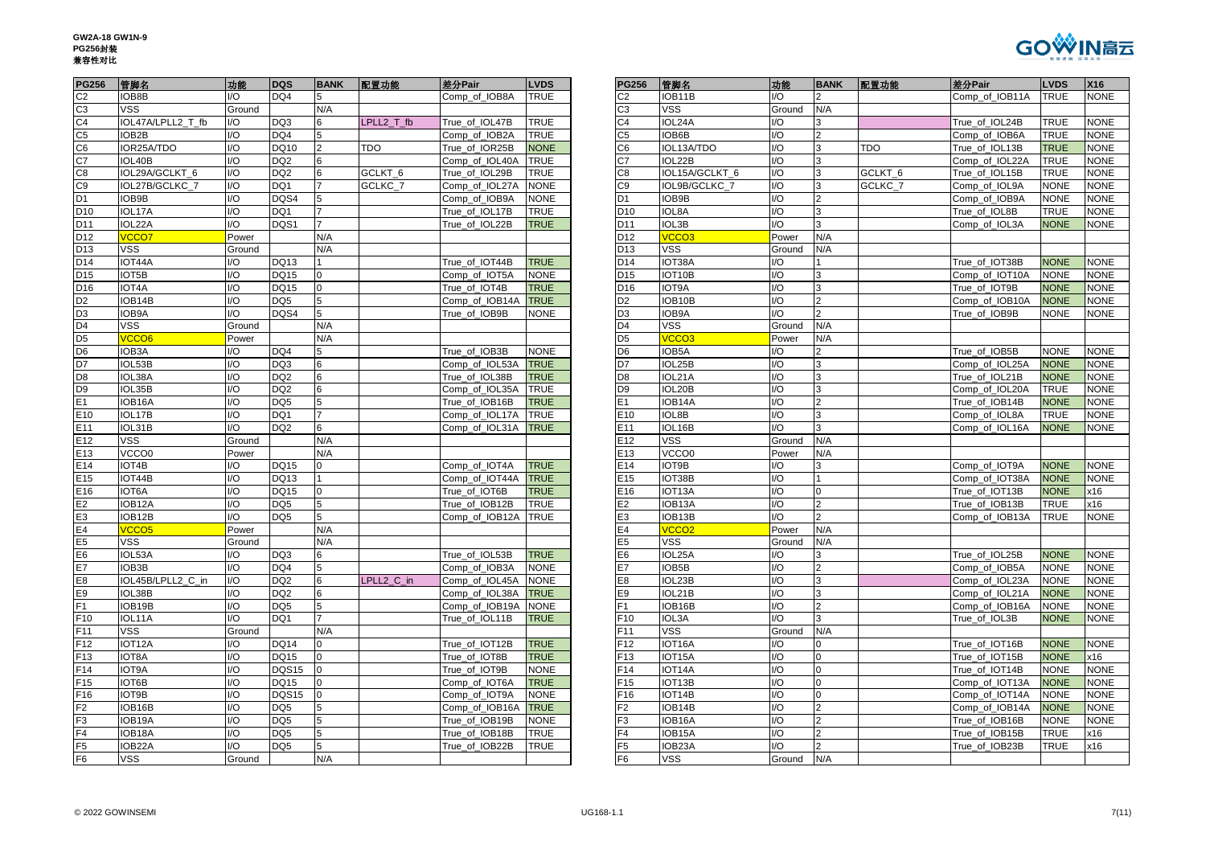

| <b>PG256</b>    | 管脚名                | 功能                      | <b>DQS</b>      | <b>BANK</b>     | 配置功能       | 差分Pair         | <b>LVDS</b> | <b>PG256</b>    | 管脚名               | 功能                     | <b>BA</b>               |
|-----------------|--------------------|-------------------------|-----------------|-----------------|------------|----------------|-------------|-----------------|-------------------|------------------------|-------------------------|
| C <sub>2</sub>  | IOB8B              | $U$                     | DQ4             | 5               |            | Comp of IOB8A  | <b>TRUE</b> | C <sub>2</sub>  | IOB11B            | 1/O                    | $\overline{2}$          |
| C <sub>3</sub>  | <b>VSS</b>         | Ground                  |                 | N/A             |            |                |             | C <sub>3</sub>  | <b>VSS</b>        | Ground                 | N/A                     |
| C4              | IOL47A/LPLL2_T_fb  | I/O                     | DQ3             | 6               | LPLL2 T fb | True_of_IOL47B | <b>TRUE</b> | C <sub>4</sub>  | IOL24A            | I/O                    | 3                       |
| C5              | IOB <sub>2</sub> B | $1/O$                   | DQ4             | 5               |            | Comp_of_IOB2A  | <b>TRUE</b> | C <sub>5</sub>  | IOB6B             | $\overline{1/O}$       | $\overline{2}$          |
| C6              | IOR25A/TDO         | $\mathsf{U}\mathsf{O}$  | <b>DQ10</b>     | $\overline{2}$  | <b>TDO</b> | True of IOR25B | <b>NONE</b> | C6              | IOL13A/TDO        | I/O                    | 3                       |
| C7              | IOL40B             | 1/O                     | DQ <sub>2</sub> | $6\phantom{.}6$ |            | Comp_of_IOL40A | <b>TRUE</b> | C7              | IOL22B            | I/O                    | 3                       |
| C8              | IOL29A/GCLKT_6     | $1/O$                   | DQ <sub>2</sub> | $6\phantom{1}6$ | GCLKT_6    | True_of_IOL29B | <b>TRUE</b> | C <sub>8</sub>  | IOL15A/GCLKT_6    | $\mathsf{U}\mathsf{O}$ | 3                       |
| C9              | IOL27B/GCLKC_7     | I/O                     | DQ1             | $\overline{7}$  | GCLKC_7    | Comp_of_IOL27A | <b>NONE</b> | C9              | IOL9B/GCLKC_7     | 1/O                    | 3                       |
| D <sub>1</sub>  | IOB9B              | $\mathsf{U}\mathsf{O}$  | DQS4            | 5               |            | Comp of IOB9A  | <b>NONE</b> | D <sub>1</sub>  | IOB9B             | $\mathsf{U}\mathsf{O}$ | $\overline{2}$          |
| D <sub>10</sub> | IOL17A             | I/O                     | DQ1             | $\overline{7}$  |            | True_of_IOL17B | <b>TRUE</b> | D <sub>10</sub> | IOL8A             | I/O                    | 3                       |
| D11             | IOL22A             | UQ                      | DQS1            | $\overline{7}$  |            | True of IOL22B | <b>TRUE</b> | D <sub>11</sub> | IOL3B             | $\overline{10}$        | $\overline{3}$          |
| D12             | VCCO7              | Power                   |                 | N/A             |            |                |             | D12             | VCCO <sub>3</sub> | Power                  | N/A                     |
| D13             | <b>VSS</b>         | Ground                  |                 | N/A             |            |                |             | D <sub>13</sub> | VSS               | Ground                 | N/A                     |
| D14             | IOT44A             | I/O                     | <b>DQ13</b>     | 1               |            | True of IOT44B | <b>TRUE</b> | D14             | IOT38A            | $U$                    |                         |
| D <sub>15</sub> | IOT5B              | $U$                     | <b>DQ15</b>     | $\overline{0}$  |            | Comp_of_IOT5A  | <b>NONE</b> | D <sub>15</sub> | IOT10B            | I/O                    | 3                       |
| D16             | IOT4A              | $UO$                    | <b>DQ15</b>     | $\mathbf 0$     |            | True_of_IOT4B  | <b>TRUE</b> | D <sub>16</sub> | IOT9A             | I/O                    | 3                       |
| D <sub>2</sub>  | IOB14B             | $\mathsf{U}\mathsf{O}$  | DQ <sub>5</sub> | 5               |            | Comp_of_IOB14A | <b>TRUE</b> | D <sub>2</sub>  | IOB10B            | I/O                    | $\overline{2}$          |
| D <sub>3</sub>  | IOB9A              | I/O                     | DQS4            | 5               |            | True of IOB9B  | <b>NONE</b> | D <sub>3</sub>  | IOB9A             | $\mathsf{U}\mathsf{O}$ | $\overline{2}$          |
| D4              | <b>VSS</b>         | Ground                  |                 | N/A             |            |                |             | D <sub>4</sub>  | <b>VSS</b>        | Ground                 | N/A                     |
| D5              | VCCO <sub>6</sub>  | Power                   |                 | N/A             |            |                |             | D <sub>5</sub>  | VCCO <sub>3</sub> | Power                  | N/A                     |
| D6              | IOB3A              | $\mathsf{IO}$           | DQ4             | 5               |            | True of IOB3B  | <b>NONE</b> | D6              | IOB5A             | I/O                    | 2                       |
| D7              | IOL53B             | I/O                     | DQ3             | $6\phantom{1}6$ |            | Comp_of_IOL53A | <b>TRUE</b> | D7              | IOL25B            | I/O                    | 3                       |
| D <sub>8</sub>  | IOL38A             | $\mathsf{U}\mathsf{O}$  | DQ <sub>2</sub> | $6\phantom{1}6$ |            | True of IOL38B | <b>TRUE</b> | D <sub>8</sub>  | IOL21A            | $\mathsf{U}\mathsf{O}$ | 3                       |
| D <sub>9</sub>  | IOL35B             | $UO$                    | DQ <sub>2</sub> | $6\phantom{1}6$ |            | Comp_of_IOL35A | <b>TRUE</b> | D <sub>9</sub>  | IOL20B            | I/O                    | 3                       |
| E1              | IOB16A             | $1/O$                   | DQ <sub>5</sub> | 5               |            | True of IOB16B | <b>TRUE</b> | E1              | IOB14A            | $\mathsf{U}\mathsf{O}$ | $\overline{2}$          |
| E10             | IOL17B             | $\mathsf{U}\mathsf{O}$  | DQ1             | $\overline{7}$  |            | Comp_of_IOL17A | <b>TRUE</b> | E10             | IOL8B             | $\mathsf{U}\mathsf{O}$ | 3                       |
| E11             | IOL31B             | $\mathsf{U}\mathsf{O}$  | DQ <sub>2</sub> | $6\phantom{1}6$ |            | Comp_of_IOL31A | <b>TRUE</b> | E11             | IOL16B            | $\overline{10}$        | $\overline{3}$          |
| E12             | <b>VSS</b>         | Ground                  |                 | N/A             |            |                |             | E <sub>12</sub> | <b>VSS</b>        | Ground                 | N/A                     |
| E13             | VCCO0              | Power                   |                 | N/A             |            |                |             | E13             | VCCO0             | Power                  | N/A                     |
| E14             | IOT4B              | $\mathsf{IO}$           | <b>DQ15</b>     | $\mathbf 0$     |            | Comp_of_IOT4A  | <b>TRUE</b> | E14             | IOT9B             | I/O                    | $\overline{3}$          |
| E <sub>15</sub> | IOT44B             | 1/O                     | DQ13            | $\mathbf{1}$    |            | Comp_of_IOT44A | <b>TRUE</b> | E <sub>15</sub> | IOT38B            | I/O                    | $\mathbf{1}$            |
| E16             | IOT6A              | $\mathsf{IO}$           | <b>DQ15</b>     | $\overline{0}$  |            | True of IOT6B  | <b>TRUE</b> | E16             | IOT13A            | I/O                    | $\overline{0}$          |
| Е2              | IOB12A             | I/O                     | DQ <sub>5</sub> | 5               |            | True_of_IOB12B | <b>TRUE</b> | E <sub>2</sub>  | IOB13A            | I/O                    | $\overline{\mathbf{c}}$ |
| E3              | IOB12B             | 1/O                     | DQ <sub>5</sub> | 5               |            | Comp_of_IOB12A | <b>TRUE</b> | E3              | IOB13B            | $\mathsf{U}\mathsf{O}$ | $\overline{2}$          |
| E4              | VCCO <sub>5</sub>  | Power                   |                 | N/A             |            |                |             | E <sub>4</sub>  | VCCO <sub>2</sub> | Power                  | N/A                     |
| E5              | <b>VSS</b>         | Ground                  |                 | N/A             |            |                |             | E <sub>5</sub>  | <b>VSS</b>        | Ground                 | N/A                     |
| E6              | IOL53A             | $\mathsf{U}\mathsf{O}$  | DQ3             | 6               |            | True of IOL53B | <b>TRUE</b> | E <sub>6</sub>  | IOL25A            | I/O                    | 3                       |
| E7              | IOB3B              | $1/O$                   | DQ4             | 5               |            | Comp_of_IOB3A  | <b>NONE</b> | E7              | IOB5B             | I/O                    | $\overline{c}$          |
| E8              | IOL45B/LPLL2_C_in  | $1/O$                   | DQ <sub>2</sub> | $6\phantom{1}6$ | LPLL2 C in | Comp_of_IOL45A | <b>NONE</b> | E8              | IOL23B            | $\mathsf{U}\mathsf{O}$ | 3                       |
| E9              | IOL38B             | $1/O$                   | DQ <sub>2</sub> | $6\phantom{1}6$ |            | Comp_of_IOL38A | <b>TRUE</b> | E9              | IOL21B            | 1/O                    | 3                       |
| F <sub>1</sub>  | IOB19B             | $\overline{1/O}$        | DQ <sub>5</sub> | 5               |            | Comp_of_IOB19A | <b>NONE</b> | F <sub>1</sub>  | IOB16B            | $\overline{10}$        | $\overline{2}$          |
| F10             | IOL11A             | $\mathsf{IO}$           | DQ1             | $\overline{7}$  |            | True_of_IOL11B | <b>TRUE</b> | F10             | IOL3A             | I/O                    | 3                       |
| F11             | <b>VSS</b>         | Ground                  |                 | N/A             |            |                |             | F11             | VSS               | Ground                 | N/A                     |
| F12             | IOT12A             | $\mathsf{U}\mathsf{O}$  | <b>DQ14</b>     | $\overline{0}$  |            | True of IOT12B | <b>TRUE</b> | F <sub>12</sub> | IOT16A            | I/O                    | 0                       |
| F13             | IOT8A              | I/O                     | DQ15            | $\overline{0}$  |            | True_of_IOT8B  | <b>TRUE</b> | F <sub>13</sub> | IOT15A            | I/O                    | $\pmb{0}$               |
| F14             | <b>IOT9A</b>       | $1/O$                   | <b>DQS15</b>    | $\overline{0}$  |            | True of IOT9B  | <b>NONE</b> | F14             | IOT14A            | $\mathsf{U}\mathsf{O}$ | $\pmb{0}$               |
| F15             | IOT6B              | $\mathsf{U}\mathsf{O}$  | <b>DQ15</b>     | $\mathbf 0$     |            | Comp_of_IOT6A  | <b>TRUE</b> | F <sub>15</sub> | IOT13B            | I/O                    | $\mathbf 0$             |
| F <sub>16</sub> | IOT9B              | $1/O$                   | <b>DQS15</b>    | $\overline{0}$  |            | Comp of IOT9A  | <b>NONE</b> | F <sub>16</sub> | IOT14B            | $\mathsf{U}\mathsf{O}$ | $\mathbf 0$             |
| F2              | IOB16B             | $\mathsf{U}\mathsf{O}$  | DQ <sub>5</sub> | 5               |            | Comp_of_IOB16A | <b>TRUE</b> | F <sub>2</sub>  | IOB14B            | I/O                    | $\overline{2}$          |
| F3              | IOB19A             | $\mathsf{I}/\mathsf{O}$ | DQ <sub>5</sub> | 5               |            | True_of_IOB19B | <b>NONE</b> | F3              | IOB16A            | I/O                    | $\overline{2}$          |
| F4              | IOB18A             | $\mathsf{IO}$           | DQ <sub>5</sub> | 5               |            | True_of_IOB18B | <b>TRUE</b> | F <sub>4</sub>  | IOB15A            | $\mathsf{U}\mathsf{O}$ | $\overline{\mathbf{c}}$ |
| F5              | IOB22A             | I/O                     | DQ <sub>5</sub> | 5               |            | True_of_IOB22B | <b>TRUE</b> | F5              | IOB23A            | $\mathsf{U}\mathsf{O}$ | $\overline{\mathbf{c}}$ |
| F <sub>6</sub>  | <b>VSS</b>         | Ground                  |                 | N/A             |            |                |             | F <sub>6</sub>  | <b>VSS</b>        | Ground                 | N/A                     |

| <b>PG256</b>     | 管脚名                | 功能            | DQS             | <b>BANK</b>   | 配置功能               | 差分Pair         | <b>LVDS</b> |
|------------------|--------------------|---------------|-----------------|---------------|--------------------|----------------|-------------|
|                  | IOB8B              | I/O           | DQ4             |               |                    | Comp_of_IOB8A  | <b>TRUE</b> |
| C <sub>2</sub>   | <b>VSS</b>         | Ground        |                 | N/A           |                    |                |             |
| C3<br>C4         | IOL47A/LPLL2_T_fb  | I/O           | DQ3             | 6             | LPLL2 T fb         | True_of_IOL47B | TRUE        |
| C5               | IOB2B              | I/O           | DQ4             |               |                    | Comp_of_IOB2A  | <b>TRUE</b> |
| C6               | IOR25A/TDO         | I/O           | <b>DQ10</b>     | $\mathcal{P}$ | <b>TDO</b>         | True of IOR25B | <b>NONE</b> |
| C7               | IOL40B             | I/O           | DQ <sub>2</sub> | 6             |                    | Comp_of_IOL40A | <b>TRUE</b> |
| $\overline{c}$ 8 | IOL29A/GCLKT 6     | I/O           | DQ <sub>2</sub> |               | GCLKT <sub>6</sub> | True of IOL29B | <b>TRUE</b> |
| $\overline{C9}$  | IOL27B/GCLKC_7     | I/O           | DQ1             |               | GCLKC_7            | Comp_of_IOL27A | <b>NONE</b> |
| D1               | IOB9B              | I/O           | DQS4            |               |                    |                | <b>NONE</b> |
|                  |                    | $\mathsf{IO}$ |                 |               |                    | Comp_of_IOB9A  |             |
| D <sub>10</sub>  | IOL17A             |               | DQ1             |               |                    | True_of_IOL17B | <b>TRUE</b> |
| D11              | IOL22A             | I/O           | DQS1            |               |                    | True_of_IOL22B | <b>TRUE</b> |
| D <sub>12</sub>  | VCCO7              | Power         |                 | N/A           |                    |                |             |
| D13              | <b>VSS</b>         | Ground        |                 | N/A           |                    |                |             |
| D14              | IOT44A             | I/O           | DQ13            |               |                    | True_of_IOT44B | <b>TRUE</b> |
| D <sub>15</sub>  | IOT5B              | I/O           | <b>DQ15</b>     | 0             |                    | Comp_of_IOT5A  | <b>NONE</b> |
| D16              | IOT4A              | I/O           | <b>DQ15</b>     |               |                    | True_of_IOT4B  | <b>TRUE</b> |
| D <sub>2</sub>   | IOB14B             | I/O           | DQ <sub>5</sub> |               |                    | Comp of IOB14A | <b>TRUE</b> |
|                  | IOB9A              | I/O           | DQS4            | 5             |                    | True_of_IOB9B  | <b>NONE</b> |
| D4               | VSS                | Ground        |                 | N/A           |                    |                |             |
|                  | VCCO6              | Power         |                 | N/A           |                    |                |             |
| D6               | IOB3A              | I/O           | DQ4             |               |                    | True of IOB3B  | <b>NONE</b> |
| D7               | IOL53B             | I/O           | DQ3             | 6             |                    | Comp of IOL53A | <b>TRUE</b> |
| D8               | IOL38A             | I/O           | DQ <sub>2</sub> | 6             |                    | True_of_IOL38B | <b>TRUE</b> |
| D9               | IOL35B             | I/O           | DQ <sub>2</sub> | 6             |                    | Comp_of_IOL35A | <b>TRUE</b> |
| Ε1               | IOB16A             | I/O           | DQ5             |               |                    | True of IOB16B | <b>TRUE</b> |
| E <sub>10</sub>  | IOL17B             | I/O           | DQ1             |               |                    | Comp_of_IOL17A | <b>TRUE</b> |
| E <sub>11</sub>  | IOL31B             | I/O           | DQ <sub>2</sub> | 6             |                    | Comp_of_IOL31A | <b>TRUE</b> |
| E12              | <b>VSS</b>         | Ground        |                 | N/A           |                    |                |             |
|                  |                    |               |                 | N/A           |                    |                |             |
| E13              | VCCO0              | Power         |                 |               |                    |                |             |
| E <sub>14</sub>  | IOT4B              | I/O           | <b>DQ15</b>     | $\Omega$      |                    | Comp of IOT4A  | <b>TRUE</b> |
| E15              | IOT44B             | I/O           | <b>DQ13</b>     |               |                    | Comp_of_IOT44A | <b>TRUE</b> |
| E16              | <b>IOT6A</b>       | I/O           | <b>DQ15</b>     | $\Omega$      |                    | True of IOT6B  | <b>TRUE</b> |
| E2               | IOB12A             | I/O           | DQ <sub>5</sub> |               |                    | True_of_IOB12B | <b>TRUE</b> |
| E3               | IOB12B             | I/O           | DQ5             |               |                    | Comp_of_IOB12A | <b>TRUE</b> |
| E4               | VCCO <sub>5</sub>  | Power         |                 | N/A           |                    |                |             |
| E5               | VSS                | Ground        |                 | N/A           |                    |                |             |
| Ε6               | IOL53A             | I/O           | DQ3             | 6.            |                    | True of IOL53B | <b>TRUE</b> |
|                  | IOB3B              | I/O           | DQ4             |               |                    | Comp of IOB3A  | <b>NONE</b> |
| E8               | IOL45B/LPLL2_C_in  | I/O           | DQ <sub>2</sub> | 6             | LPLL2_C_in         | Comp_of_IOL45A | <b>NONE</b> |
| E9               | IOL38B             | I/O           | DQ <sub>2</sub> | 6             |                    | Comp_of_IOL38A | <b>TRUE</b> |
|                  | IOB19B             | I/O           | DQ <sub>5</sub> |               |                    | Comp_of_IOB19A | <b>NONE</b> |
| F10              | IOL11A             | I/O           | DQ1             |               |                    | True_of_IOL11B | <b>TRUE</b> |
| F11              | <b>VSS</b>         | Ground        |                 | N/A           |                    |                |             |
| F12              | IOT12A             | I/O           | <b>DQ14</b>     | $\Omega$      |                    | True_of_IOT12B | <b>TRUE</b> |
| F <sub>13</sub>  | IOT <sub>8</sub> A | I/O           | <b>DQ15</b>     | 0             |                    | True of IOT8B  | <b>TRUE</b> |
| F14              | IOT9A              | I/O           | <b>DQS15</b>    |               |                    | True_of_IOT9B  | <b>NONE</b> |
|                  | IOT6B              | I/O           |                 | $\Omega$      |                    |                |             |
| F <sub>15</sub>  |                    |               | <b>DQ15</b>     |               |                    | Comp of IOT6A  | <b>TRUE</b> |
| F16              | IOT9B              | I/O           | DQS15           | $\Omega$      |                    | Comp_of_IOT9A  | <b>NONE</b> |
| F2               | IOB16B             | I/O           | DQ <sub>5</sub> |               |                    | Comp_of_IOB16A | <b>TRUE</b> |
| $\overline{F3}$  | IOB19A             | /O            | DQ5             |               |                    | True_of_IOB19B | <b>VONE</b> |
| F4               | IOB18A             | I/O           | DQ <sub>5</sub> | 5             |                    | True_of_IOB18B | TRUE        |
| F <sub>5</sub>   | IOB22A             | I/O           | DQ <sub>5</sub> | 5             |                    | True_of_IOB22B | TRUE        |
| F6               | VSS                | Ground        |                 | N/A           |                    |                |             |
|                  |                    |               |                 |               |                    |                |             |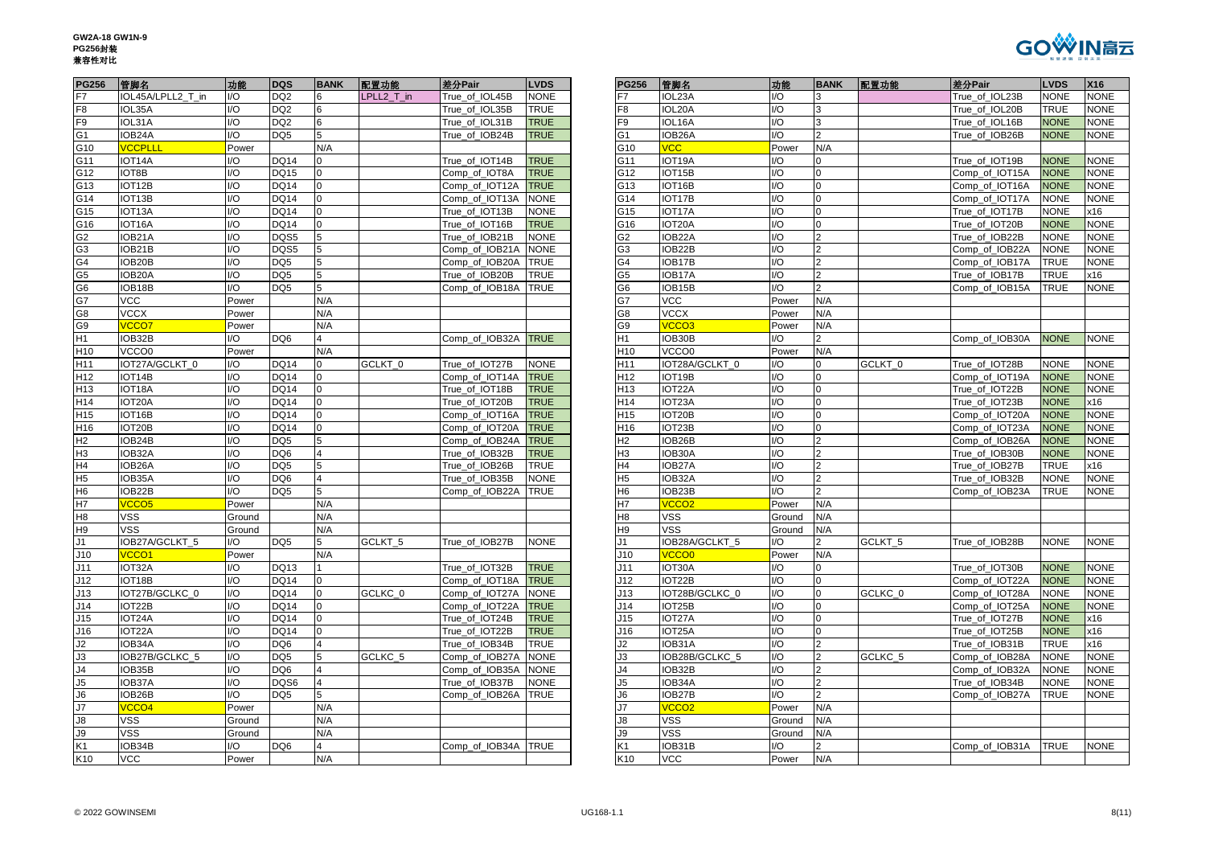

| <b>PG256</b>    | 管脚名                          | 功能           | DQS             | <b>BANK</b>    | 配置功能               | 差分Pair              | <b>LVDS</b> | <b>PG256</b>    | 管脚名                         | 功能                     | <b>BANK</b>    | 配置功能               | 差分Pair         | <b>LVDS</b> | X16       |
|-----------------|------------------------------|--------------|-----------------|----------------|--------------------|---------------------|-------------|-----------------|-----------------------------|------------------------|----------------|--------------------|----------------|-------------|-----------|
| F7              | IOL45A/LPLL2 T in            | I/O          | DQ <sub>2</sub> | 6              | LPLL2 T in         | True of IOL45B      | <b>NONE</b> |                 | IOL23A                      | $UO$                   |                |                    | True of IOL23B | <b>NONE</b> | <b>NO</b> |
| F8              | IOL35A                       | I/O          | DQ <sub>2</sub> |                |                    | True of IOL35B      | TRUE        | -8              | IOL20A                      | $UO$                   |                |                    | True of IOL20B | <b>TRUE</b> | <b>NO</b> |
| F9              | IOL31A                       | I/O          | DQ <sub>2</sub> | 6              |                    | True_of_IOL31B      | <b>TRUE</b> | F9              | IOL16A                      | 1/O                    | 3              |                    | True_of_IOL16B | <b>NONE</b> | <b>NO</b> |
| G <sub>1</sub>  | IOB24A                       | I/O          | DQ <sub>5</sub> | 5              |                    | True_of_IOB24B      | <b>TRUE</b> | G1              | IOB26A                      | $UO$                   |                |                    | True of IOB26B | <b>NONE</b> | <b>NO</b> |
| G10             | <b>VCCPLLL</b>               | Power        |                 | N/A            |                    |                     |             | G10             | <b>VCC</b>                  | Power                  | N/A            |                    |                |             |           |
| G11             | IOT14A                       | I/O          | <b>DQ14</b>     | $\Omega$       |                    | True_of_IOT14B      | <b>TRUE</b> | G11             | IOT19A                      | I/O                    |                |                    | True_of_IOT19B | <b>NONE</b> | <b>NO</b> |
| G12             | IOT8B                        | I/O          | <b>DQ15</b>     | $\Omega$       |                    | Comp of IOT8A       | <b>TRUE</b> | G12             | IOT15B                      | $UO$                   | $\Omega$       |                    | Comp of IOT15A | <b>NONE</b> | <b>NO</b> |
| G13             | IOT12B                       | I/O          | <b>DQ14</b>     | $\Omega$       |                    | Comp_of_IOT12A      | <b>TRUE</b> | G13             | IOT16B                      | $UO$                   | $\Omega$       |                    | Comp_of_IOT16A | <b>NONE</b> | <b>NO</b> |
| G14             | IOT13B                       | /O           | <b>DQ14</b>     |                |                    | Comp_of_IOT13A      | <b>NONE</b> | G14             | IOT17B                      | $UO$                   |                |                    | Comp_of_IOT17A | <b>NONE</b> | <b>NO</b> |
| G15             | IOT <sub>13</sub> A          | /O           | <b>DQ14</b>     |                |                    | True_of_IOT13B      | <b>NONE</b> | G15             | IOT17A                      | $UO$                   |                |                    | True_of_IOT17B | <b>NONE</b> | x16       |
| G16             | IOT16A                       | I/O          | <b>DQ14</b>     | $\Omega$       |                    | True_of_IOT16B      | <b>TRUE</b> | G16             | IOT20A                      | 1/O                    | $\Omega$       |                    | True_of_IOT20B | <b>NONE</b> | <b>NO</b> |
| G <sub>2</sub>  | IOB21A                       | I/O          | DQS5            | 5              |                    | True_of_IOB21B      | <b>NONE</b> | G2              | IOB22A                      | $UO$                   |                |                    | True_of_IOB22B | <b>NONE</b> | <b>NO</b> |
| G <sub>3</sub>  | IOB21B                       | I/O          | DQS5            | 5              |                    | Comp of IOB21A NONE |             | G3              | IOB22B                      | $UO$                   |                |                    | Comp_of_IOB22A | <b>NONE</b> | <b>NO</b> |
| G <sub>4</sub>  | IOB20B                       | I/O          | DQ <sub>5</sub> | 5              |                    | Comp of IOB20A      | <b>TRUE</b> | G4              | IOB17B                      | $\mathsf{U}\mathsf{O}$ |                |                    | Comp_of_IOB17A | TRUE        | <b>NO</b> |
| G <sub>5</sub>  | IOB20A                       | I/O          | DQ <sub>5</sub> | 5              |                    | True_of_IOB20B      | <b>TRUE</b> | G5              | IOB17A                      | 1/O                    | $\mathfrak{p}$ |                    | True_of_IOB17B | <b>TRUE</b> | x16       |
| G <sub>6</sub>  | IOB18B                       | I/O          | DQ <sub>5</sub> | 5              |                    | Comp_of_IOB18A      | <b>TRUE</b> | G6              | IOB15B                      | $UO$                   |                |                    | Comp_of_IOB15A | <b>TRUE</b> | <b>NO</b> |
| G7              | <b>VCC</b>                   | Power        |                 | N/A            |                    |                     |             |                 | <b>VCC</b>                  | Power                  | N/A            |                    |                |             |           |
| G8              | <b>VCCX</b>                  | Power        |                 | N/A            |                    |                     |             | 38              | <b>VCCX</b>                 | Power                  | N/A            |                    |                |             |           |
| G9              | <b>VCCO7</b>                 | Power        |                 | N/A            |                    |                     |             | G9              | VCCO <sub>3</sub>           | Power                  | N/A            |                    |                |             |           |
| H <sub>1</sub>  | IOB32B                       | /O           | DQ <sub>6</sub> | 4              |                    | Comp of IOB32A      | <b>TRUE</b> | H1              | IOB30B                      | $UO$                   |                |                    | Comp_of_IOB30A | <b>NONE</b> | <b>NO</b> |
| H10             | VCCO0                        | Power        |                 | N/A            |                    |                     |             | H <sub>10</sub> | VCCO0                       | Power                  | N/A            |                    |                |             |           |
| H11             | IOT27A/GCLKT 0               | /O           | <b>DQ14</b>     |                | GCLKT_0            | True_of_IOT27B      | <b>NONE</b> | H <sub>11</sub> | IOT28A/GCLKT_0              | $UO$                   |                | GCLKT_0            | True_of_IOT28B | NONE        | NO        |
| H <sub>12</sub> | IOT14B                       | I/O          | <b>DQ14</b>     | $\Omega$       |                    | Comp_of_IOT14A      | <b>TRUE</b> | H12             | IOT19B                      | $UO$                   | $\Omega$       |                    | Comp_of_IOT19A | <b>NONE</b> | <b>NO</b> |
| H <sub>13</sub> | IOT18A                       | I/O          | <b>DQ14</b>     | $\Omega$       |                    | True_of_IOT18B      | <b>TRUE</b> | H13             | IOT22A                      | $UO$                   | $\Omega$       |                    | True_of_IOT22B | <b>NONE</b> | <b>NO</b> |
| H14             | IOT20A                       | I/O          | <b>DQ14</b>     |                |                    | True_of_IOT20B      | <b>TRUE</b> | H14             | IOT <sub>23</sub> A         | 1/O                    | $\Omega$       |                    | True_of_IOT23B | <b>NONE</b> | x16       |
| H <sub>15</sub> | IOT16B                       | I/O          | <b>DQ14</b>     |                |                    | Comp of IOT16A      | <b>TRUE</b> | H <sub>15</sub> | IOT <sub>20</sub> B         | $UO$                   |                |                    | Comp_of_IOT20A | <b>NONE</b> | <b>NO</b> |
| H <sub>16</sub> | IOT20B                       | I/O          | <b>DQ14</b>     | $\Omega$       |                    | Comp_of_IOT20A      | <b>TRUE</b> | H <sub>16</sub> | IOT23B                      | 1/O                    | $\Omega$       |                    | Comp_of_IOT23A | <b>NONE</b> | <b>NO</b> |
| H2              | IOB24B                       | I/O          | DQ <sub>5</sub> | 5              |                    | Comp_of_IOB24A      | <b>TRUE</b> | 42              | IOB26B                      | $UO$                   |                |                    | Comp_of_IOB26A | <b>NONE</b> | <b>NO</b> |
| H <sub>3</sub>  | IOB32A                       | I/O          | DQ <sub>6</sub> | 4              |                    | True_of_IOB32B      | <b>TRUE</b> | H3              | IOB30A                      | $UO$                   |                |                    | True_of_IOB30B | <b>NONE</b> | <b>NO</b> |
| H4              | IOB26A                       | I/O          | DQ <sub>5</sub> | 5              |                    | True of IOB26B      | <b>TRUE</b> | H4              | IOB27A                      | $\mathsf{U}\mathsf{O}$ | $\overline{2}$ |                    | True_of_IOB27B | TRUE        | x16       |
| H <sub>5</sub>  | IOB35A                       | I/O          | DQ6             | 4              |                    | True_of_IOB35B      | <b>NONE</b> | 15              | IOB32A                      | 1/O                    | $\overline{2}$ |                    | True_of_IOB32B | <b>NONE</b> | <b>NO</b> |
| H <sub>6</sub>  | IOB22B                       | I/O          | DQ <sub>5</sub> | 5              |                    | Comp_of_IOB22A      | <b>TRUE</b> | Н6              | IOB23B                      | 1/O                    |                |                    | Comp_of_IOB23A | <b>TRUE</b> | <b>NO</b> |
| <b>H7</b>       | VCCO <sub>5</sub>            | Power        |                 | N/A            |                    |                     |             |                 | VCCO <sub>2</sub>           | Power                  | N/A            |                    |                |             |           |
| H <sub>8</sub>  | VSS                          | Ground       |                 | N/A            |                    |                     |             | $\overline{18}$ | VSS                         | Ground                 | N/A            |                    |                |             |           |
| H <sub>9</sub>  | <b>VSS</b>                   | Ground       |                 | N/A            |                    |                     |             | Н9              | <b>VSS</b>                  | Ground                 | N/A            |                    |                |             |           |
| J1              | IOB27A/GCLKT 5               | I/O          | DQ <sub>5</sub> | 5              | GCLKT <sub>5</sub> | True of IOB27B      | <b>NONE</b> | 11              | IOB28A/GCLKT 5              | I/O                    | $\overline{2}$ | GCLKT <sub>5</sub> | True of IOB28B | <b>NONE</b> | <b>NO</b> |
| J10             | VCCO <sub>1</sub>            | Power        |                 | N/A            |                    |                     |             | J10             | <b>VCCO0</b>                | Power                  | N/A            |                    |                |             |           |
| J11             | IOT32A                       | I/O          | DQ13            |                |                    | True_of_IOT32B      | <b>TRUE</b> | J11             | IOT30A                      | $UO$                   |                |                    | True_of_IOT30B | <b>NONE</b> | NO        |
| J12             | IOT18B                       | I/O          | <b>DQ14</b>     | $\Omega$       |                    | Comp_of_IOT18A      | <b>TRUE</b> | J12             | IOT22B                      | $UO$                   | $\Omega$       |                    | Comp_of_IOT22A | <b>NONE</b> | <b>NO</b> |
| J13             | IOT27B/GCLKC_0               | I/O          | <b>DQ14</b>     | $\mathbf 0$    | GCLKC 0            | Comp of IOT27A      | <b>NONE</b> | J13             | IOT28B/GCLKC 0              | $UO$                   | $\overline{0}$ | GCLKC 0            | Comp_of_IOT28A | <b>NONE</b> | <b>NO</b> |
| J14             | IOT22B                       | I/O          | <b>DQ14</b>     | $\Omega$       |                    | Comp_of_IOT22A      | <b>TRUE</b> | J14             | IOT25B                      | 1/O                    | $\Omega$       |                    | Comp_of_IOT25A | <b>NONE</b> | NO        |
| J15             | IOT24A                       | VO.          | <b>DQ14</b>     |                |                    | True of IOT24B      | <b>TRUE</b> | J15             | IOT27A                      | $UO$                   |                |                    | True_of_IOT27B | <b>NONE</b> | x16       |
| J16             | IOT22A                       | I/O          | <b>DQ14</b>     | $\overline{0}$ |                    | True_of_IOT22B      | <b>TRUE</b> | J16             | IOT25A                      | $UO$                   | $\Omega$       |                    | True_of_IOT25B | <b>NONE</b> | x16       |
| J2              | IOB34A                       | I/O          | DQ <sub>6</sub> | 4              |                    | True_of_IOB34B      | <b>TRUE</b> | 12              | IOB31A                      | $UO$                   |                |                    | True_of_IOB31B | TRUE        | x16       |
|                 | IOB27B/GCLKC_5               | I/O          | DQ <sub>5</sub> | 5              | GCLKC_5            | Comp_of_IOB27A      | <b>NONE</b> | J3              | IOB28B/GCLKC_5              | $UO$                   |                | GCLKC_5            | Comp_of_IOB28A | <b>NONE</b> | <b>NO</b> |
| J3<br>J4        | IOB35B                       | I/O          | DQ <sub>6</sub> |                |                    | Comp_of_IOB35A      | <b>NONE</b> | J4              | IOB32B                      | $\mathsf{U}\mathsf{O}$ |                |                    | Comp_of_IOB32A | <b>NONE</b> | <b>NO</b> |
| J5              | IOB37A                       | I/O          | DQS6            | 4              |                    | True_of_IOB37B      | <b>NONE</b> | J5              | IOB34A                      | 1/O                    | $\overline{2}$ |                    | True_of_IOB34B | <b>NONE</b> | <b>NO</b> |
|                 |                              | I/O          |                 | 5              |                    |                     |             |                 |                             | I/O                    |                |                    |                | TRUE        | <b>NO</b> |
| J6<br>J7        | IOB <sub>26</sub> B<br>VCCO4 | Power        | DQ5             | N/A            |                    | Comp_of_IOB26A TRUE |             | J6              | IOB27B<br>VCCO <sub>2</sub> | Power                  | N/A            |                    | Comp_of_IOB27A |             |           |
| J8              | <b>VSS</b>                   | Ground       |                 | N/A            |                    |                     |             | J8              | <b>VSS</b>                  | Ground                 | N/A            |                    |                |             |           |
| J9              |                              |              |                 | N/A            |                    |                     |             | J9              | <b>VSS</b>                  |                        |                |                    |                |             |           |
| K1              | VSS<br>IOB34B                | Ground<br>/O | DQ <sub>6</sub> | $\overline{4}$ |                    | Comp of IOB34A TRUE |             | K1              | IOB31B                      | Ground<br>$UO$         | N/A            |                    | Comp of IOB31A | <b>TRUE</b> | <b>NO</b> |
|                 |                              |              |                 | N/A            |                    |                     |             |                 |                             |                        |                |                    |                |             |           |
| K10             | <b>VCC</b>                   | Power        |                 |                |                    |                     |             | K10             | <b>VCC</b>                  | Power                  | N/A            |                    |                |             |           |

| <b>PG256</b>    | 管脚名                 | 功能            | <b>DQS</b>      | <b>BANK</b>           | 配置功能               | 差分Pair         | <b>LVDS</b> | <b>PG256</b>    | 管脚名                  | 功能     | <b>BANK</b>           | 配置功能               | 差分Pair         | <b>LVDS</b> | <b>X16</b>  |
|-----------------|---------------------|---------------|-----------------|-----------------------|--------------------|----------------|-------------|-----------------|----------------------|--------|-----------------------|--------------------|----------------|-------------|-------------|
| F7              | IOL45A/LPLL2 T in   | $U$           | DQ <sub>2</sub> | <b>6</b>              | LPLL2 T in         | True of IOL45B | <b>NONE</b> |                 | IOL23A               | I/O    | 3                     |                    | True of IOL23B | <b>NONE</b> | <b>NONE</b> |
| F8              | IOL35A              | I/O           | DQ <sub>2</sub> | 6                     |                    | True of IOL35B | <b>TRUE</b> | F <sub>8</sub>  | IOL20A               | I/O    | 3                     |                    | True of IOL20B | TRUE        | <b>NONE</b> |
| F9              | IOL31A              | I/O           | DQ <sub>2</sub> | 6                     |                    | True_of_IOL31B | <b>TRUE</b> | F <sub>9</sub>  | IOL16A               | I/O    | 3                     |                    | True_of_IOL16B | <b>NONE</b> | <b>NONE</b> |
| G1              | IOB24A              | I/O           | DQ <sub>5</sub> | 5                     |                    | True of IOB24B | <b>TRUE</b> | G <sub>1</sub>  | IOB26A               | I/O    | $\overline{2}$        |                    | True_of_IOB26B | <b>NONE</b> | <b>NONE</b> |
| G10             | <b>VCCPLLL</b>      | Power         |                 | N/A                   |                    |                |             | G10             | VCC                  | Power  | N/A                   |                    |                |             |             |
| G11             | IOT14A              | I/O           | <b>DQ14</b>     | $\Omega$              |                    | True_of_IOT14B | <b>TRUE</b> | G11             | IOT <sub>19</sub> A  | I/O    |                       |                    | True_of_IOT19B | <b>NONE</b> | <b>NONE</b> |
| G12             | IOT8B               | I/O           | DQ15            | 0                     |                    | Comp_of_IOT8A  | <b>TRUE</b> | G12             | IOT15B               | I/O    | $\overline{0}$        |                    | Comp_of_IOT15A | <b>NONE</b> | <b>NONE</b> |
| G13             | IOT12B              | I/O           | <b>DQ14</b>     | $\overline{0}$        |                    | Comp_of_IOT12A | <b>TRUE</b> | G13             | IOT16B               | I/O    | $\Omega$              |                    | Comp_of_IOT16A | <b>NONE</b> | <b>NONE</b> |
| G14             | IOT13B              | I/O           | <b>DQ14</b>     | 0                     |                    | Comp_of_IOT13A | <b>NONE</b> | G14             | IOT17B               | I/O    | $\mathbf 0$           |                    | Comp_of_IOT17A | NONE        | <b>NONE</b> |
| G15             | IOT <sub>13</sub> A | I/O           | <b>DQ14</b>     | $\Omega$              |                    | True_of_IOT13B | <b>NONE</b> | G15             | IOT17A               | I/O    | $\overline{0}$        |                    | True_of_IOT17B | <b>NONE</b> | x16         |
| G16             | IOT16A              | I/O           | <b>DQ14</b>     | 0                     |                    | True_of_IOT16B | <b>TRUE</b> | G16             | IOT <sub>20</sub> A  | I/O    | $\Omega$              |                    | True_of_IOT20B | <b>NONE</b> | <b>NONE</b> |
| G2              | IOB21A              | I/O           | DQS5            | 5                     |                    | True_of_IOB21B | <b>NONE</b> | G <sub>2</sub>  | IOB22A               | I/O    | $\overline{2}$        |                    | True_of_IOB22B | <b>NONE</b> | <b>NONE</b> |
| G3              | IOB21B              | I/O           | DQS5            | 5                     |                    | Comp_of_IOB21A | <b>NONE</b> | G <sub>3</sub>  | IOB22B               | I/O    | $\overline{2}$        |                    | Comp_of_IOB22A | NONE        | <b>NONE</b> |
| G4              | IOB20B              | I/O           | DQ <sub>5</sub> | 5                     |                    | Comp_of_IOB20A | TRUE        | G4              | IOB17B               | I/O    | $\overline{2}$        |                    | Comp_of_IOB17A | TRUE        | <b>NONE</b> |
| G5              | IOB20A              | I/O           | DQ5             | 5                     |                    | True of IOB20B | <b>TRUE</b> | G <sub>5</sub>  | IOB <sub>17</sub> A  | I/O    | $\overline{2}$        |                    | True of IOB17B | <b>TRUE</b> | x16         |
| G6              | IOB18B              | I/O           | DQ5             | 5                     |                    | Comp_of_IOB18A | <b>TRUE</b> | G <sub>6</sub>  | IOB15B               | I/O    | $\mathcal{P}$         |                    | Comp_of_IOB15A | <b>TRUE</b> | <b>NONE</b> |
| G7              | VCC                 | Power         |                 | N/A                   |                    |                |             | G7              | <b>VCC</b>           | Power  | N/A                   |                    |                |             |             |
| G8              | <b>VCCX</b>         | Power         |                 | N/A                   |                    |                |             | G8              | <b>VCCX</b>          | Power  | N/A                   |                    |                |             |             |
| G9              | <b>VCCO7</b>        | Power         |                 | N/A                   |                    |                |             | G9              | VCCO <sub>3</sub>    | Power  | N/A                   |                    |                |             |             |
| Η1              | IOB32B              | I/O           | DQ6             | $\overline{4}$        |                    | Comp of IOB32A | <b>TRUE</b> | H <sub>1</sub>  | IOB30B               | I/O    | $\overline{2}$        |                    | Comp_of_IOB30A | <b>NONE</b> | <b>NONE</b> |
| H <sub>10</sub> | VCCO <sub>0</sub>   | Power         |                 | N/A                   |                    |                |             | H <sub>10</sub> | VCCO <sub>0</sub>    | Power  | N/A                   |                    |                |             |             |
| H11             | IOT27A/GCLKT 0      | I/O           | <b>DQ14</b>     | 0                     | GCLKT <sub>0</sub> | True_of_IOT27B | <b>NONE</b> | H <sub>11</sub> | IOT28A/GCLKT 0       | I/O    | $\mathbf{0}$          | GCLKT <sub>0</sub> | True_of_IOT28B | NONE        | <b>NONE</b> |
| H12             | IOT14B              | 1/O           | DQ14            | ١O                    |                    | Comp_of_IOT14A | <b>TRUE</b> | H <sub>12</sub> | IOT19B               | I/O    | $\Omega$              |                    | Comp_of_IOT19A | <b>NONE</b> | <b>NONE</b> |
| H13             | IOT <sub>18</sub> A | I/O           | <b>DQ14</b>     | 0                     |                    | True of IOT18B | <b>TRUE</b> | H <sub>13</sub> | IOT <sub>22</sub> A  | I/O    |                       |                    | True_of_IOT22B | <b>NONE</b> | <b>NONE</b> |
| H14             | IOT20A              | I/O           | <b>DQ14</b>     | 0                     |                    | True_of_IOT20B | <b>TRUE</b> | H14             | IOT <sub>23</sub> A  | I/O    | $\mathbf 0$           |                    | True_of_IOT23B | <b>NONE</b> | x16         |
| H15             | IOT16B              | I/O           | <b>DQ14</b>     | 0                     |                    | Comp_of_IOT16A | <b>TRUE</b> | H <sub>15</sub> | IOT20B               | I/O    | $\overline{0}$        |                    | Comp_of_IOT20A | <b>NONE</b> | <b>NONE</b> |
| H16             | IOT20B              | I/O           | <b>DQ14</b>     | 0                     |                    | Comp_of_IOT20A | <b>TRUE</b> | H <sub>16</sub> | IOT23B               | I/O    | $\mathbf 0$           |                    | Comp_of_IOT23A | <b>NONE</b> | <b>NONE</b> |
| Η2              | IOB24B              | I/O           | DQ5             | 5                     |                    | Comp of IOB24A | <b>TRUE</b> | H <sub>2</sub>  | IOB26B               | I/O    | $\overline{2}$        |                    | Comp_of_IOB26A | <b>NONE</b> | <b>NONE</b> |
| H3              | IOB32A              | I/O           | DQ6             | $\overline{4}$        |                    | True_of_IOB32B | <b>TRUE</b> | H <sub>3</sub>  | IOB30A               | I/O    | $\overline{2}$        |                    | True_of_IOB30B | <b>NONE</b> | <b>NONE</b> |
| Η4              | IOB26A              | I/O           | DQ <sub>5</sub> | 5                     |                    | True of IOB26B | <b>TRUE</b> | H4              | IOB27A               | I/O    | $\overline{2}$        |                    | True of IOB27B | <b>TRUE</b> | x16         |
| H5              | IOB35A              | I/O           | DQ6             | $\overline{4}$        |                    | True_of_IOB35B | <b>NONE</b> | H <sub>5</sub>  | IOB32A               | I/O    | $\overline{2}$        |                    | True_of_IOB32B | <b>NONE</b> | <b>NONE</b> |
| H6              | IOB22B              | I/O           | DQ <sub>5</sub> | 5                     |                    | Comp_of_IOB22A | <b>TRUE</b> | H <sub>6</sub>  | IOB23B               | I/O    |                       |                    | Comp_of_IOB23A | <b>TRUE</b> | <b>NONE</b> |
| Η7              | VCCO <sub>5</sub>   | Power         |                 | N/A                   |                    |                |             | <b>H7</b>       | VCCO <sub>2</sub>    | Power  | N/A                   |                    |                |             |             |
| H8              | VSS                 | Ground        |                 | N/A                   |                    |                |             | H8              | <b>VSS</b>           | Ground | N/A                   |                    |                |             |             |
| H9              | VSS                 | Ground        |                 | N/A                   |                    |                |             | H <sub>9</sub>  | <b>VSS</b>           | Ground | N/A                   |                    |                |             |             |
| J1              | IOB27A/GCLKT_5      | I/O           | DQ5             | 5                     | GCLKT_5            | True_of_IOB27B | NONE        | J1              | IOB28A/GCLKT_5       | I/O    |                       | GCLKT_5            | True_of_IOB28B | NONE        | <b>NONE</b> |
| J10             | VCCO <sub>1</sub>   | Power         |                 | N/A                   |                    |                |             | J10             | VCCO <sub>0</sub>    | Power  | N/A                   |                    |                |             |             |
| J11             | IOT32A              | I/O           | DQ13            | l 1                   |                    | True_of_IOT32B | <b>TRUE</b> | J11             | IOT30A               | I/O    | $\Omega$              |                    | True_of_IOT30B | <b>NONE</b> | <b>NONE</b> |
| J12             | IOT18B              | I/O           | <b>DQ14</b>     | $\overline{0}$        |                    | Comp_of_IOT18A | <b>TRUE</b> | J12             | IOT22B               | I/O    | $\overline{0}$        |                    | Comp_of_IOT22A | <b>NONE</b> | <b>NONE</b> |
| J13             | IOT27B/GCLKC_0      | I/O           | <b>DQ14</b>     | 0                     | GCLKC_0            | Comp_of_IOT27A | <b>NONE</b> | J13             | IOT28B/GCLKC_0       | I/O    | $\mathbf 0$           | GCLKC_0            | Comp_of_IOT28A | <b>NONE</b> | <b>NONE</b> |
| J14             | IOT22B              | I/O           | <b>DQ14</b>     |                       |                    | Comp of IOT22A | <b>TRUE</b> | J14             | IOT25B               | I/O    | $\Omega$              |                    | Comp_of_IOT25A | <b>VONE</b> | <b>NONE</b> |
| J15             | IOT24A              | I/O           | <b>DQ14</b>     | $\overline{0}$        |                    | True of IOT24B | <b>TRUE</b> | J15             | IOT27A               | I/O    | $\overline{0}$        |                    | True_of_IOT27B | <b>NONE</b> | x16         |
| J16             | IOT <sub>22</sub> A | I/O           | <b>DQ14</b>     | $\overline{0}$        |                    | True_of_IOT22B | <b>TRUE</b> | J16             | IOT <sub>25</sub> A  | I/O    | $\overline{0}$        |                    | True_of_IOT25B | <b>NONE</b> | x16         |
| J2              | IOB34A              | I/O           | DQ6             | $\overline{4}$        |                    | True_of_IOB34B | <b>TRUE</b> | J2              | IOB31A               | I/O    | $\overline{2}$        |                    | True_of_IOB31B | TRUE        | x16         |
| J3              | IOB27B/GCLKC_5      | I/O           | DQ <sub>5</sub> | 5                     | GCLKC_5            | Comp_of_IOB27A | <b>NONE</b> | J3              | IOB28B/GCLKC_5       | I/O    |                       | GCLKC_5            | Comp_of_IOB28A | <b>NONE</b> | <b>NONE</b> |
| J4              | IOB35B              | I/O           | DQ6             | $\overline{4}$        |                    | Comp_of_IOB35A | <b>NONE</b> | J <sub>4</sub>  | IOB32B               | I/O    | $\overline{2}$        |                    | Comp_of_IOB32A | <b>NONE</b> | <b>NONE</b> |
| J5              | IOB37A              | I/O           | DQS6            | $\overline{4}$        |                    | True_of_IOB37B | <b>NONE</b> | J5              | IOB34A               | I/O    | $\overline{2}$        |                    | True_of_IOB34B | NONE        | <b>NONE</b> |
| J6              | IOB26B              | I/O           | DQ <sub>5</sub> | 5                     |                    | Comp of IOB26A | <b>TRUE</b> | J6              | IOB27B               | I/O    | $\overline{2}$        |                    | Comp_of_IOB27A | <b>TRUE</b> | <b>NONE</b> |
| J7              | VCCO <sub>4</sub>   | Power         |                 | N/A                   |                    |                |             | J7              | VCCO <sub>2</sub>    | Power  | N/A                   |                    |                |             |             |
| J8              | <b>VSS</b>          | Ground        |                 | N/A                   |                    |                |             | J8              | <b>VSS</b>           | Ground | N/A                   |                    |                |             |             |
| J9              | VSS                 | Ground<br>I/O |                 | N/A                   |                    |                |             | J9              | <b>VSS</b>           | Ground | N/A                   |                    |                |             |             |
| К1<br>K10       | IOB34B              |               | DQ <sub>6</sub> | $\overline{4}$<br>N/A |                    | Comp_of_IOB34A | <b>TRUE</b> | K1<br>K10       | IOB31B<br><b>VCC</b> | I/O    | $\overline{2}$<br>N/A |                    | Comp_of_IOB31A | <b>TRUE</b> | <b>NONE</b> |
|                 | <b>VCC</b>          | Power         |                 |                       |                    |                |             |                 |                      | Power  |                       |                    |                |             |             |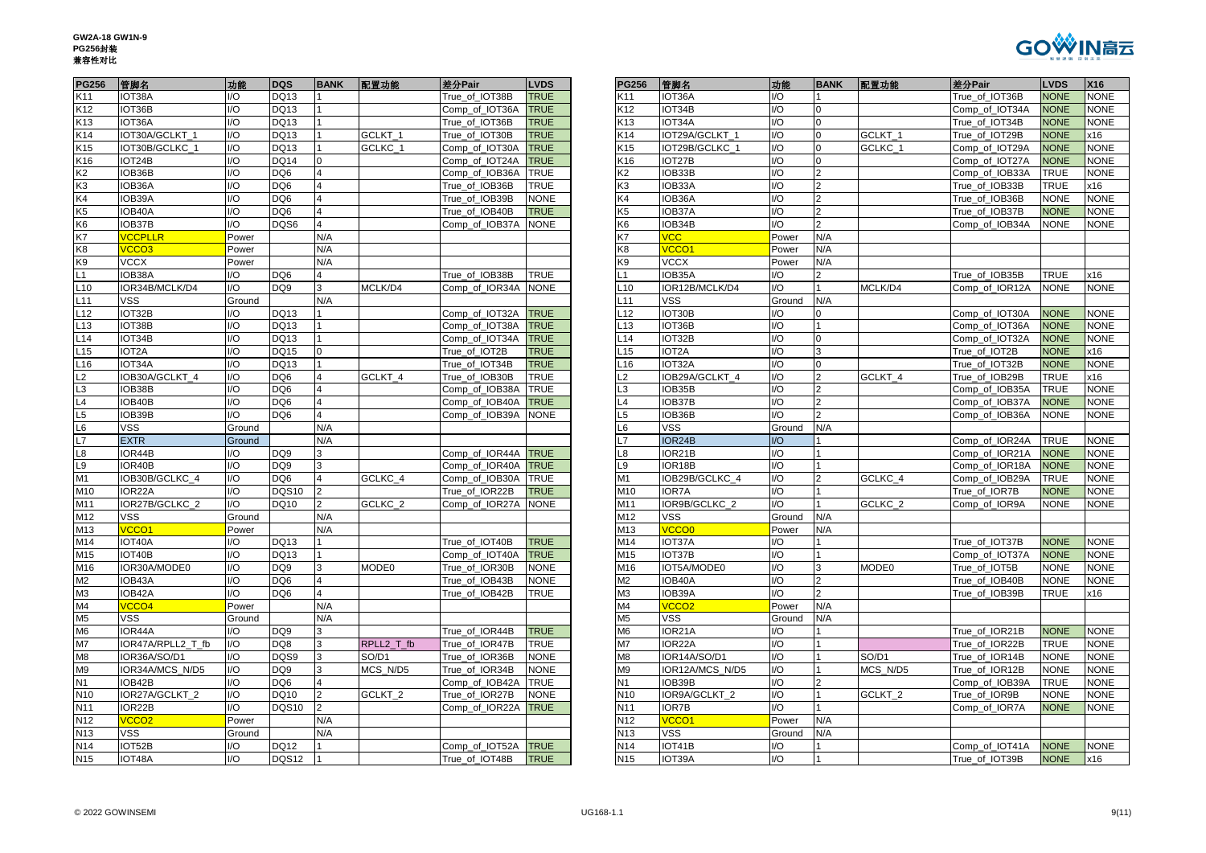| GW2A-18 GW1N-9 |  |
|----------------|--|
| <b>PG256封装</b> |  |
| 兼容性对比          |  |



| <b>PG256</b>             | 管脚名                | 功能                      | <b>DQS</b>                         | <b>BANK</b>         | 配置功能               | 差分Pair              | <b>LVDS</b> | <b>PG256</b>    | 管脚名               | 功能                            | <b>BA</b>                               |
|--------------------------|--------------------|-------------------------|------------------------------------|---------------------|--------------------|---------------------|-------------|-----------------|-------------------|-------------------------------|-----------------------------------------|
| K11                      | IOT38A             | $UO$                    | DQ13                               | 1                   |                    | True_of_IOT38B      | <b>TRUE</b> | K11             | IOT36A            | $\mathsf{IO}$                 | 1                                       |
| K12                      | IOT36B             | $UO$                    | DQ13                               |                     |                    | Comp_of_IOT36A      | <b>TRUE</b> | K12             | IOT34B            | I/O                           | 0                                       |
| K <sub>13</sub>          | IOT36A             | $1/O$                   | DQ13                               | $\overline{1}$      |                    | True of IOT36B      | <b>TRUE</b> | K13             | IOT34A            | $U$                           | $\mathbf 0$                             |
| K14                      | IOT30A/GCLKT_1     | $\mathsf{U}\mathsf{O}$  | DQ13                               | $\overline{1}$      | GCLKT_1            | True of IOT30B      | <b>TRUE</b> | K14             | IOT29A/GCLKT_1    | $\overline{1/O}$              | $\overline{0}$                          |
| K15                      | IOT30B/GCLKC_1     | I/O                     | DQ13                               | $\overline{1}$      | GCLKC 1            | Comp_of_IOT30A      | <b>TRUE</b> | K15             | IOT29B/GCLKC_1    | I/O                           | $\mathsf 0$                             |
| K16                      | IOT24B             | $1/O$                   | <b>DQ14</b>                        | $\mathbf 0$         |                    | Comp_of_IOT24A      | <b>TRUE</b> | K16             | IOT27B            | $\mathsf{U}\mathsf{O}$        | $\overline{0}$                          |
| K2                       | IOB36B             | 1/O                     | DQ6                                | $\overline{4}$      |                    | Comp_of_IOB36A      | <b>TRUE</b> | K2              | IOB33B            | I/O                           | $\overline{\mathbf{c}}$                 |
| KЗ                       | IOB36A             | 1/O                     | DQ <sub>6</sub>                    | $\overline{4}$      |                    | True_of_IOB36B      | <b>TRUE</b> | K3              | IOB33A            | $\mathsf{U}\mathsf{O}$        | $\overline{2}$                          |
| K4                       | IOB39A             | $\mathsf{IO}$           | DQ <sub>6</sub>                    | $\overline{4}$      |                    | True of IOB39B      | <b>NONE</b> | K4              | IOB36A            | I/O                           | $\overline{\mathbf{c}}$                 |
| K5                       | IOB40A             | $U$                     | DQ <sub>6</sub>                    | $\overline{4}$      |                    | True_of_IOB40B      | <b>TRUE</b> | K5              | IOB37A            | I/O                           | $\overline{\mathbf{c}}$                 |
| K <sub>6</sub>           | IOB37B             | $\mathsf{IO}$           | DQS6                               | $\overline{4}$      |                    | Comp of IOB37A      | <b>NONE</b> | K <sub>6</sub>  | IOB34B            | $\mathsf{U}\mathsf{O}$        | $\overline{2}$                          |
| K7                       | <b>VCCPLLR</b>     | Power                   |                                    | N/A                 |                    |                     |             | K7              | VCC               | Power                         | N/A                                     |
| K8                       | VCCO <sub>3</sub>  | Power                   |                                    | N/A                 |                    |                     |             | K8              | VCCO <sub>1</sub> | Power                         | N/A                                     |
| K9                       | <b>VCCX</b>        | Power                   |                                    | N/A                 |                    |                     |             | K9              | <b>VCCX</b>       | Power                         | N/A                                     |
| $\overline{\phantom{0}}$ | IOB38A             | I/O                     | DQ <sub>6</sub>                    | 4                   |                    | True of IOB38B      | <b>TRUE</b> | L1              | IOB35A            | I/O                           | 2                                       |
| L10                      | IOR34B/MCLK/D4     | $\mathsf{IO}$           | DQ <sub>9</sub>                    | 3                   | MCLK/D4            | Comp of IOR34A      | <b>NONE</b> | L10             | IOR12B/MCLK/D4    | 1/O                           | $\mathbf{1}$                            |
| $-11$                    | <b>VSS</b>         | Ground                  |                                    | N/A                 |                    |                     |             | L <sub>11</sub> | <b>VSS</b>        | Ground                        | N/A                                     |
| $-12$                    | IOT32B             | I/O                     | DQ13                               | 1                   |                    | Comp_of_IOT32A      | <b>TRUE</b> | L12             | IOT30B            | 1/O                           | 0                                       |
| $-13$                    | IOT38B             | 1/O                     | DQ13                               | $\overline{1}$      |                    | Comp of IOT38A      | <b>TRUE</b> | L13             | IOT36B            | $\mathsf{U}\mathsf{O}$        | $\mathbf{1}$                            |
| L14                      | IOT34B             | $1/O$                   | DQ13                               | $\mathbf{1}$        |                    | Comp_of_IOT34A      | <b>TRUE</b> | L14             | IOT32B            | $U$                           | $\mathbf 0$                             |
| L15                      | IOT <sub>2</sub> A | 1/O                     | DQ15                               | $\Omega$            |                    | True_of_IOT2B       | <b>TRUE</b> | L15             | IOT2A             | $\overline{1/O}$              | $\overline{3}$                          |
| $-16$                    | IOT34A             | $1/O$                   | DQ13                               | $\overline{1}$      |                    | True of IOT34B      | <b>TRUE</b> | L <sub>16</sub> | IOT32A            | $\mathsf{U}\mathsf{O}$        | $\mathbf 0$                             |
| L2                       | IOB30A/GCLKT_4     | $1/O$                   | DQ <sub>6</sub>                    | $\overline{4}$      | GCLKT 4            | True_of_IOB30B      | <b>TRUE</b> | L2              | IOB29A/GCLKT_4    | $\mathsf{U}\mathsf{O}$        | $\overline{\mathbf{c}}$                 |
| L3                       | IOB38B             | $1/O$                   | DQ <sub>6</sub>                    | $\overline{4}$      |                    | Comp of IOB38A      | <b>TRUE</b> | L3              | IOB35B            | $\mathsf{U}\mathsf{O}$        | $\overline{2}$                          |
| L4                       | IOB40B             | 1/O                     | DQ <sub>6</sub>                    | $\overline{4}$      |                    | Comp_of_IOB40A      | <b>TRUE</b> | L4              | IOB37B            | $\mathsf{U}\mathsf{O}$        | $\overline{2}$                          |
| L5                       | IOB39B             | $\mathsf{I}/\mathsf{O}$ | DQ <sub>6</sub>                    | $\overline{4}$      |                    | Comp_of_IOB39A      | <b>NONE</b> | L5              | IOB36B            | I/O                           | $\mathbf 2$                             |
| L6                       | <b>VSS</b>         | Ground                  |                                    | N/A                 |                    |                     |             | L6              | <b>VSS</b>        | Ground                        | N/A                                     |
| L7                       | <b>EXTR</b>        | Ground                  |                                    | N/A                 |                    |                     |             | L7              | IOR24B            | $\mathsf{I}/\mathsf{O}$       | 1                                       |
|                          | IOR44B             | 1/O                     |                                    | 3                   |                    |                     |             |                 |                   | $\mathsf{U}\mathsf{O}$        | $\mathbf{1}$                            |
| L8                       | IOR40B             | $UO$                    | DQ <sub>9</sub><br>DQ <sub>9</sub> |                     |                    | Comp_of_IOR44A TRUE |             | L8<br>L9        | IOR21B            | $\mathsf{IO}$                 | 1                                       |
| -9                       |                    |                         |                                    | 3<br>$\overline{4}$ |                    | Comp of IOR40A      | <b>TRUE</b> |                 | IOR18B            |                               |                                         |
| M1                       | IOB30B/GCLKC_4     | $U$<br>1/O              | DQ6                                | $\overline{2}$      | GCLKC 4            | Comp_of_IOB30A TRUE |             | M1              | IOB29B/GCLKC_4    | I/O<br>$\mathsf{U}\mathsf{O}$ | $\overline{\mathbf{c}}$<br>$\mathbf{1}$ |
| M10                      | IOR22A             | I/O                     | <b>DQS10</b><br>DQ10               | $\overline{2}$      |                    | True of IOR22B      | <b>TRUE</b> | M10             | <b>IOR7A</b>      | I/O                           | 1                                       |
| M11                      | IOR27B/GCLKC 2     |                         |                                    |                     | GCLKC <sub>2</sub> | Comp of IOR27A      | <b>NONE</b> | M11             | IOR9B/GCLKC 2     |                               |                                         |
| M12                      | <b>VSS</b>         | Ground                  |                                    | N/A                 |                    |                     |             | M12             | <b>VSS</b>        | Ground                        | N/A                                     |
| M13                      | VCCO <sub>1</sub>  | Power                   |                                    | N/A                 |                    |                     |             | M13             | <b>VCCO0</b>      | Power                         | N/A                                     |
| M14                      | IOT40A             | I/O                     | DQ13                               | 1                   |                    | True of IOT40B      | <b>TRUE</b> | M14             | IOT37A            | I/O                           | 1                                       |
| M15                      | IOT40B             | 1/O                     | DQ13                               | $\overline{1}$      |                    | Comp of IOT40A      | <b>TRUE</b> | M15             | IOT37B            | I/O                           | 1                                       |
| M16                      | IOR30A/MODE0       | $\mathsf{IO}$           | DQ <sub>9</sub>                    | 3                   | MODE0              | True of IOR30B      | <b>NONE</b> | M16             | IOT5A/MODE0       | $\mathsf{U}\mathsf{O}$        | 3                                       |
| M2                       | IOB43A             | $U$                     | DQ <sub>6</sub>                    | $\overline{4}$      |                    | True_of_IOB43B      | <b>NONE</b> | M <sub>2</sub>  | IOB40A            | I/O                           | $\overline{\mathbf{c}}$                 |
| M <sub>3</sub>           | IOB42A             | $\mathsf{IO}$           | DQ6                                | $\overline{4}$      |                    | True of IOB42B      | <b>TRUE</b> | M <sub>3</sub>  | IOB39A            | $\mathsf{U}\mathsf{O}$        | $\overline{2}$                          |
| M4                       | VCCO <sub>4</sub>  | Power                   |                                    | N/A                 |                    |                     |             | M4              | VCCO <sub>2</sub> | Power                         | N/A                                     |
| M5                       | <b>VSS</b>         | Ground                  |                                    | N/A                 |                    |                     |             | M <sub>5</sub>  | <b>VSS</b>        | Ground                        | N/A                                     |
| M <sub>6</sub>           | IOR44A             | $UO$                    | DQ <sub>9</sub>                    | 3                   |                    | True_of_IOR44B      | <b>TRUE</b> | M <sub>6</sub>  | IOR21A            | $U$                           | 1                                       |
| M7                       | IOR47A/RPLL2_T_fb  | $1/O$                   | DQ8                                | 3                   | RPLL2 T fb         | True of IOR47B      | <b>TRUE</b> | M7              | IOR22A            | $\mathsf{U}\mathsf{O}$        | 1                                       |
| M <sub>8</sub>           | IOR36A/SO/D1       | $\mathsf{U}\mathsf{O}$  | DQS9                               | 3                   | SO/D1              | True of IOR36B      | <b>NONE</b> | M <sub>8</sub>  | IOR14A/SO/D1      | $\mathsf{U}\mathsf{O}$        | 1                                       |
| M <sub>9</sub>           | IOR34A/MCS N/D5    | $UO$                    | DQ <sub>9</sub>                    | 3                   | MCS N/D5           | True_of_IOR34B      | <b>NONE</b> | M <sub>9</sub>  | IOR12A/MCS N/D5   | $\mathsf{IO}$                 | 1                                       |
| N1                       | IOB42B             | I/O                     | DQ <sub>6</sub>                    | $\overline{4}$      |                    | Comp_of_IOB42A      | <b>TRUE</b> | N1              | IOB39B            | I/O                           | $\overline{2}$                          |
| N <sub>10</sub>          | IOR27A/GCLKT 2     | 1/O                     | <b>DQ10</b>                        | $\overline{2}$      | GCLKT <sub>2</sub> | True of IOR27B      | <b>NONE</b> | N <sub>10</sub> | IOR9A/GCLKT 2     | $\mathsf{U}\mathsf{O}$        | $\mathbf{1}$                            |
| N11                      | IOR22B             | $\mathsf{IO}$           | <b>DQS10</b>                       | $\overline{2}$      |                    | Comp_of_IOR22A      | <b>TRUE</b> | N11             | <b>IOR7B</b>      | $\mathsf{U}\mathsf{O}$        | 1                                       |
| N <sub>12</sub>          | VCCO <sub>2</sub>  | Power                   |                                    | N/A                 |                    |                     |             | N <sub>12</sub> | VCCO <sub>1</sub> | Power                         | N/A                                     |
| N <sub>13</sub>          | <b>VSS</b>         | Ground                  |                                    | N/A                 |                    |                     |             | N <sub>13</sub> | <b>VSS</b>        | Ground                        | N/A                                     |
| N14                      | IOT52B             | $U$                     | DQ12                               | 1                   |                    | Comp_of_IOT52A      | <b>TRUE</b> | N14             | IOT41B            | I/O                           |                                         |
| N <sub>15</sub>          | IOT48A             | $\mathsf{IO}$           | DQS12                              | 11                  |                    | True of IOT48B      | <b>TRUE</b> | N <sub>15</sub> | IOT39A            | $1/O$                         | $\mathbf{1}$                            |

| <b>PG256</b>    | 管脚名                | 功能     | <b>DQS</b>      | <b>BANK</b>    | 配置功能               | 差分Pair         | <b>LVDS</b> | <b>PG256</b>    | 管脚名                 | 功能                          | <b>BANK</b>    | 配置功能               | 差分Pair         | <b>LVDS</b> | X16         |
|-----------------|--------------------|--------|-----------------|----------------|--------------------|----------------|-------------|-----------------|---------------------|-----------------------------|----------------|--------------------|----------------|-------------|-------------|
| K11             | IOT38A             | I/O    | DQ13            |                |                    | True of IOT38B | <b>TRUE</b> | K11             | IOT36A              | I/O                         |                |                    | True of IOT36B | <b>NONE</b> | <b>NONE</b> |
| K12             | IOT36B             | I/O    | DQ13            |                |                    | Comp_of_IOT36A | <b>TRUE</b> | K12             | IOT34B              | UQ                          | $\Omega$       |                    | Comp_of_IOT34A | <b>NONE</b> | <b>NONE</b> |
| K13             | IOT36A             | I/O    | DQ13            |                |                    | True_of_IOT36B | <b>TRUE</b> | K13             | IOT34A              | I/O                         | $\overline{0}$ |                    | True_of_IOT34B | <b>NONE</b> | <b>NONE</b> |
| K14             | IOT30A/GCLKT 1     | I/O    | DQ13            |                | GCLKT 1            | True_of_IOT30B | <b>TRUE</b> | K14             | IOT29A/GCLKT 1      | I/O                         | $\overline{0}$ | GCLKT 1            | True_of_IOT29B | <b>NONE</b> | x16         |
| K15             | IOT30B/GCLKC 1     | I/O    | DQ13            |                | GCLKC 1            | Comp of IOT30A | <b>TRUE</b> | K15             | IOT29B/GCLKC 1      | $\overline{U}$              | $\Omega$       | GCLKC 1            | Comp of IOT29A | <b>NONE</b> | <b>NONE</b> |
| K16             | IOT24B             | I/O    | <b>DQ14</b>     | $\Omega$       |                    | Comp_of_IOT24A | <b>TRUE</b> | K16             | IOT27B              | I/O                         | $\overline{0}$ |                    | Comp_of_IOT27A | <b>NONE</b> | <b>NONE</b> |
| K2              | IOB36B             | I/O    | DQ6             | $\overline{4}$ |                    | Comp_of_IOB36A | <b>TRUE</b> | К2              | IOB33B              | I/O                         | $\overline{2}$ |                    | Comp_of_IOB33A | <b>TRUE</b> | <b>NONE</b> |
| K3              | IOB36A             | I/O    | DQ6             | $\overline{4}$ |                    | True of IOB36B | <b>TRUE</b> | K3              | IOB33A              | I/O                         | $\overline{2}$ |                    | True of IOB33B | <b>TRUE</b> | x16         |
| K4              | IOB39A             | I/O    | DQ6             |                |                    | True_of_IOB39B | <b>NONE</b> | K4              | OB36A               | $\overline{U}$              | $\overline{2}$ |                    | True of IOB36B | <b>NONE</b> | <b>NONE</b> |
| K5              | IOB40A             | I/O    | DQ <sub>6</sub> | $\overline{4}$ |                    | True of IOB40B | <b>TRUE</b> | K5              | IOB37A              | I/O                         | $\overline{2}$ |                    | True of IOB37B | <b>NONE</b> | <b>NONE</b> |
| K6              | IOB37B             | I/O    | DQS6            | $\overline{4}$ |                    | Comp_of_IOB37A | <b>NONE</b> | K6              | IOB34B              | I/O                         | $\overline{2}$ |                    | Comp_of_IOB34A | <b>NONE</b> | <b>NONE</b> |
| K7              | <b>VCCPLLR</b>     | Power  |                 | N/A            |                    |                |             | K7              | <b>VCC</b>          | Power                       | N/A            |                    |                |             |             |
| K8              | VCCO <sub>3</sub>  | Power  |                 | N/A            |                    |                |             | K8              | <b>VCCO1</b>        | Power                       | N/A            |                    |                |             |             |
| K9              | <b>VCCX</b>        | Power  |                 | N/A            |                    |                |             | K9              | <b>VCCX</b>         | Power                       | N/A            |                    |                |             |             |
| L1              | IOB38A             | I/O    | DQ6             | $\overline{4}$ |                    | True_of_IOB38B | <b>TRUE</b> |                 | IOB35A              | $U$ O                       | $\overline{2}$ |                    | True_of_IOB35B | TRUE        | x16         |
| L <sub>10</sub> | IOR34B/MCLK/D4     | I/O    | DQ9             | 3              | MCLK/D4            | Comp_of_IOR34A | <b>NONE</b> | -10             | IOR12B/MCLK/D4      | I/O                         |                | MCLK/D4            | Comp_of_IOR12A | <b>NONE</b> | <b>NONE</b> |
| L11             | VSS                | Ground |                 | N/A            |                    |                |             | L11             | VSS                 | Ground                      | N/A            |                    |                |             |             |
| L12             | IOT32B             | I/O    | DQ13            |                |                    | Comp of IOT32A | <b>TRUE</b> | L12             | IOT30B              | I/O                         | $\Omega$       |                    | Comp of IOT30A | <b>NONE</b> | <b>NONE</b> |
| L <sub>13</sub> | IOT38B             | I/O    | DQ13            |                |                    | Comp_of_IOT38A | <b>TRUE</b> | L13             | IOT36B              | I/O                         |                |                    | Comp_of_IOT36A | <b>NONE</b> | <b>NONE</b> |
| L14             | IOT34B             | I/O    | DQ13            |                |                    | Comp_of_IOT34A | <b>TRUE</b> | L14             | IOT32B              | I/O                         | $\overline{0}$ |                    | Comp_of_IOT32A | <b>NONE</b> | <b>NONE</b> |
| L <sub>15</sub> | IOT <sub>2</sub> A | I/O    | DQ15            | $\Omega$       |                    | True of IOT2B  | <b>TRUE</b> | L15             | IOT <sub>2</sub> A  | $\overline{U}$              | 3              |                    | True of IOT2B  | <b>NONE</b> | x16         |
| L <sub>16</sub> | IOT34A             | I/O    | DQ13            |                |                    | True of IOT34B | <b>TRUE</b> | L16             | IOT32A              | I/O                         | $\overline{0}$ |                    | True_of_IOT32B | <b>NONE</b> | <b>NONE</b> |
| L2              | IOB30A/GCLKT_4     | I/O    | DQ6             | $\overline{4}$ | GCLKT_4            | True_of_IOB30B | <b>TRUE</b> | L2              | IOB29A/GCLKT_4      | $\overline{U}$              | $\overline{2}$ | GCLKT_4            | True_of_IOB29B | <b>TRUE</b> | x16         |
| L3              | IOB38B             | I/O    | DQ6             | $\overline{4}$ |                    | Comp_of_IOB38A | <b>TRUE</b> | L3              | IOB35B              | I/O                         | $\overline{2}$ |                    | Comp_of_IOB35A | TRUE        | <b>NONE</b> |
| L4              | IOB40B             | I/O    | DQ6             | $\overline{4}$ |                    | Comp_of_IOB40A | <b>TRUE</b> | L4              | IOB37B              | $\overline{U}$              |                |                    | Comp_of_IOB37A | <b>NONE</b> | <b>NONE</b> |
| L5              | IOB39B             | I/O    | DQ <sub>6</sub> | $\overline{4}$ |                    | Comp_of_IOB39A | <b>NONE</b> | L <sub>5</sub>  | IOB36B              | $\overline{U}$              |                |                    | Comp_of_IOB36A | <b>NONE</b> | <b>NONE</b> |
| L6              | VSS                | Ground |                 | N/A            |                    |                |             | L6              | VSS                 | Ground                      | N/A            |                    |                |             |             |
| L7              | <b>EXTR</b>        | Ground |                 | N/A            |                    |                |             |                 | IOR24B              | $\overline{1}/\overline{O}$ |                |                    | Comp_of_IOR24A | <b>TRUE</b> | <b>NONE</b> |
| L8              | IOR44B             | I/O    | DQ <sub>9</sub> | 3              |                    | Comp of IOR44A | <b>TRUE</b> | -8              | IOR21B              | I/O                         |                |                    | Comp_of_IOR21A | <b>NONE</b> | <b>NONE</b> |
| L9              | IOR40B             | I/O    | DQ <sub>9</sub> | 3              |                    | Comp of IOR40A | <b>TRUE</b> | L9              | IOR18B              | I/O                         |                |                    | Comp_of_IOR18A | <b>NONE</b> | <b>NONE</b> |
| M1              | IOB30B/GCLKC 4     | I/O    | DQ6             | $\overline{4}$ | GCLKC <sub>4</sub> | Comp of IOB30A | <b>TRUE</b> | M1              | IOB29B/GCLKC_4      | UO                          | $\overline{2}$ | GCLKC 4            | Comp_of_IOB29A | TRUE        | <b>NONE</b> |
| M10             | IOR22A             | I/O    | DQS10           | $\overline{2}$ |                    | True_of_IOR22B | <b>TRUE</b> | M10             | IOR7A               | I/O                         |                |                    | True_of_IOR7B  | <b>NONE</b> | <b>NONE</b> |
| M11             | IOR27B/GCLKC_2     | I/O    | DQ10            | $\overline{2}$ | GCLKC_2            | Comp_of_IOR27A | <b>NONE</b> | M11             | IOR9B/GCLKC_2       | $\overline{10}$             |                | GCLKC_2            | Comp_of_IOR9A  | <b>NONE</b> | <b>NONE</b> |
| M12             | <b>VSS</b>         | Ground |                 | N/A            |                    |                |             | M12             | VSS                 | Ground                      | N/A            |                    |                |             |             |
| M13             | VCCO1              | Power  |                 | N/A            |                    |                |             | M13             | <b>VCCO0</b>        | Power                       | N/A            |                    |                |             |             |
| M14             | IOT40A             | I/O    | DQ13            |                |                    | True_of_IOT40B | <b>TRUE</b> | M14             | IOT37A              | I/O                         |                |                    | True_of_IOT37B | <b>NONE</b> | <b>NONE</b> |
| M15             | IOT40B             | I/O    | DQ13            |                |                    | Comp of IOT40A | <b>TRUE</b> | M15             | IOT37B              | I/O                         |                |                    | Comp_of_IOT37A | <b>NONE</b> | <b>NONE</b> |
| M16             | IOR30A/MODE0       | I/O    | DQ <sub>9</sub> |                | MODE0              | True_of_IOR30B | <b>NONE</b> | M16             | IOT5A/MODE0         | $\overline{U}$              | 3              | MODE0              | True of IOT5B  | <b>NONE</b> | NONE        |
| M2              | IOB43A             | I/O    | DQ <sub>6</sub> | $\overline{4}$ |                    | True of IOB43B | <b>NONE</b> | M <sub>2</sub>  | IOB <sub>40</sub> A | I/O                         | $\overline{2}$ |                    | True of IOB40B | <b>NONE</b> | <b>NONE</b> |
| ΜЗ              | IOB42A             | I/O    | DQ6             | $\overline{4}$ |                    | True of IOB42B | <b>TRUE</b> | ΜЗ              | IOB39A              | I/O                         | $\overline{2}$ |                    | True_of_IOB39B | <b>TRUE</b> | x16         |
| M4              | VCCO <sub>4</sub>  | Power  |                 | N/A            |                    |                |             | M4              | <b>VCCO2</b>        | Power                       | N/A            |                    |                |             |             |
| M5              | <b>VSS</b>         | Ground |                 | N/A            |                    |                |             | M <sub>5</sub>  | VSS                 | Ground                      | N/A            |                    |                |             |             |
| M6              | IOR44A             | I/O    | DQ <sub>9</sub> | 3              |                    | True_of_IOR44B | <b>TRUE</b> | M <sub>6</sub>  | IOR21A              | I/O                         |                |                    | True_of_IOR21B | <b>NONE</b> | <b>NONE</b> |
| M7              | IOR47A/RPLL2_T_fb  | I/O    | DQ8             | 3              | RPLL2_T_fb         | True_of_IOR47B | <b>TRUE</b> | M7              | IOR22A              | $\overline{U}$              | l 1            |                    | True_of_IOR22B | <b>TRUE</b> | <b>NONE</b> |
| M8              | IOR36A/SO/D1       | I/O    | DQS9            | 3              | SO/D1              | True of IOR36B | <b>NONE</b> | M8              | IOR14A/SO/D1        | I/O                         |                | SO/D1              | True_of_IOR14B | <b>NONE</b> | <b>NONE</b> |
| M9              | IOR34A/MCS_N/D5    | I/O    | DQ <sub>9</sub> | 3              | MCS_N/D5           | True_of_IOR34B | <b>NONE</b> | M9              | IOR12A/MCS N/D5     | $\overline{U}$              |                | MCS N/D5           | True_of_IOR12B | <b>NONE</b> | <b>NONE</b> |
| N1              | IOB42B             | I/O    | DQ <sub>6</sub> | $\overline{4}$ |                    | Comp_of_IOB42A | <b>TRUE</b> | N <sub>1</sub>  | IOB39B              | $\overline{U}$              |                |                    | Comp_of_IOB39A | <b>TRUE</b> | <b>NONE</b> |
| N <sub>10</sub> | IOR27A/GCLKT 2     | I/O    | DQ10            | $\overline{2}$ | GCLKT <sub>2</sub> | True_of_IOR27B | <b>NONE</b> | N <sub>10</sub> | IOR9A/GCLKT 2       | $\overline{U}$              | <b>11</b>      | GCLKT <sub>2</sub> | True_of_IOR9B  | <b>NONE</b> | <b>NONE</b> |
| N11             | IOR22B             | I/O    | DQS10           | $\overline{2}$ |                    | Comp_of_IOR22A | <b>TRUE</b> | N <sub>11</sub> | IOR7B               | I/O                         |                |                    | Comp_of_IOR7A  | <b>NONE</b> | <b>NONE</b> |
| N12             | VCCO <sub>2</sub>  | Power  |                 | N/A            |                    |                |             | N <sub>12</sub> | VCCO <sub>1</sub>   | Power                       | N/A            |                    |                |             |             |
| N <sub>13</sub> | <b>VSS</b>         | Ground |                 | N/A            |                    |                |             | N <sub>13</sub> | <b>VSS</b>          | Ground                      | N/A            |                    |                |             |             |
| N <sub>14</sub> | IOT52B             | I/O    | DQ12            |                |                    | Comp_of_IOT52A | <b>TRUE</b> | N <sub>14</sub> | IOT41B              | $\overline{U}$              |                |                    | Comp_of_IOT41A | <b>NONE</b> | <b>NONE</b> |
| N <sub>15</sub> | IOT48A             | I/O    | DQS12           | I1             |                    | True of IOT48B | <b>TRUE</b> | N <sub>15</sub> | IOT39A              | I/O                         |                |                    | True of IOT39B | <b>NONE</b> | x16         |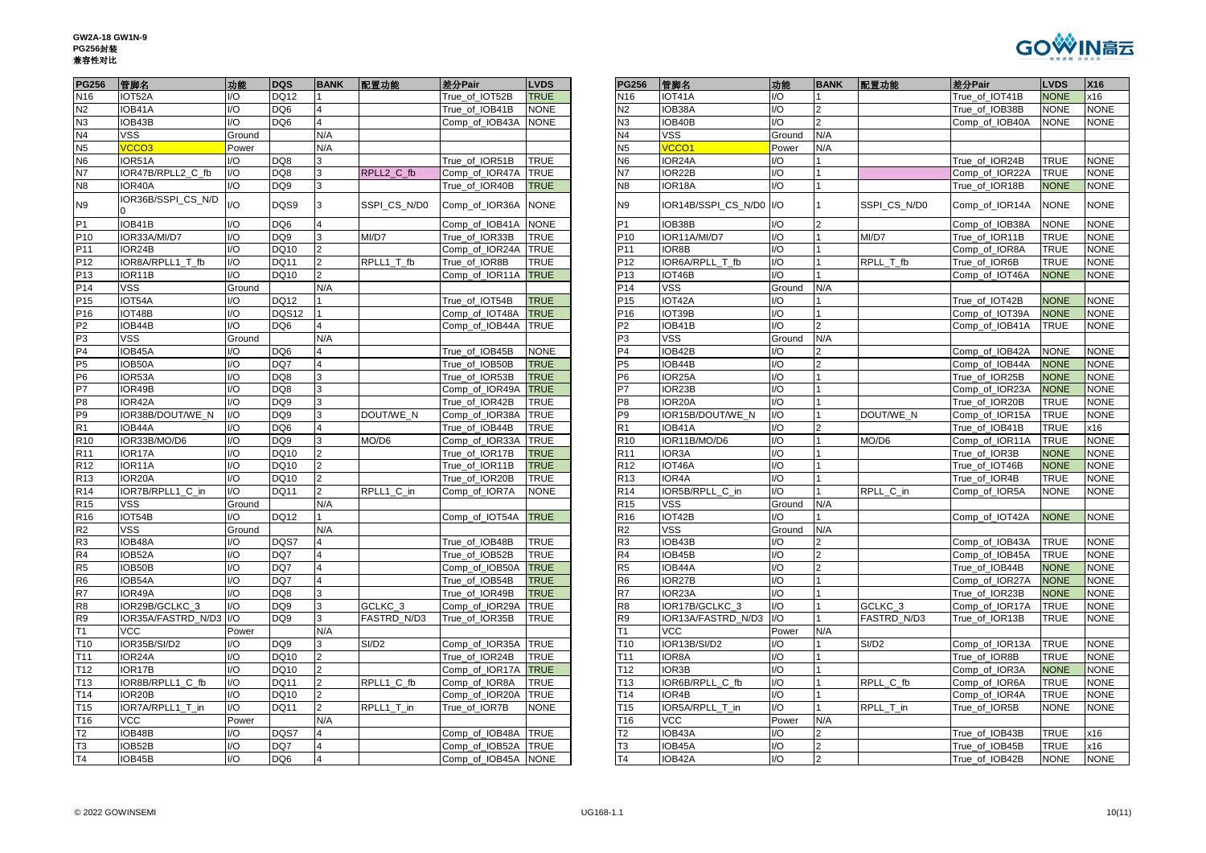

| <b>PG256</b>    | 管脚名                 | 功能             | <b>DQS</b>      | <b>BANK</b>             | 配置功能               | 差分Pair              | <b>LVDS</b> | <b>PG256</b>    | 管脚名                 | 功能     | <b>BANK</b>    | 配置功能               | 差分Pair         | <b>LVDS</b> | X16       |
|-----------------|---------------------|----------------|-----------------|-------------------------|--------------------|---------------------|-------------|-----------------|---------------------|--------|----------------|--------------------|----------------|-------------|-----------|
| N <sub>16</sub> | IOT52A              | I/O            | <b>DQ12</b>     |                         |                    | True_of_IOT52B      | <b>TRUE</b> | N <sub>16</sub> | IOT41A              | 1/O    |                |                    | True_of_IOT41B | <b>NONE</b> | x16       |
| N2              | IOB41A              | /O             | DQ <sub>6</sub> |                         |                    | True of IOB41B      | <b>NONE</b> | Ν2              | IOB38A              | I/O    |                |                    | True of IOB38B | <b>NONE</b> | <b>NO</b> |
| N3              | IOB43B              | /Ο             | DQ <sub>6</sub> |                         |                    | Comp_of_IOB43A      | <b>NONE</b> | N3              | IOB40B              | I/O    |                |                    | Comp_of_IOB40A | NONE        | <b>NO</b> |
| N <sub>4</sub>  | VSS                 | Ground         |                 | N/A                     |                    |                     |             | N <sub>4</sub>  | VSS                 | Ground | N/A            |                    |                |             |           |
| N <sub>5</sub>  | VCCO <sub>3</sub>   | Power          |                 | N/A                     |                    |                     |             | N5              | VCCO <sub>1</sub>   | Power  | N/A            |                    |                |             |           |
| N <sub>6</sub>  | IOR51A              | I/O            | DQ8             | 3                       |                    | True of IOR51B      | <b>TRUE</b> | N <sub>6</sub>  | IOR24A              | I/O    | 1              |                    | True of IOR24B | <b>TRUE</b> | <b>NO</b> |
| N7              | IOR47B/RPLL2_C_fb   | /O             | DQ8             |                         | RPLL2_C_fb         | Comp of IOR47A TRUE |             | N7              | IOR22B              | I/O    |                |                    | Comp_of_IOR22A | TRUE        | <b>NO</b> |
| N <sub>8</sub>  | IOR40A              | /O             | DQ <sub>9</sub> |                         |                    | True_of_IOR40B      | <b>TRUE</b> | N <sub>8</sub>  | IOR18A              | I/O    | 1              |                    | True_of_IOR18B | <b>NONE</b> | <b>NO</b> |
| N <sub>9</sub>  | IOR36B/SSPI CS N/D  | $\overline{O}$ | DQS9            |                         | SSPI_CS_N/D0       | Comp_of_IOR36A      | <b>NONE</b> | N9              | IOR14B/SSPI_CS_N/D0 | $IVO$  |                | SSPI_CS_N/D0       | Comp_of_IOR14A | <b>NONE</b> | <b>NO</b> |
| P <sub>1</sub>  | IOB41B              | /O             | DQ <sub>6</sub> |                         |                    | Comp of IOB41A      | <b>NONE</b> | P <sub>1</sub>  | IOB38B              | I/O    | 2              |                    | Comp of IOB38A | <b>NONE</b> | <b>NO</b> |
| P <sub>10</sub> | IOR33A/MI/D7        | /Ο             | DQ <sub>9</sub> |                         | MI/D7              | True_of_IOR33B      | <b>TRUE</b> | P <sub>10</sub> | IOR11A/MI/D7        | I/O    |                | MI/D7              | True_of_IOR11B | TRUE        | <b>NO</b> |
| P <sub>11</sub> | IOR24B              | I/O            | DQ10            |                         |                    | Comp of IOR24A      | <b>TRUE</b> | P11             | IOR8B               | 1/O    | $\mathbf{1}$   |                    | Comp_of_IOR8A  | <b>TRUE</b> | <b>NO</b> |
| P <sub>12</sub> | IOR8A/RPLL1 T fb    | I/O            | <b>DQ11</b>     | $\overline{2}$          | RPLL1 T fb         | True of IOR8B       | TRUE        | P <sub>12</sub> | IOR6A/RPLL_T_fb     | I/O    | 1              | RPLL T fb          | True_of_IOR6B  | TRUE        | <b>NO</b> |
| P <sub>13</sub> | IOR11B              | /O             | DQ10            |                         |                    | Comp_of_IOR11A TRUE |             | P13             | IOT46B              | I/O    |                |                    | Comp_of_IOT46A | <b>NONE</b> | <b>NO</b> |
| P <sub>14</sub> | VSS                 | Ground         |                 | N/A                     |                    |                     |             | P14             | <b>VSS</b>          | Ground | N/A            |                    |                |             |           |
| P <sub>15</sub> | IOT54A              | /O             | <b>DQ12</b>     |                         |                    | True of IOT54B      | <b>TRUE</b> | P <sub>15</sub> | IOT42A              | I/O    |                |                    | True_of_IOT42B | <b>NONE</b> | <b>NO</b> |
| P <sub>16</sub> | IOT48B              | /O             | <b>DQS12</b>    |                         |                    | Comp_of_IOT48A      | <b>TRUE</b> | P16             | IOT39B              | I/O    |                |                    | Comp_of_IOT39A | <b>NONE</b> | <b>NO</b> |
| P <sub>2</sub>  | IOB44B              | /O             | DQ <sub>6</sub> |                         |                    | Comp of IOB44A      | <b>TRUE</b> | P <sub>2</sub>  | IOB41B              | I/O    |                |                    | Comp of IOB41A | <b>TRUE</b> | <b>NO</b> |
| P <sub>3</sub>  | VSS                 | Ground         |                 | N/A                     |                    |                     |             | P3              | <b>VSS</b>          | Ground | N/A            |                    |                |             |           |
| P <sub>4</sub>  | IOB45A              | I/O            | DQ <sub>6</sub> |                         |                    | True_of_IOB45B      | <b>NONE</b> |                 | IOB42B              | I/O    |                |                    | Comp_of_IOB42A | <b>NONE</b> | <b>NO</b> |
| P <sub>5</sub>  | IOB50A              | I/O            | DQ7             |                         |                    | True of IOB50B      | <b>TRUE</b> | P <sub>5</sub>  | IOB44B              | 1/O    | $\mathcal{P}$  |                    | Comp of IOB44A | <b>NONE</b> | <b>NO</b> |
| P <sub>6</sub>  | IOR53A              | /O             | DQ8             | 3                       |                    | True_of_IOR53B      | <b>TRUE</b> | P <sub>6</sub>  | IOR25A              | I/O    |                |                    | True_of_IOR25B | <b>NONE</b> | <b>NO</b> |
| P7              | IOR49B              | /O             | DQ8             |                         |                    | Comp of IOR49A      | <b>TRUE</b> |                 | IOR23B              | I/O    |                |                    | Comp of IOR23A | <b>NONE</b> | <b>NO</b> |
| P <sub>8</sub>  | IOR42A              | I/O            | DQ <sub>9</sub> | 3                       |                    | True of IOR42B      | <b>TRUE</b> | P <sub>8</sub>  | IOR20A              | I/O    | 1              |                    | True of IOR20B | TRUE        | <b>NO</b> |
| P <sub>9</sub>  | IOR38B/DOUT/WE N    | /O             | DQ <sub>9</sub> | 3                       | DOUT/WE N          | Comp_of_IOR38A      | <b>TRUE</b> | P <sub>9</sub>  | IOR15B/DOUT/WE_N    | I/O    | $\mathbf{1}$   | DOUT/WE N          | Comp_of_IOR15A | <b>TRUE</b> | <b>NO</b> |
| R <sub>1</sub>  | IOB44A              | /O             | DQ6             | $\overline{\mathbf{4}}$ |                    | True of IOB44B      | <b>TRUE</b> | R <sub>1</sub>  | IOB41A              | I/O    |                |                    | True of IOB41B | <b>TRUE</b> | x16       |
| R <sub>10</sub> | IOR33B/MO/D6        | /O             | DQ <sub>9</sub> |                         | MO/D6              | Comp of IOR33A TRUE |             | R <sub>10</sub> | IOR11B/MO/D6        | I/O    | $\mathbf{1}$   | MO/D6              | Comp_of_IOR11A | <b>TRUE</b> | <b>NO</b> |
| R <sub>11</sub> | IOR17A              | I/O            | <b>DQ10</b>     |                         |                    | True_of_IOR17B      | <b>TRUE</b> | R <sub>11</sub> | IOR <sub>3</sub> A  | I/O    | $\mathbf{1}$   |                    | True of IOR3B  | <b>NONE</b> | <b>NO</b> |
| R <sub>12</sub> | IOR11A              | I/O            | <b>DQ10</b>     | $\mathfrak{p}$          |                    | True of IOR11B      | <b>TRUE</b> | R <sub>12</sub> | IOT46A              | U      | $\mathbf{1}$   |                    | True of IOT46B | <b>NONE</b> | <b>NO</b> |
| R <sub>13</sub> | IOR <sub>20</sub> A | /O             | DQ10            | 2                       |                    | True_of_IOR20B      | <b>TRUE</b> | R <sub>13</sub> | IOR4A               | I/O    |                |                    | True_of_IOR4B  | <b>TRUE</b> | <b>NO</b> |
| R <sub>14</sub> | IOR7B/RPLL1_C_in    | I/O            | <b>DQ11</b>     | $\mathfrak{p}$          | RPLL1_C_in         | Comp_of_IOR7A       | <b>NONE</b> | R <sub>14</sub> | IOR5B/RPLL_C_in     | I/O    |                | RPLL_C_in          | Comp_of_IOR5A  | <b>NONE</b> | <b>NO</b> |
| R <sub>15</sub> | <b>VSS</b>          | Ground         |                 | N/A                     |                    |                     |             | R <sub>15</sub> | <b>VSS</b>          | Ground | N/A            |                    |                |             |           |
| R <sub>16</sub> | IOT54B              | I/O            | <b>DQ12</b>     | $\blacktriangleleft$    |                    | Comp_of_IOT54A      | <b>TRUE</b> | R <sub>16</sub> | IOT42B              | I/O    |                |                    | Comp_of_IOT42A | <b>NONE</b> | NO        |
| R <sub>2</sub>  | <b>VSS</b>          | Ground         |                 | N/A                     |                    |                     |             | R <sub>2</sub>  | <b>VSS</b>          | Ground | N/A            |                    |                |             |           |
| R <sub>3</sub>  | IOB48A              | /Ο             | DQS7            |                         |                    | True of IOB48B      | TRUE        | R3              | IOB43B              | I/O    |                |                    | Comp_of_IOB43A | TRUE        | <b>NO</b> |
| R <sub>4</sub>  | IOB52A              | /O             | DQ7             |                         |                    | True of IOB52B      | TRUE        | R4              | IOB45B              | I/O    |                |                    | Comp_of_IOB45A | <b>TRUE</b> | <b>NO</b> |
| R5              | IOB50B              | I/O            | DQ7             |                         |                    | Comp of IOB50A      | <b>TRUE</b> | R <sub>5</sub>  | IOB44A              | UQ     | $\mathcal{P}$  |                    | True of IOB44B | <b>NONE</b> | <b>NO</b> |
| R <sub>6</sub>  | IOB54A              | /Ο             | DQ7             | 4                       |                    | True_of_IOB54B      | <b>TRUE</b> | R6              | IOR27B              | I/O    |                |                    | Comp_of_IOR27A | <b>NONE</b> | <b>NO</b> |
| R7              | IOR49A              | I/O            | DQ8             |                         |                    | True_of_IOR49B      | <b>TRUE</b> | R7              | IOR23A              | I/O    |                |                    | True_of_IOR23B | <b>NONE</b> | <b>NO</b> |
| R <sub>8</sub>  | IOR29B/GCLKC 3      | /O             | DQ <sub>9</sub> |                         | GCLKC <sub>3</sub> | Comp of IOR29A      | <b>TRUE</b> | R <sub>8</sub>  | IOR17B/GCLKC 3      | I/O    |                | GCLKC <sub>3</sub> | Comp of IOR17A | <b>TRUE</b> | <b>NO</b> |
| R <sub>9</sub>  | IOR35A/FASTRD N/D3  | I/O            | DQ <sub>9</sub> | 3                       | FASTRD N/D3        | True of IOR35B      | <b>TRUE</b> | R9              | IOR13A/FASTRD N/D3  | I/O    | $\mathbf{1}$   | FASTRD N/D3        | True_of_IOR13B | <b>TRUE</b> | <b>NO</b> |
| T <sub>1</sub>  | <b>VCC</b>          | Power          |                 | N/A                     |                    |                     |             | T1              | <b>VCC</b>          | Power  | N/A            |                    |                |             |           |
| T <sub>10</sub> | IOR35B/SI/D2        | ΙΟ             | DQ <sub>9</sub> |                         | SI/D <sub>2</sub>  | Comp of IOR35A TRUE |             | T <sub>10</sub> | IOR13B/SI/D2        | I/O    |                | SI/D <sub>2</sub>  | Comp_of_IOR13A | <b>TRUE</b> | <b>NO</b> |
| T <sub>11</sub> | OR <sub>24</sub> A  | /Ο             | DQ10            |                         |                    | True of IOR24B      | <b>TRUE</b> | T11             | IOR8A               | I/O    |                |                    | True_of_IOR8B  | <b>TRUE</b> | <b>NO</b> |
| T <sub>12</sub> | IOR17B              | I/O            | DQ10            |                         |                    | Comp_of_IOR17A      | <b>TRUE</b> | T12             | IOR3B               | UQ     | 1              |                    | Comp_of_IOR3A  | <b>NONE</b> | <b>NO</b> |
| T <sub>13</sub> | IOR8B/RPLL1 C fb    | /O             | <b>DQ11</b>     | 2                       | RPLL1 C fb         | Comp_of_IOR8A       | TRUE        | T <sub>13</sub> | IOR6B/RPLL_C_fb     | I/O    | $\overline{1}$ | RPLL_C_fb          | Comp_of_IOR6A  | <b>TRUE</b> | <b>NO</b> |
| T14             | IOR20B              | /O             | <b>DQ10</b>     |                         |                    | Comp_of_IOR20A      | <b>TRUE</b> | T14             | IOR4B               | I/O    |                |                    | Comp_of_IOR4A  | <b>TRUE</b> | <b>NO</b> |
| T <sub>15</sub> | IOR7A/RPLL1 T in    | /O             | <b>DQ11</b>     |                         | RPLL1 T in         | True of IOR7B       | <b>NONE</b> | T <sub>15</sub> | IOR5A/RPLL T in     | I/O    |                | RPLL T in          | True of IOR5B  | <b>NONE</b> | <b>NO</b> |
| T <sub>16</sub> | <b>VCC</b>          | Power          |                 | N/A                     |                    |                     |             | T <sub>16</sub> | <b>VCC</b>          | Power  | N/A            |                    |                |             |           |
| T2              | IOB48B              | /O             | DQS7            | 4                       |                    | Comp_of_IOB48A      | <b>TRUE</b> | T2              | IOB43A              | I/O    | 2              |                    | True_of_IOB43B | TRUE        | x16       |
| T <sub>3</sub>  | IOB52B              | /O             | DQ7             | 4                       |                    | Comp of IOB52A      | <b>TRUE</b> | T <sub>3</sub>  | IOB45A              | I/O    |                |                    | True of IOB45B | <b>TRUE</b> | x16       |
| T4              | IOB45B              | I/O            | DQ <sub>6</sub> |                         |                    | Comp_of_IOB45A NONE |             | T <sub>4</sub>  | IOB42A              | I/O    | $\overline{2}$ |                    | True_of_IOB42B | NONE        | <b>NO</b> |

|                 | 管脚名                 | 功能                     | <b>DQS</b>      | <b>BANK</b>    | 配置功能               | 差分Pair              | <b>LVDS</b> |
|-----------------|---------------------|------------------------|-----------------|----------------|--------------------|---------------------|-------------|
| <b>PG256</b>    | IOT52A              | I/O                    | DQ12            | l 1            |                    | True of IOT52B      | <b>TRUE</b> |
| N16<br>N2       | IOB41A              | I/O                    | DQ6             | $\overline{4}$ |                    | True_of_IOB41B      | <b>NONE</b> |
| N3              | IOB43B              | I/O                    | DQ6             | $\overline{4}$ |                    | Comp_of_IOB43A      | <b>NONE</b> |
| N4              | VSS                 | Ground                 |                 | N/A            |                    |                     |             |
| N5              | VCCO <sub>3</sub>   | Power                  |                 | N/A            |                    |                     |             |
| N6              | IOR51A              | I/O                    | DQ8             | 3              |                    | True of IOR51B      | TRUE        |
| Ν7              | IOR47B/RPLL2 C fb   | I/O                    | DQ8             | 3              | RPLL2_C_fb         | Comp_of_IOR47A      | <b>TRUE</b> |
| N8              | IOR40A              | I/O                    | DQ9             | 3              |                    | True_of_IOR40B      | <b>TRUE</b> |
| N9              | IOR36B/SSPI_CS_N/D  | I/O                    | DQS9            | 3              | SSPI_CS_N/D0       | Comp_of_IOR36A      | <b>NONE</b> |
| P <sub>1</sub>  |                     | I/O                    |                 | $\overline{4}$ |                    |                     | <b>NONE</b> |
|                 | IOB41B              | I/O                    | DQ6             | 3              |                    | Comp of IOB41A      |             |
| P <sub>10</sub> | IOR33A/MI/D7        |                        | DQ9             |                | MI/D7              | True_of_IOR33B      | TRUE        |
| P11             | IOR24B              | I/O                    | DQ10            | $\overline{2}$ |                    | Comp_of_IOR24A      | <b>TRUE</b> |
| P12             | IOR8A/RPLL1 T fb    | I/O                    | <b>DQ11</b>     | $\overline{2}$ | RPLL1 T fb         | True of IOR8B       | TRUE        |
| P13             | IOR11B              | I/O                    | DQ10            | $\overline{2}$ |                    | Comp_of_IOR11A TRUE |             |
| P14             | ∨SS                 | Ground                 |                 | N/A            |                    |                     |             |
| P <sub>15</sub> | IOT54A              | I/O                    | <b>DQ12</b>     |                |                    | True of IOT54B      | <b>TRUE</b> |
| P <sub>16</sub> | IOT48B              | I/O                    | <b>DQS12</b>    |                |                    | Comp_of_IOT48A      | <b>TRUE</b> |
| P2              | IOB44B              | I/O                    | DQ6             | $\overline{4}$ |                    | Comp_of_IOB44A      | <b>TRUE</b> |
| P3              | <b>VSS</b>          | Ground                 |                 | N/A            |                    |                     |             |
| P4              | IOB45A              | I/O                    | DQ6             |                |                    | True_of_IOB45B      | <b>NONE</b> |
| P5              | IOB50A              | I/O                    | DQ7             | $\overline{4}$ |                    | True_of_IOB50B      | <b>TRUE</b> |
| P6              | IOR53A              | I/O                    | DQ8             | 3              |                    | True of IOR53B      | <b>TRUE</b> |
| P7              | IOR49B              | I/O                    | DQ8             | 3              |                    | Comp_of_IOR49A      | <b>TRUE</b> |
| P8              | IOR42A              | I/O                    | DQ <sub>9</sub> | 3              |                    | True_of_IOR42B      | TRUE        |
| P9              | IOR38B/DOUT/WE N    | I/O                    | DQ9             | 3              | DOUT/WE N          | Comp_of_IOR38A      | <b>TRUE</b> |
| R1              | IOB44A              | I/O                    | DQ6             | $\overline{4}$ |                    | True_of_IOB44B      | TRUE        |
| R10             | IOR33B/MO/D6        | I/O                    | DQ9             | 3              | MO/D6              | Comp_of_IOR33A      | <b>TRUE</b> |
| R <sub>11</sub> | IOR <sub>17</sub> A | I/O                    | DQ10            | $\overline{2}$ |                    | True of IOR17B      | <b>TRUE</b> |
| R12             | IOR11A              | I/O                    | DQ10            | $\overline{2}$ |                    | True_of_IOR11B      | <b>TRUE</b> |
| R13             | IOR <sub>20</sub> A | I/O                    | DQ10            | $\overline{2}$ |                    | True_of_IOR20B      | TRUE        |
| R14             | IOR7B/RPLL1 C in    | I/O                    | DQ11            | $\overline{2}$ | RPLL1 C in         | Comp_of_IOR7A       | <b>NONE</b> |
| R <sub>15</sub> | VSS                 | Ground                 |                 | N/A            |                    |                     |             |
| R <sub>16</sub> | IOT54B              | I/O                    | DQ12            |                |                    | Comp of IOT54A      | <b>TRUE</b> |
| R <sub>2</sub>  | VSS                 | Ground                 |                 | N/A            |                    |                     |             |
| R3              | IOB48A              | I/O                    | DQS7            |                |                    | True_of_IOB48B      | TRUE        |
| R4              | IOB52A              | I/O                    | DQ7             |                |                    | True of IOB52B      | TRUE        |
| R5              | IOB50B              | I/O                    | DQ7             | $\overline{4}$ |                    | Comp_of_IOB50A      | <b>TRUE</b> |
| R6              | IOB54A              | I/O                    | DQ7             | $\overline{4}$ |                    | True_of_IOB54B      | <b>TRUE</b> |
| R7              | IOR49A              | I/O                    | DQ8             | 3              |                    | True of IOR49B      | <b>TRUE</b> |
|                 |                     |                        |                 |                |                    |                     |             |
| R8              | IOR29B/GCLKC 3      | I/O                    | DQ9             | 3              | GCLKC <sub>3</sub> | Comp of IOR29A      | <b>TRUE</b> |
| R9              | IOR35A/FASTRD_N/D3  | I/O                    | DQ9             | 3              | FASTRD N/D3        | True_of_IOR35B      | TRUE        |
| T1              | <b>VCC</b>          | Power                  |                 | N/A            |                    |                     |             |
| T <sub>10</sub> | IOR35B/SI/D2        | I/O                    | DQ <sub>9</sub> | 3              | SI/D <sub>2</sub>  | Comp_of_IOR35A      | <b>TRUE</b> |
| T11             | IOR24A              | I/O                    | DQ10            |                |                    | True_of_IOR24B      | TRUE        |
| T12             | IOR17B              | $\mathsf{U}\mathsf{O}$ | DQ10            | $\overline{2}$ |                    | Comp_of_IOR17A      | <b>TRUE</b> |
| T13             | IOR8B/RPLL1_C_fb    | I/O                    | DQ11            | $\overline{2}$ | RPLL1 C fb         | Comp_of_IOR8A       | TRUE        |
| T14             | IOR20B              | I/O                    | DQ10            | $\mathcal{P}$  |                    | Comp_of_IOR20A      | TRUE        |
| T15             | IOR7A/RPLL1_T_in    | I/O                    | DQ11            | $\overline{2}$ | RPLL1 T in         | True_of_IOR7B       | <b>NONE</b> |
| T16             | VCC                 | Power                  |                 | N/A            |                    |                     |             |
| Т2              | IOB48B              | I/O                    | DQS7            | $\overline{4}$ |                    | Comp_of_IOB48A      | <b>TRUE</b> |
| T3              | IOB52B              | I/O                    | DQ7             | $\overline{4}$ |                    | Comp of IOB52A      | <b>TRUE</b> |
| T4              | IOB45B              | I/O                    | DQ6             |                |                    | Comp_of_IOB45A NONE |             |
|                 |                     |                        |                 |                |                    |                     |             |